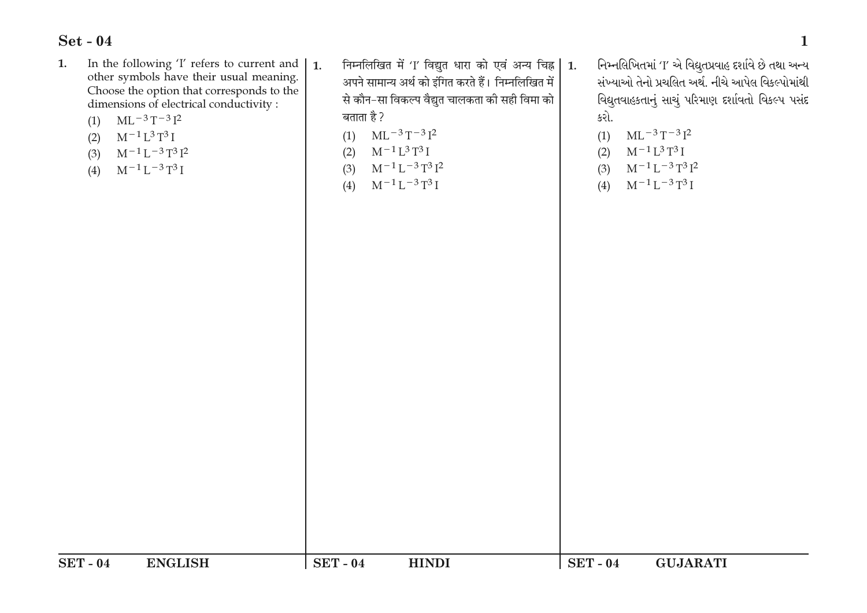- In the following 'I' refers to current and 1. other symbols have their usual meaning. Choose the option that corresponds to the dimensions of electrical conductivity :
	- $ML^{-3}T^{-3}I^2$  $(1)$
	- $M^{-1}L^3T^3I$  $(2)$
	- $M^{-1}L^{-3}T^3I^2$  $(3)$
	- $M^{-1}L^{-3}T^3I$  $(4)$
- निम्नलिखित में 'I' विद्युत धारा को एवं अन्य चिह्न | 1.  $\mathbf{1}$ . अपने सामान्य अर्थ को इंगित करते हैं। निम्नलिखित में से कौन–सा विकल्प वैद्युत चालकता की सही विमा को बताता है ?
	- $ML^{-3}T^{-3}I^2$  $(1)$
	- $M^{-1}L^3T^3I$  $(2)$
	- $M^{-1}L^{-3}T^3I^2$  $(3)$
	- $M^{-1}L^{-3}T^3I$  $(4)$

 $SET - 04$ 

**HINDI** 

- નિમ્નલિખિતમાં 'I' એ વિદ્યુતપ્રવાહ દર્શાવે છે તથા અન્ય સંખ્યાઓ તેનો પ્રચલિત અર્થ. નીચે આપેલ વિકલ્પોમાંથી વિદ્યુતવાહકતાનું સાચું પરિમાણ દર્શાવતો વિકલ્પ પસંદ કરો.
	- $ML^{-3}T^{-3}I^2$  $(1)$
- $M^{-1}L^3T^3I$  $(2)$
- $M^{-1}L^{-3}T^3I^2$  $(3)$
- $M^{-1}L^{-3}T^3I$  $(4)$

**SET-04** 

**GUJARATI**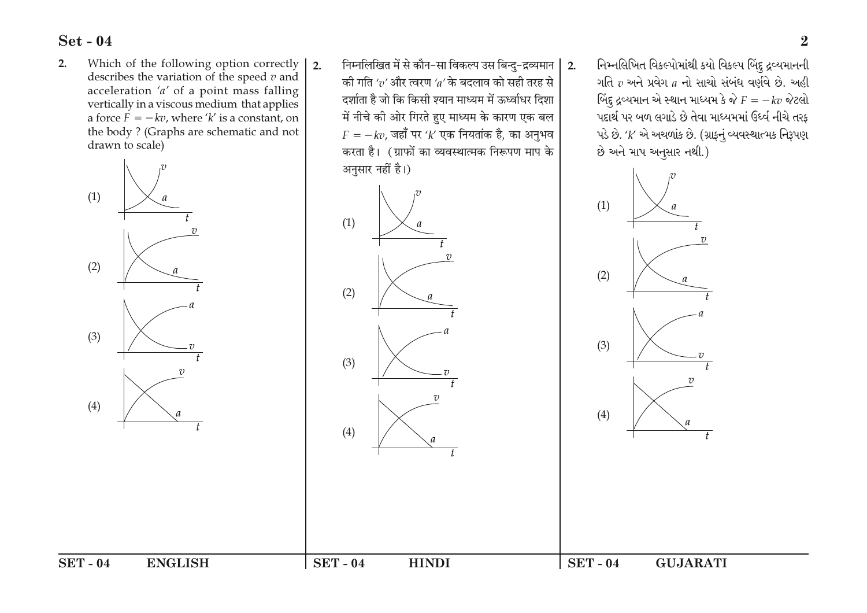Which of the following option correctly  $2.$ describes the variation of the speed  $v$  and acceleration ' $a'$  of a point mass falling vertically in a viscous medium that applies a force  $\vec{F} = -kv$ , where 'k' is a constant, on the body? (Graphs are schematic and not drawn to scale)



- निम्नलिखित में से कौन-सा विकल्प उस बिन्दु-द्रव्यमान |  $2.$  $2.$ की गति ' $v'$ और त्वरण ' $a'$ के बदलाव को सही तरह से दर्शाता है जो कि किसी श्यान माध्यम में ऊर्ध्वाधर दिशा में नीचे की ओर गिरते हुए माध्यम के कारण एक बल  $F = -kv$ , जहाँ पर 'k' एक नियतांक है, का अनुभव करता है। (ग्राफों का व्यवस्थात्मक निरूपण माप के अनुसार नहीं है।)
	- $(1)$  $(2)$  $(3)$  $7<sup>1</sup>$  $(4)$

**HINDI** 

**SET-04** 

નિમ્નલિખિત વિકલ્પોમાંથી કયો વિકલ્પ બિંદુ દ્રવ્યમાનની ગતિ  $v$  અને પ્રવેગ  $a$  નો સાચો સંબંધ વર્ણવે છે. અહી બિંદુ દ્રવ્યમાન એ સ્થાન માધ્યમ કે જે  $F = -kv$  જેટલો પદાર્થ પર બળ લગાડે છે તેવા માધ્યમમાં ઉધ્વં નીચે તરફ પડે છે. 'k' એ અચળાંક છે. (ગ્રાફનું વ્યવસ્થાત્મક નિરૂપણ છે અને માપ અનુસાર નથી.)



**GUJARATI** 

 $SET - 04$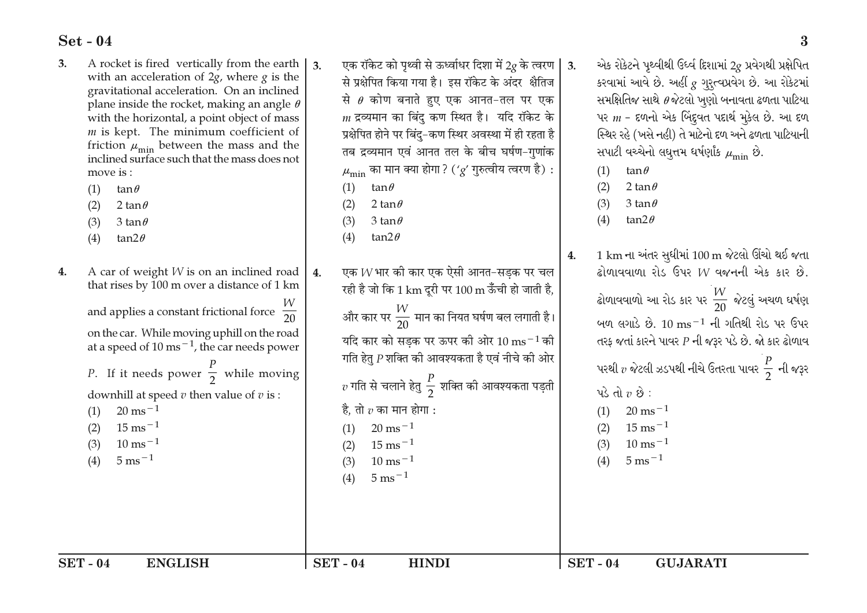- A rocket is fired vertically from the earth 3. with an acceleration of  $2g$ , where  $g$  is the gravitational acceleration. On an inclined plane inside the rocket, making an angle  $\theta$ with the horizontal, a point object of mass  *is kept. The minimum coefficient of* friction  $\mu_{\min}$  between the mass and the inclined surface such that the mass does not  $move is:$ 
	- $(1)$ tan $\theta$
	- $(2)$ 2 tan $\theta$
	- 3 tan $\theta$  $(3)$
	- $(4)$ tan $2\theta$
- A car of weight *W* is on an inclined road  $\overline{4}$ . 4. that rises by 100 m over a distance of 1 km and applies a constant frictional force  $\frac{1}{20}$ on the car. While moving uphill on the road at a speed of  $10 \text{ ms}^{-1}$ , the car needs power *P*. If it needs power  $\frac{p}{2}$  while moving downhill at speed  $v$  then value of  $v$  is :  $20 \text{ ms}^{-1}$  $(1)$  $15 \text{ ms}^{-1}$  $20 \text{ ms}^{-1}$  $(2)$  $(1)$  $10 \text{ ms}^{-1}$  $15 \text{ ms}^{-1}$  $(3)$  $(2)$  $5 \text{ ms}^{-1}$  $10 \text{ ms}^{-1}$  $(4)$  $(3)$  $5 \text{ ms}^{-1}$  $(4)$

एक रॉकेट को पथ्वी से ऊर्ध्वाधर दिशा में 20 के त्वरण  $\mathsf I$  $\overline{3}$  $\overline{3}$ . से प्रक्षेपित किया गया है। इस रॉकेट के अंदर क्षैतिज से  $\theta$  कोण बनाते हुए एक आनत-तल पर एक  $m$  द्रव्यमान का बिंदु कण स्थित है। यदि रॉकेट के प्रक्षेपित होने पर बिंद-कण स्थिर अवस्था में ही रहता है तब द्रव्यमान एवं आनत तल के बीच घर्षण-गुणांक  $\mu_{\min}$  का मान क्या होगा ? ('g' गुरुत्वीय त्वरण है) :  $(1)$ tan $\theta$ 2 tan $\theta$  $(2)$ 3 tan $\theta$  $(3)$ tan $2\theta$  $(4)$ एक  $W$ भार की कार एक ऐसी आनत–सडक पर चल रही है जो कि  $1\,\mathrm{km}$  दुरी पर  $100\,\mathrm{m}$  ऊँची हो जाती है, और कार पर  $\frac{W}{20}$  मान का नियत घर्षण बल लगाती है। यदि कार को सडक पर ऊपर की ओर  $10\:\mathrm{ms}^{-1}$ की गति हेतु  $P$  शक्ति की आवश्यकता है एवं नीचे की ओर  $v$  गति से चलाने हेतु  $\frac{P}{2}$  शक्ति की आवश्यकता पड़ती है. तो  $v$  का मान होगा :

એક રોકેટને પથ્વીથી ઉર્લ્વ દિશામાં 20 પ્રવેગથી પ્રક્ષેપિત કરવામાં આવે છે. અહીં  $g$  ગુરૂત્વપ્રવેગ છે. આ રોકેટમાં સમક્ષિતિજ સાથે  $\theta$ જેટલો ખુણો બનાવતા ઢળતા પાટિયા પર  $m$  - દળનો એક બિંદુવત પદાર્થ મૂકેલ છે. આ દળ સ્થિર રહે (ખસે નહી) તે માટેનો દળ અને ઢળતા પાટિયાની સપાટી વચ્ચેનો લઘુત્તમ ધર્ષણાંક  $\mu_{\min}$  છે.

 $(1)$  $tan \theta$ 

 $(2)$ 2 tan $\theta$ 

- $(3)$ 3 tan $\theta$
- $(4)$ tan $2\theta$
- 1 km ના અંતર સુધીમાં 100 m જેટલો ઊંચો થઈ જતા  $4.$  $\hat{\mathbf{a}}$ ોળાવવાળા રોડ ઉપર  $W$  વજનની એક કાર છે.

ઢોળાવવાળો આ રોડ કાર પર  $\frac{W}{20}$  જેટલું અચળ ઘર્ષણ બળ લગાડે છે.  $10 \text{ ms}^{-1}$  ની ગતિથી રોડ પર ઉપર તરફ જતાં કારને પાવર  $P$  ની જરૂર પડે છે. જો કાર ઢોળાવ પરથી  $v$  જેટલી ઝડપથી નીચે ઉતરતા પાવર  $\frac{P}{2}$  ની જરૂર પડે તો  $v$  છે:  $20 \text{ ms}^{-1}$  $(1)$ 

- $15 \text{ ms}^{-1}$  $(2)$
- $10 \text{ ms}^{-1}$  $(3)$
- $5 \text{ ms}^{-1}$  $(4)$

**HINDI** 

 $SET - 04$ **GUJARATI**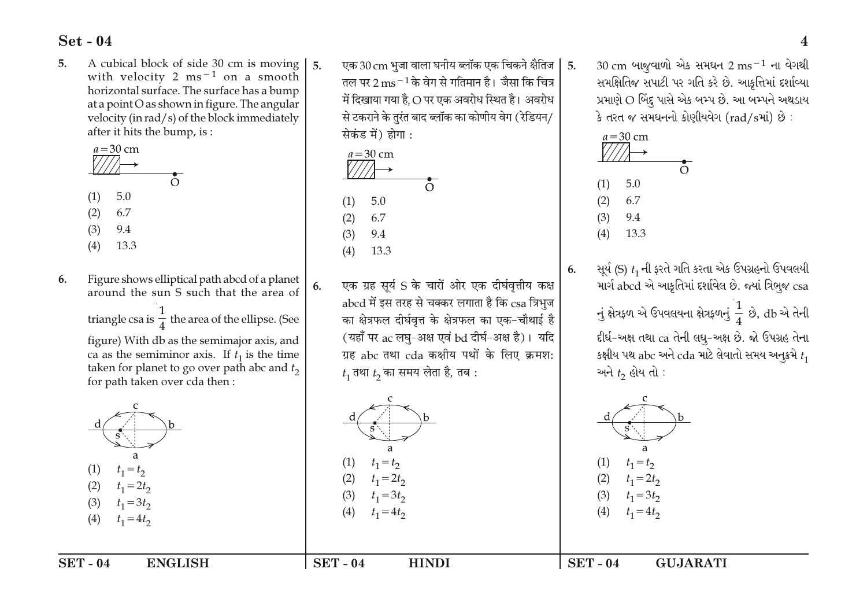A cubical block of side 30 cm is moving  $5<sub>1</sub>$ with velocity 2 ms<sup> $-1$ </sup> on a smooth horizontal surface. The surface has a bump at a point O as shown in figure. The angular velocity (in rad/s) of the block immediately after it hits the bump, is :



Figure shows elliptical path abcd of a planet 6. around the sun S such that the area of

> triangle csa is  $\frac{1}{4}$  the area of the ellipse. (See figure) With db as the semimajor axis, and ca as the semiminor axis. If  $t_1$  is the time taken for planet to go over path abc and  $t_2$ for path taken over cda then:



 $t_1 = 4t_2$  $(4)$ 

 $SET - 04$ **ENGLISH**  एक 30 cm भजा वाला घनीय ब्लॉक एक चिकने क्षैतिज $\,$   $\,$ तल पर 2  $\mathrm{m}\mathrm{s}^{-1}$ के वेग से गतिमान है। जैसा कि चित्र में दिखाया गया है, O पर एक अवरोध स्थित है। अवरोध से टकराने के तुरंत बाद ब्लॉक का कोणीय वेग (रेडियन/ सेकंड में) होगा :

 $5<sub>1</sub>$ 



 $\overline{a}$ 

 $t_1 = t_2$ 

 $t_1 = 2t_2$ 

 $t_1 = 3t_2$ 

 $t_1 = 4t_2$ 

**HINDI** 

 $(1)$ 

 $(4)$ 

 $SET - 04$ 

 $5<sup>1</sup>$ 

6.

एक ग्रह सर्य S के चारों ओर एक दीर्घवृत्तीय कक्ष abcd में इस तरह से चक्कर लगाता है कि csa त्रिभज का क्षेत्रफल दीर्घवृत्त के क्षेत्रफल का एक-चौथाई है (यहाँ पर ac लघ-अक्ष एवं bd दीर्घ-अक्ष है)। यदि ग्रह abc तथा cda कक्षीय पथों के लिए क्रमश:  $t_1$  तथा  $t_2$  का समय लेता है, तब :

 $30 \text{ cm}$  બાજવાળો એક સમઘન 2 ms<sup>-1</sup> ના વેગથી સમક્ષિતિજ સપાટી પર ગતિ કરે છે. આકૃત્તિમાં દર્શાવ્યા પ્રમાણે O બિંદુ પાસે એક બમ્પ છે. આ બમ્પને અથડાય કે તરત જ સમઘનનો કોણીયવેગ (rad/sમાં) છે:



 $t_1 = t_2$ 

 $t_1 = 2t_2$ 

 $t_1 = 3t_2$ 

 $t_1 = 4t_2$ 

**GUJARATI** 

 $SET - 04$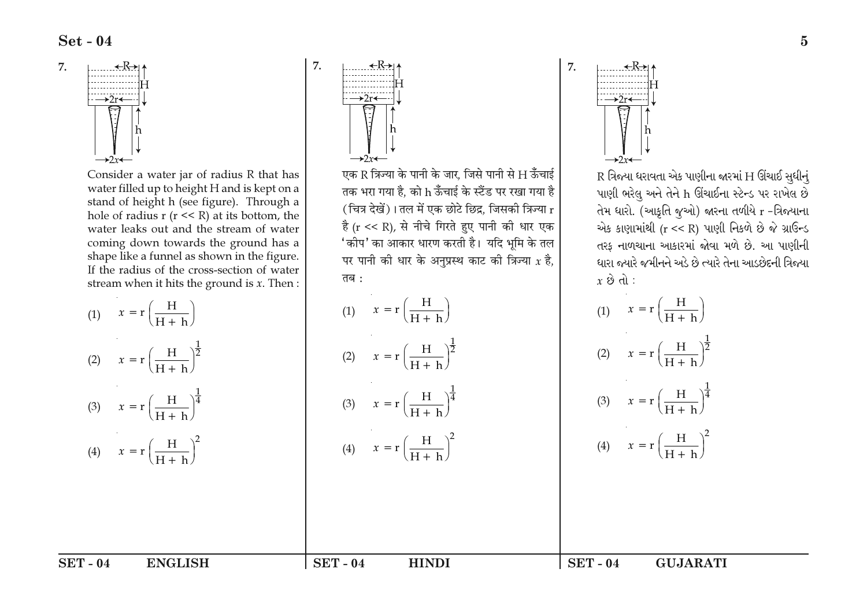7.



Consider a water jar of radius R that has water filled up to height H and is kept on a stand of height h (see figure). Through a hole of radius  $r$  ( $r \ll R$ ) at its bottom, the water leaks out and the stream of water coming down towards the ground has a shape like a funnel as shown in the figure. If the radius of the cross-section of water stream when it hits the ground is  $x$ . Then :

| (1) $x = r \left( \frac{H}{H + h} \right)$               | (1) $x = r \left( \frac{H}{H + h} \right)$               |
|----------------------------------------------------------|----------------------------------------------------------|
| (2) $x = r \left( \frac{H}{H + h} \right)^{\frac{1}{2}}$ | (2) $x = r \left( \frac{H}{H + h} \right)^{\frac{1}{2}}$ |
| (3) $x = r \left( \frac{H}{H+h} \right)^{\frac{1}{4}}$   | (3) $x = r \left( \frac{H}{H + h} \right)^{\frac{1}{4}}$ |
| (4) $x = r \left( \frac{H}{H + h} \right)^2$             | (4) $x = r \left( \frac{H}{H + h} \right)^2$             |
|                                                          |                                                          |
|                                                          |                                                          |

7.

एक R त्रिज्या के पानी के जार, जिसे पानी से H ऊँचाई तक भरा गया है, को h ऊँचाई के स्टैंड पर रखा गया है (चित्र देखें)। तल में एक छोटे छिद्र, जिसकी त्रिज्या r है (r << R), से नीचे गिरते हुए पानी की धार एक 'कीप' का आकार धारण करती है। यदि भूमि के तल पर पानी की धार के अनुप्रस्थ काट की त्रिज्या  $x$  है, तब :

**HINDI** 

$$
\frac{H}{H + h}
$$
\n
$$
\frac{H}{H + h} \bigg)^{\frac{1}{2}}
$$
\n(1)  $x = r \left( \frac{H}{H + h} \right)$ \n(2)  $x = r \left( \frac{H}{H + h} \right)$ \n(3)  $x = r \left( \frac{H}{H + h} \right)$ \n(4)  $x = r \left( \frac{H}{H + h} \right)$ 

 $SET - 04$ 

→2r←

7.

 $R$  ત્રિજ્યા ધરાવતા એક પાણીના જારમાં H ઊંચાઈ સુધીનું પાણી ભરેલુ અને તેને h ઊંચાઈના સ્ટેન્ડ પર રાખેલ છે તેમ ધારો. (આકૃતિ જૂઓ) જારના તળીયે r -ત્રિજ્યાના એક કાણામાંથી (r << R) પાણી નિકળે છે જે ગ્રાઉન્ડ તરક નાળચાના આકારમાં જોવા મળે છે. આ પાણીની ધારા જ્યારે જમીનને અડે છે ત્યારે તેના આડછેદની ત્રિજ્યા  $x \otimes d$ :

(1) 
$$
x = r \left(\frac{H}{H+h}\right)
$$
  
\n(2)  $x = r \left(\frac{H}{H+h}\right)^{\frac{1}{2}}$   
\n(3)  $x = r \left(\frac{H}{H+h}\right)^{\frac{1}{4}}$   
\n(4)  $x = r \left(\frac{H}{H+h}\right)^2$ 

**GUJARATI** 

 $SET - 04$ **ENGLISH**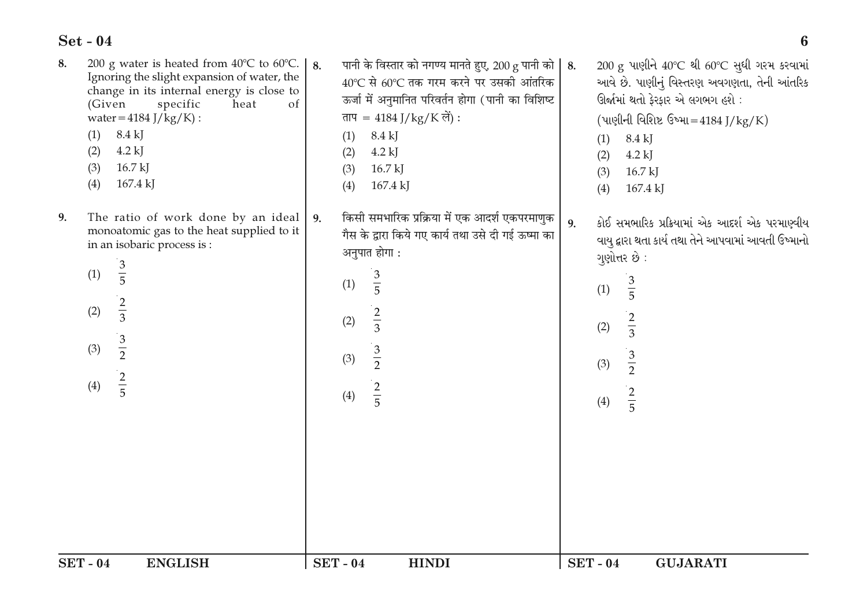|    | <b>SET-04</b><br><b>ENGLISH</b>                                                                                                                                                                                                                                                                     | <b>SET-04</b>                  | <b>HINDI</b>                                                                                                                                                                                                                       | <b>SET-04</b>            | <b>GUJARATI</b>                                                                                                                                                                                                                             |
|----|-----------------------------------------------------------------------------------------------------------------------------------------------------------------------------------------------------------------------------------------------------------------------------------------------------|--------------------------------|------------------------------------------------------------------------------------------------------------------------------------------------------------------------------------------------------------------------------------|--------------------------|---------------------------------------------------------------------------------------------------------------------------------------------------------------------------------------------------------------------------------------------|
|    |                                                                                                                                                                                                                                                                                                     |                                |                                                                                                                                                                                                                                    |                          |                                                                                                                                                                                                                                             |
|    | $\frac{2}{5}$<br>(4)                                                                                                                                                                                                                                                                                | (4)                            | $\frac{2}{5}$                                                                                                                                                                                                                      | (4)                      | $\frac{2}{5}$                                                                                                                                                                                                                               |
|    | $\frac{3}{2}$<br>(3)                                                                                                                                                                                                                                                                                | (3)                            | $rac{3}{2}$                                                                                                                                                                                                                        | (2)<br>(3)               | $rac{3}{2}$                                                                                                                                                                                                                                 |
|    | $rac{2}{3}$<br>(2)                                                                                                                                                                                                                                                                                  | (1)<br>(2)                     | $\frac{3}{5}$<br>$rac{2}{3}$                                                                                                                                                                                                       | (1)                      | $rac{3}{5}$<br>$rac{2}{3}$                                                                                                                                                                                                                  |
| 9. | The ratio of work done by an ideal<br>monoatomic gas to the heat supplied to it<br>in an isobaric process is:<br>$\frac{3}{5}$<br>(1)                                                                                                                                                               | 9.                             | किसी समभारिक प्रक्रिया में एक आदर्श एकपरमाणुक<br>गैस के द्वारा किये गए कार्य तथा उसे दी गई ऊष्मा का<br>अनुपात होगा:                                                                                                                | 9.                       | કોઈ સમભારિક પ્રક્રિયામાં એક આદર્શ એક પરમાણ્વીય<br>વાયુ દ્વારા થતા કાર્ય તથા તેને આપવામાં આવતી ઉષ્માનો<br>ગુણોત્તર છે:                                                                                                                       |
| 8. | 200 g water is heated from $40^{\circ}$ C to $60^{\circ}$ C.<br>Ignoring the slight expansion of water, the<br>change in its internal energy is close to<br>(Given<br>specific<br>heat<br>of<br>water = $4184$ J/kg/K) :<br>8.4 kJ<br>(1)<br>$4.2$ kJ<br>(2)<br>(3)<br>$16.7$ kJ<br>(4)<br>167.4 kJ | 8.<br>(1)<br>(2)<br>(3)<br>(4) | पानी के विस्तार को नगण्य मानते हुए, 200 g पानी को $\mid 8.$<br>40℃ से 60℃ तक गरम करने पर उसकी आंतरिक<br>ऊर्जा में अनुमानित परिवर्तन होगा (पानी का विशिष्ट<br>ताप = 4184 J/kg/K लें) :<br>8.4 kJ<br>$4.2$ kJ<br>16.7 kJ<br>167.4 kJ | (1)<br>(2)<br>(3)<br>(4) | $200$ g પાણીને $40^{\circ}$ C થી 60 $^{\circ}$ C સુધી ગરમ કરવામાં<br>આવે છે. પાણીનું વિસ્તરણ અવગણતા, તેની આંતરિક<br>ઊર્જામાં થતો ફેરફાર એ લગભગ હશે:<br>$($ પાણીની વિશિષ્ટ ઉષ્મા=4184 J/kg/K)<br>8.4 kJ<br>$4.2$ kJ<br>$16.7$ kJ<br>167.4 kJ |

 $\boldsymbol{6}$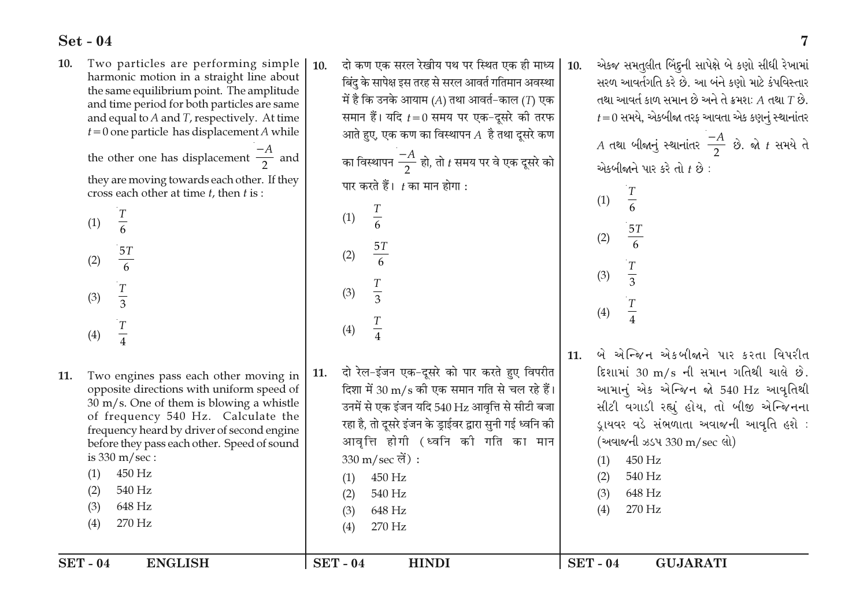Two particles are performing simple 10. harmonic motion in a straight line about the same equilibrium point. The amplitude and time period for both particles are same and equal to  $A$  and  $T$ , respectively. At time  $t=0$  one particle has displacement A while

> the other one has displacement  $\frac{-A}{2}$  and they are moving towards each other. If they cross each other at time  $t$ , then  $t$  is :

| (1) | $\boldsymbol{T}$<br>$\frac{1}{6}$ |  |
|-----|-----------------------------------|--|
| (2) | 5T<br>$\overline{6}$              |  |
| (3) | $rac{T}{3}$                       |  |
| (4) | $\overline{T}$<br>4               |  |
|     |                                   |  |

 $\frac{T}{4}$  $(4)$  $rac{T}{4}$  $(4)$ બે એન્જિન એકબીજાને પાર કરતા વિપરીત  $11.$ दो रेल-इंजन एक-दुसरे को पार करते हुए विपरीत દિશામાં 30 m/s ની સમાન ગતિથી ચાલે છે. 11. Two engines pass each other moving in 11. दिशा में 30 m/s की एक समान गति से चल रहे हैं। આમાનું એક એન્જિન જો 540 Hz આવૃતિથી opposite directions with uniform speed of  $30 \text{ m/s}$ . One of them is blowing a whistle उनमें से एक इंजन यदि 540 Hz आवत्ति से सीटी बजा સીટી વગાડી રહ્યું હોય, તો બીજી એન્જિનના of frequency 540 Hz. Calculate the रहा है, तो दूसरे इंजन के ड्राईवर द्वारा सुनी गई ध्वनि की ડ્રાયવર વડે સંભળાતા અવાજની આવૃતિ હશે : frequency heard by driver of second engine आवृत्ति होगी (ध्वनि की गति का मान (અવાજની ઝડપ 330 m/sec લો) before they pass each other. Speed of sound is  $330 \text{ m/sec}$ :  $330 \text{ m/sec}$  लें) : 450 Hz  $(1)$ 450 Hz  $(1)$ 540 Hz 450 Hz  $(2)$  $(1)$  $(2)$ 540 Hz 540 Hz  $(3)$ 648 Hz  $(2)$  $(3)$ 648 Hz 648 Hz 270 Hz  $(3)$  $(4)$ 270 Hz  $(4)$ 270 Hz  $(4)$  $SET - 04$ **ENGLISH**  $SET - 04$ **HINDI**  $SET - 04$ **GUJARATI** 

दो कण एक सरल रेखीय पथ पर स्थित एक ही माध्य  $10<sup>1</sup>$ बिंदु के सापेक्ष इस तरह से सरल आवर्त गतिमान अवस्था में है कि उनके आयाम (A) तथा आवर्त–काल (T) एक समान हैं। यदि  $t=0$  समय पर एक-दूसरे की तरफ आते हुए, एक कण का विस्थापन $A$  है तथा दुसरे कण का विस्थापन  $\frac{-A}{2}$  हो, तो t समय पर वे एक दूसरे को

पार करते हैं।  $t$  का मान होगा :

 $rac{T}{6}$ 

 $\frac{5T}{6}$ 

 $rac{T}{3}$ 

 $(1)$ 

 $(2)$ 

 $(3)$ 

 $10.$ 

એકજ સમતુલીત બિંદુની સાપેક્ષે બે કણો સીધી રેખામાં સરળ આવર્તગતિ કરે છે. આ બંને કણો માટે કંપવિસ્તાર તથા આવર્ત કાળ સમાન છે અને તે ક્રમશ:  $A$  તથા  $T$  છે.  $t=0$  સમયે, એકબીજા તરફ આવતા એક કણનું સ્થાનાંતર

 $\overline{7}$ 

 $A$  તથા બીજાનું સ્થાનાંતર  $\frac{-A}{2}$  છે. જો  $t$  સમયે તે એકબીજાને પાર કરે તો  $t$  છે:

 $rac{T}{6}$ 

 $\frac{5T}{6}$ 

 $rac{T}{3}$ 

 $(1)$ 

 $(2)$ 

 $(3)$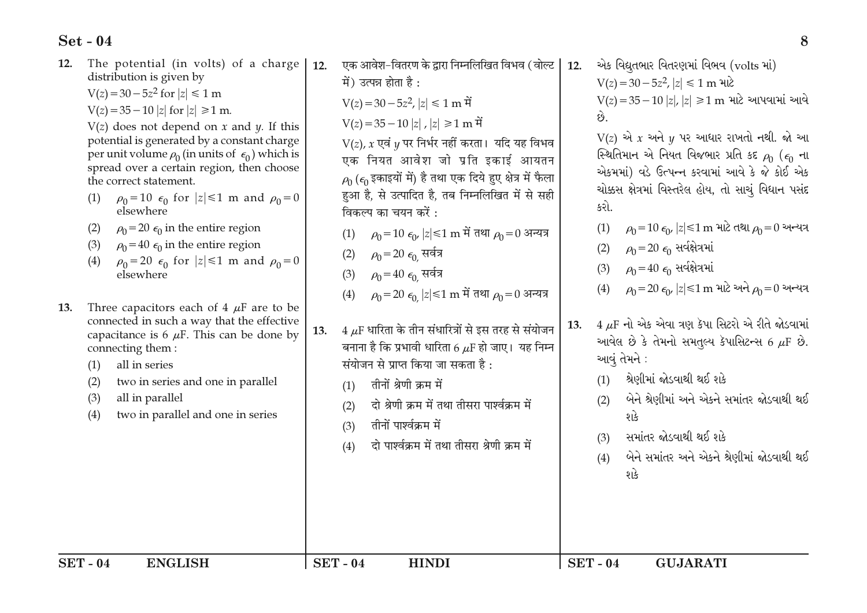| The potential (in volts) of a charge<br>12.<br>distribution is given by<br>$V(z) = 30 - 5z^2$ for $ z  \le 1$ m<br>$V(z) = 35 - 10  z $ for $ z  \ge 1$ m.<br>$V(z)$ does not depend on x and y. If this<br>potential is generated by a constant charge<br>per unit volume $\rho_0$ (in units of $\epsilon_0$ ) which is<br>spread over a certain region, then choose<br>the correct statement.<br>(1)<br>elsewhere<br>$\rho_0 = 20 \epsilon_0$ in the entire region<br>(2)<br>$\rho_0 = 40 \epsilon_0$ in the entire region<br>(3)<br>(4)<br>elsewhere<br>Three capacitors each of 4 $\mu$ F are to be<br>13.<br>connected in such a way that the effective<br>capacitance is 6 $\mu$ F. This can be done by<br>connecting them:<br>all in series<br>(1)<br>two in series and one in parallel<br>(2)<br>(3)<br>all in parallel<br>two in parallel and one in series<br>(4) | $\rho_0 = 10 \epsilon_0$ for $ z  \le 1$ m and $\rho_0 = 0$<br>$\rho_0 = 20 \epsilon_0$ for $ z  \le 1$ m and $\rho_0 = 0$ | 12.<br>13. | (4) | एक आवेश-वितरण के द्वारा निम्नलिखित विभव (वोल्ट  <br>में) उत्पन्न होता है:<br>$V(z) = 30 - 5z^2$ , $ z  \le 1$ m $\hat{H}$<br>$V(z) = 35 - 10  z $ ,  z  ≥1 m में<br>$V(z)$ , x एवं y पर निर्भर नहीं करता। यदि यह विभव<br>एक नियत आवेश जो प्रति इकाई आयतन<br>$\rho_0$ ( $\epsilon_0$ इकाइयों में) है तथा एक दिये हुए क्षेत्र में फैला<br>हुआ है, से उत्पादित है, तब निम्नलिखित में से सही<br>विकल्प का चयन करें :<br>(1) $\rho_0 = 10 \epsilon_0$  z ≤1 m में तथा $\rho_0 = 0$ अन्यत्र<br>(2) $\rho_0 = 20 \epsilon_0$ सर्वत्र<br>(3) $\rho_0 = 40 \epsilon_0$ सर्वत्र<br>$\rho_0$ =20 $\epsilon_0$  z ≤1 m में तथा $\rho_0$ =0 अन्यत्र<br>$4~\mu$ F धारिता के तीन संधारित्रों से इस तरह से संयोजन<br>बनाना है कि प्रभावी धारिता 6 $\mu$ F हो जाए। यह निम्न<br>संयोजन से प्राप्त किया जा सकता है : | 12.<br>13. | છે.<br>કરો.<br>(1)<br>(2)<br>(3)<br>(4) | એક વિદ્યુતભાર વિતરણમાં વિભવ (volts માં)<br>$V(z) = 30 - 5z^2$ , $ z  \le 1$ m માટે<br>$V(z) = 35 - 10  z ,  z  ≥ 1$ m માટે આપવામાં આવે<br>$V(z)$ એ $x$ અને $y$ પર આધાર રાખતો નથી. જો આ<br>સ્થિતિમાન એ નિયત વિજભાર પ્રતિ કદ $\rho_0$ ( $\epsilon_0$ ના<br>એકમમાં) વડે ઉત્પન્ન કરવામાં આવે કે જે કોઈ એક<br>ચોક્કસ ક્ષેત્રમાં વિસ્તરેલ હોય, તો સાચું વિધાન પસંદ<br>$\rho_0 = 10 \epsilon_0$ , $ z  \le 1$ m માટે તથા $\rho_0 = 0$ અન્યત્ર<br>$\rho_0$ =20 $\epsilon_0$ સર્વક્ષેત્રમાં<br>$\rho_0 = 40 \epsilon_0$ સર્વક્ષેત્રમાં<br>$\rho_0 = 20 \epsilon_0$ , $ z  \le 1$ m માટે અને $\rho_0 = 0$ અન્યત્ર<br>$4 \mu$ F નો એક એવા ત્રણ કેપા સિટરો એ રીતે જોડવામાં<br>આવેલ છે કે તેમનો સમતુલ્ય કૅપાસિટન્સ 6 $\mu$ F છે.<br>આવું તેમને : |
|-----------------------------------------------------------------------------------------------------------------------------------------------------------------------------------------------------------------------------------------------------------------------------------------------------------------------------------------------------------------------------------------------------------------------------------------------------------------------------------------------------------------------------------------------------------------------------------------------------------------------------------------------------------------------------------------------------------------------------------------------------------------------------------------------------------------------------------------------------------------------------|----------------------------------------------------------------------------------------------------------------------------|------------|-----|---------------------------------------------------------------------------------------------------------------------------------------------------------------------------------------------------------------------------------------------------------------------------------------------------------------------------------------------------------------------------------------------------------------------------------------------------------------------------------------------------------------------------------------------------------------------------------------------------------------------------------------------------------------------------------------------------------------------------------------------------------------------------------------------------|------------|-----------------------------------------|-------------------------------------------------------------------------------------------------------------------------------------------------------------------------------------------------------------------------------------------------------------------------------------------------------------------------------------------------------------------------------------------------------------------------------------------------------------------------------------------------------------------------------------------------------------------------------------------------------------------------------------------------------------------------------------------------------------------------------------|
|-----------------------------------------------------------------------------------------------------------------------------------------------------------------------------------------------------------------------------------------------------------------------------------------------------------------------------------------------------------------------------------------------------------------------------------------------------------------------------------------------------------------------------------------------------------------------------------------------------------------------------------------------------------------------------------------------------------------------------------------------------------------------------------------------------------------------------------------------------------------------------|----------------------------------------------------------------------------------------------------------------------------|------------|-----|---------------------------------------------------------------------------------------------------------------------------------------------------------------------------------------------------------------------------------------------------------------------------------------------------------------------------------------------------------------------------------------------------------------------------------------------------------------------------------------------------------------------------------------------------------------------------------------------------------------------------------------------------------------------------------------------------------------------------------------------------------------------------------------------------|------------|-----------------------------------------|-------------------------------------------------------------------------------------------------------------------------------------------------------------------------------------------------------------------------------------------------------------------------------------------------------------------------------------------------------------------------------------------------------------------------------------------------------------------------------------------------------------------------------------------------------------------------------------------------------------------------------------------------------------------------------------------------------------------------------------|

8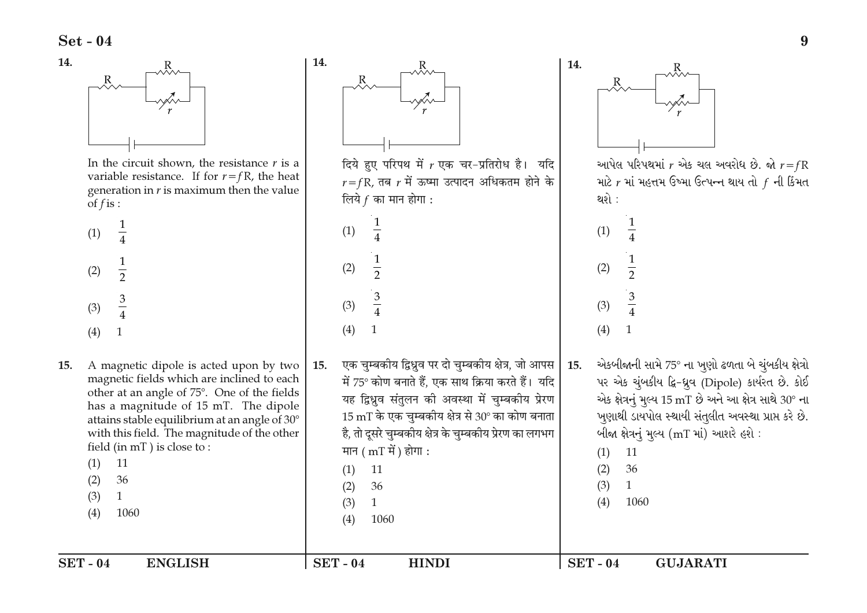14.



In the circuit shown, the resistance  $r$  is a variable resistance. If for  $r = fR$ , the heat generation in  $r$  is maximum then the value of  $f$  is :

| (1) | 1<br>$\overline{4}$            |  |  |
|-----|--------------------------------|--|--|
| (2) | $\mathbf{1}$<br>$\overline{2}$ |  |  |
| (3) | $rac{3}{4}$                    |  |  |
| (4) | 1                              |  |  |

15. A magnetic dipole is acted upon by two 15. magnetic fields which are inclined to each other at an angle of 75°. One of the fields has a magnitude of 15 mT. The dipole attains stable equilibrium at an angle of 30° with this field. The magnitude of the other field (in mT) is close to:  $(1)$ 11  $(2)$ 36

**ENGLISH** 

- $(3)$  $\mathbf{1}$
- 1060  $(4)$

 $SET - 04$ 



1060

**HINDI** 

 $(4)$ 

 $SET - 04$ 

આપેલ પરિપથમાં  $r$  એક ચલ અવરોધ છે. જો  $r = fR$ માટે  $r$  માં મહત્તમ ઉષ્મા ઉત્પન્ન થાય તો  $\,$  ની કિંમત

એકબીજાની સામે 75° ના ખૂણો ઢળતા બે ચૂંબકીય ક્ષેત્રો પર એક ચુંબકીય દ્વિ-ધ્રૂવ (Dipole) કાર્યરત છે. કોઈ એક ક્ષેત્રનું મૂલ્ય 15 mT છે અને આ ક્ષેત્ર સાથે 30° ના ખૂણાથી ડાયપોલ સ્થાયી સંતુલીત અવસ્થા પ્રાપ્ત કરે છે. બીજા ક્ષેત્રનું મુલ્ય (mT માં) આશરે હશે:

**GUJARATI** 

 $SET - 04$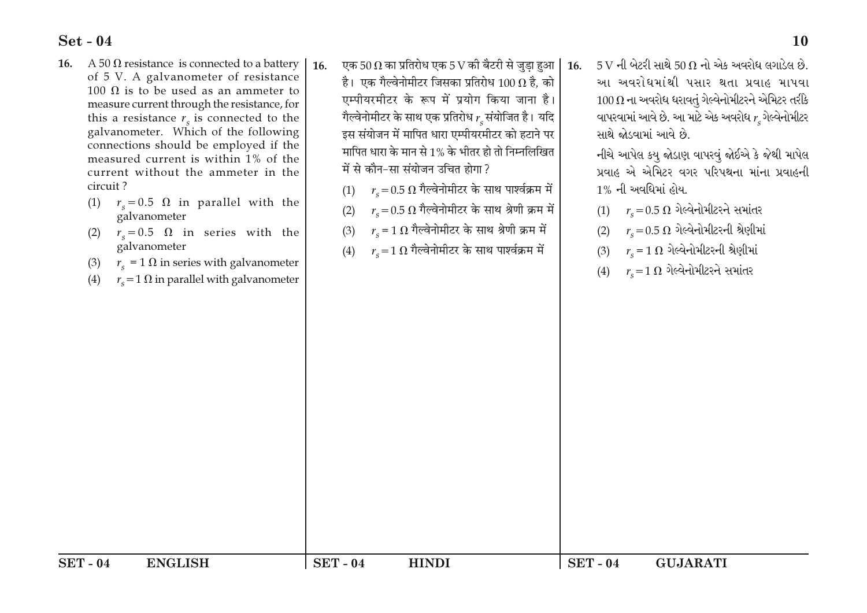- 16. A 50  $\Omega$  resistance is connected to a battery of 5 V. A galvanometer of resistance 100 Ω is to be used as an ammeter to measure current through the resistance, for this a resistance  $r<sub>s</sub>$  is connected to the galvanometer. Which of the following connections should be employed if the measured current is within 1% of the current without the ammeter in the circuit?
	- (1)  $r_s = 0.5 \Omega$  in parallel with the galvanometer
	- (2)  $r_e = 0.5 \Omega$  in series with the galvanometer
	- $(3)$  $r_c$  = 1  $\Omega$  in series with galvanometer
	- $r_s = 1 \Omega$  in parallel with galvanometer  $(4)$
- 16. एक 50  $\Omega$  का प्रतिरोध एक 5 V की बैटरी से जड़ा हुआ  $16<sup>1</sup>$ है। एक गैल्वेनोमीटर जिसका प्रतिरोध 100  $\Omega$  है, को एम्पीयरमीटर के रूप में प्रयोग किया जाना है। गैल्वेनोमीटर के साथ एक प्रतिरोध  $r_c$ संयोजित है। यदि इस संयोजन में मापित धारा एम्पीयरमीटर को हटाने पर मापित धारा के मान से 1% के भीतर हो तो निम्नलिखित में से कौन-सा संयोजन उचित होगा?
	- $r_c\!=\!0.5~\Omega$  गैल्वेनोमीटर के साथ पार्श्वक्रम में  $(1)$
	- $r_c$  = 0.5  $\Omega$  गैल्वेनोमीटर के साथ श्रेणी क्रम में  $(2)$
	- $r_{\rm e}$  = 1  $\Omega$  गैल्वेनोमीटर के साथ श्रेणी क्रम में  $(3)$
	- $r_c \!=\! 1~\Omega$  गैल्वेनोमीटर के साथ पार्श्वक्रम में  $(4)$

**HINDI** 

 $SET - 04$ 

 $5V$  ની બેટરી સાથે  $50\Omega$  નો એક અવરોધ લગાડેલ છે. આ અવરોધમાંથી પસાર થતા પ્રવાહ માપવા  $100\,\Omega$  ના અવરોધ ધરાવતું ગેલ્વેનોમીટરને એમિટર તરીકે વાપરવામાં આવે છે. આ માટે એક અવરોધ  $r_{\rm s}$ ગેલ્વેનોમીટર સાથે જોડવામાં આવે છે.

નીચે આપેલ કયૂ જોડાણ વાપરવું જોઈએ કે જેથી માપેલ પ્રવાહ એ એમિટર વગર પરિપથના માંના પ્રવાહની <u>1% ની અવધિમાં હોય.</u>

- $(1)$   $r_c = 0.5 \Omega$  ગેલ્વેનોમીટરને સમાંતર
- $r_c\!=\!0.5~\Omega$  ગેલ્વેનોમીટરની શ્રેણીમાં  $(2)$

**GUJARATI** 

- $r_c$  = 1  $\Omega$  ગેલ્વેનોમીટરની શ્રેણીમાં  $(3)$
- (4)  $r_c = 1 \Omega$  ગેલ્વેનોમીટરને સમાંતર

 $SET - 04$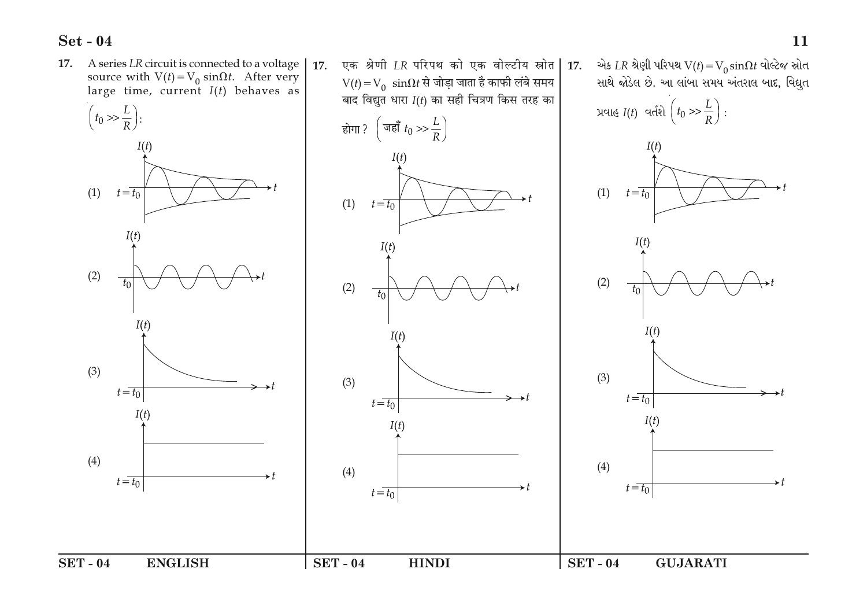

11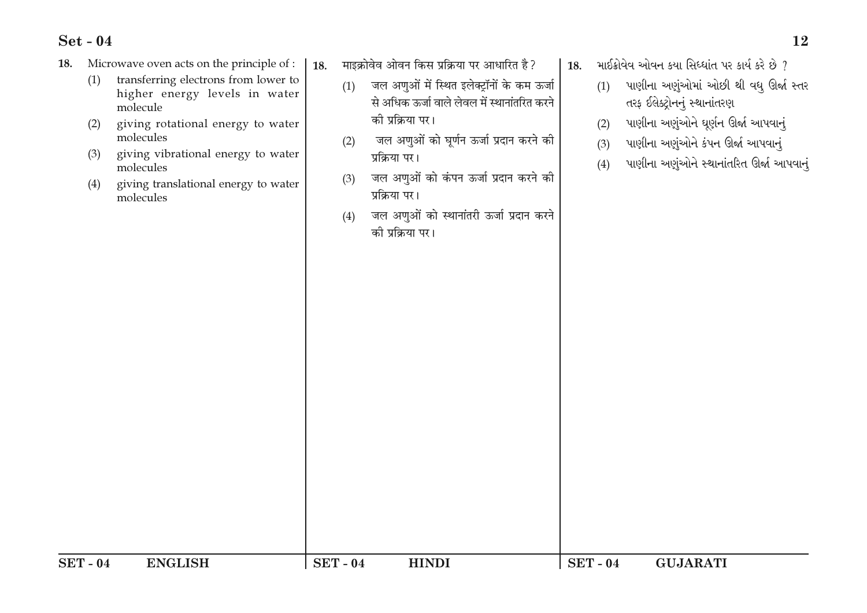- Microwave oven acts on the principle of : 18.
	- transferring electrons from lower to  $(1)$ higher energy levels in water molecule
	- $(2)$ giving rotational energy to water molecules
	- giving vibrational energy to water  $(3)$ molecules
	- giving translational energy to water  $(4)$ molecules
- 18. माइक्रोवेव ओवन किस प्रक्रिया पर आधारित है?
	- जल अणुओं में स्थित इलेक्ट्रॉनों के कम ऊर्जा  $(1)$ से अधिक ऊर्जा वाले लेवल में स्थानांतरित करने की प्रक्रिया पर।
	- जल अणुओं को घूर्णन ऊर्जा प्रदान करने की  $(2)$ प्रक्रिया पर।
	- जल अणुओं को कंपन ऊर्जा प्रदान करने की  $(3)$ प्रक्रिया पर।
	- जल अणुओं को स्थानांतरी ऊर्जा प्रदान करने  $(4)$ को प्रक्रिया पर।
- $18.$  માઈક્રોવેવ ઓવન કયા સિધ્ધાંત પર કાર્ય કરે છે  $7$ 
	- પાણીના અણુંઓમાં ઓછી થી વધ્ ઊર્જા સ્તર  $(1)$ તરફ ઈલેક્ટ્રોનનું સ્થાનાંતરણ
	- પાણીના અણુંઓને ઘૂર્ણન ઊર્જા આપવાનું  $(2)$
	- પાણીના અણુંઓને કંપન ઊર્જા આપવાનં  $(3)$
	- પાણીના અણુંઓને સ્થાનાંતરિત ઊર્જા આપવાનું  $(4)$

| <b>SET</b><br>-04 | <b>ENGLISH</b> | <b>SET</b><br>$-04$ | <b>HINDI</b> | <b>SET</b><br>$-04$ | <b>GUJARATI</b> |
|-------------------|----------------|---------------------|--------------|---------------------|-----------------|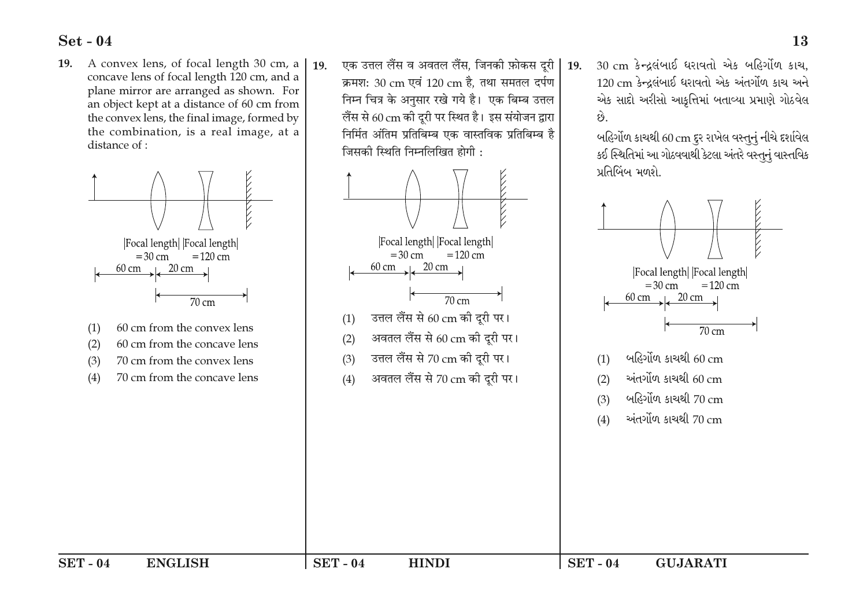A convex lens, of focal length 30 cm, a 19. concave lens of focal length 120 cm, and a plane mirror are arranged as shown. For an object kept at a distance of 60 cm from the convex lens, the final image, formed by the combination, is a real image, at a distance of :



- 60 cm from the concave lens
- $(2)$ 70 cm from the convex lens  $(3)$
- $(4)$ 70 cm from the concave lens

एक उत्तल लैंस व अवतल लैंस. जिनकी फ़ोकस दरी  $19<sub>1</sub>$ क्रमश: 30 cm एवं 120 cm है, तथा समतल दर्पण निम्न चित्र के अनुसार रखे गये है। एक बिम्ब उत्तल लैंस से 60 cm की दूरी पर स्थित है। इस संयोजन द्वारा निर्मित अंतिम प्रतिबिम्ब एक वास्तविक प्रतिबिम्ब है जिसको स्थिति निम्नलिखित होगी :



30 cm કેન્દ્રલંબાઈ ધરાવતો એક બહિર્ગોળ કાચ. 120 cm કેન્દ્રલંબાઈ ધરાવતો એક અંતર્ગોળ કાચ અને એક સાદો અરીસો આકૃત્તિમાં બતાવ્યા પ્રમાણે ગોઠવેલ છે.

 $19<sub>1</sub>$ 

બહિર્ગોળ કાચથી 60 cm દૂર રાખેલ વસ્તુનું નીચે દર્શાવેલ કઈ સ્થિતિમાં આ ગોઠવવાથી કેટલા અંતરે વસ્તુનું વાસ્તવિક પ્રતિબિંબ મળશે.



**HINDI**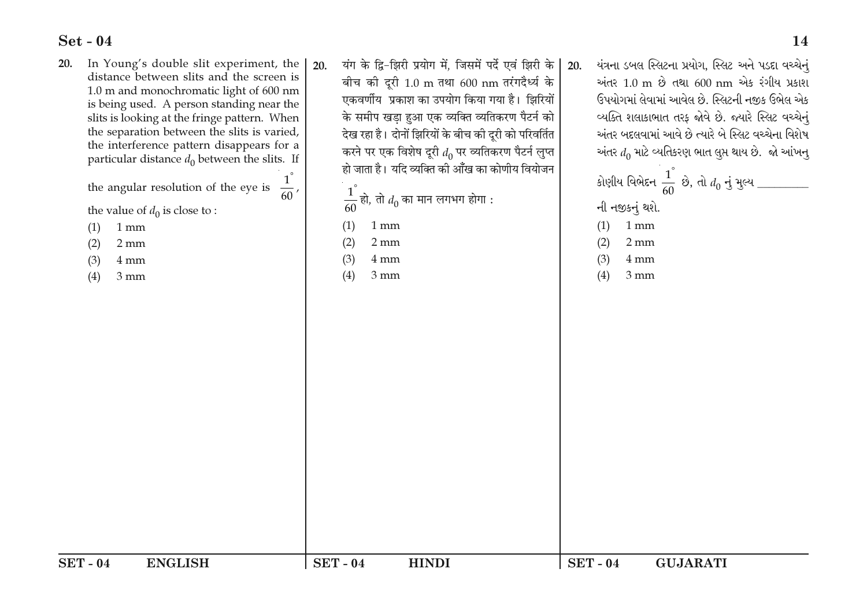20.

- In Young's double slit experiment, the यंग के द्वि-झिरी प्रयोग में. जिसमें पर्दे एवं झिरी के  $20<sup>1</sup>$ distance between slits and the screen is बीच की दूरी 1.0 m तथा 600 nm तरंगदैर्ध्य के 1.0 m and monochromatic light of 600 nm एकवर्णीय प्रकाश का उपयोग किया गया है। झिरियों is being used. A person standing near the के समीप खड़ा हुआ एक व्यक्ति व्यतिकरण पैटर्न को slits is looking at the fringe pattern. When the separation between the slits is varied, देख रहा है। दोनों झिरियों के बीच की दुरी को परिवर्तित the interference pattern disappears for a करने पर एक विशेष दूरी  $d_0$  पर व्यतिकरण पैटर्न लुप्त particular distance  $d_0$  between the slits. If हो जाता है। यदि व्यक्ति की आँख का कोणीय वियोजन the angular resolution of the eye is  $\frac{1}{60}$ ,  $\frac{1}{60}$  हो, तो  $d_0$  का मान लगभग होगा : the value of  $d_0$  is close to :  $(1)$  $1 \text{ mm}$  $(1)$  $1 \text{ mm}$  $(2)$  $(2)$  $2 \text{ mm}$  $2 \text{ mm}$  $(3)$  $4 \text{ mm}$  $(3)$  $4 \text{ mm}$  $(4)$  $3 \text{ mm}$  $(4)$  $3 \text{ mm}$
- યંત્રના ડબલ સ્લિટના પ્રયોગ, સ્લિટ અને પડદા વચ્ચેનું  $20.$ અંતર 1.0 m છે તથા 600 nm એક રંગીય પ્રકાશ ઉપયોગમાં લેવામાં આવેલ છે. સ્લિટની નજીક ઉભેલ એક વ્યક્તિ શલાકાભાત તરફ જોવે છે. જ્યારે સ્લિટ વચ્ચેનું અંતર બદલવામાં આવે છે ત્યારે બે સ્લિટ વચ્ચેના વિશેષ અંતર  $d_0$  માટે વ્યતિકરણ ભાત લુપ્ત થાય છે. જો આંખનુ
	- કોણીય વિભેદન $\frac{1}{60}$  છે, તો  $d_0$  નું મુલ્ય \_\_\_\_\_\_\_\_ ની નજીકનું થશે.  $(1)$  $1 \text{ mm}$
	- $(2)$  $2 \text{ mm}$
	- $(3)$  $4 \text{ mm}$
	- $(4)$  $3 \text{ mm}$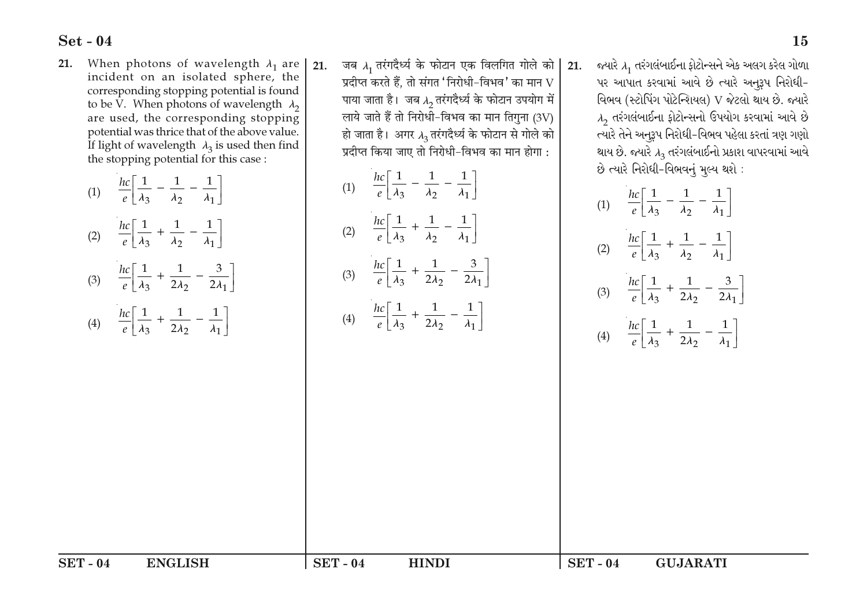- When photons of wavelength  $\lambda_1$  are 21. incident on an isolated sphere, the corresponding stopping potential is found to be V. When photons of wavelength  $\lambda_2$ are used, the corresponding stopping potential was thrice that of the above value. If light of wavelength  $\lambda_3$  is used then find the stopping potential for this case:
	- (1)  $\frac{hc}{e} \left[ \frac{1}{\lambda_3} \frac{1}{\lambda_2} \frac{1}{\lambda_1} \right]$ (2)  $\frac{hc}{e} \left[ \frac{1}{\lambda_3} + \frac{1}{\lambda_2} - \frac{1}{\lambda_1} \right]$ (3)  $\frac{hc}{e} \left[ \frac{1}{\lambda_3} + \frac{1}{2\lambda_2} - \frac{3}{2\lambda_1} \right]$ (4)  $\frac{hc}{e} \left[ \frac{1}{\lambda_2} + \frac{1}{2\lambda_2} - \frac{1}{\lambda_1} \right]$

21. जब  $\lambda_1$  तरंगदैर्ध्य के फोटान एक विलगित गोले को प्रदीप्त करते हैं. तो संगत 'निरोधी-विभव' का मान  ${\rm V}$ पाया जाता है। जब  $\lambda_2$  तरंगदैर्ध्य के फोटान उपयोग में लाये जाते हैं तो निरोधी-विभव का मान तिगुना (3V) हो जाता है। अगर  $\lambda_2$  तरंगदैर्ध्य के फोटान से गोले को प्रदीप्त किया जाए तो निरोधी-विभव का मान होगा :

(1) 
$$
\frac{hc}{e} \left[ \frac{1}{\lambda_3} - \frac{1}{\lambda_2} - \frac{1}{\lambda_1} \right]
$$
  
(2) 
$$
\frac{hc}{e} \left[ \frac{1}{\lambda_3} + \frac{1}{\lambda_2} - \frac{1}{\lambda_1} \right]
$$
  
(3) 
$$
\frac{hc}{e} \left[ \frac{1}{\lambda_3} + \frac{1}{2\lambda_2} - \frac{3}{2\lambda_1} \right]
$$

$$
(4) \quad \frac{hc}{e} \bigg[ \frac{1}{\lambda_3} + \frac{1}{2\lambda_2} - \frac{1}{\lambda_1} \bigg]
$$

જ્યારે  $\lambda_1$  તરંગલંબાઈના ફોટોન્સને એક અલગ કરેલ ગોળા  $21.$ પર આપાત કરવામાં આવે છે ત્યારે અનુરૂપ નિરોધી-વિભવ (સ્ટોપિંગ પોટેન્શિયલ) V જેટલો થાય છે. જ્યારે  $\lambda_2$  તરંગલંબાઈના ફોટોન્સનો ઉપયોગ કરવામાં આવે છે ત્યારે તેને અનુરૂપ નિરોધી-વિભવ પહેલા કરતાં ત્રણ ગણો થાય છે. જ્યારે ∧<sub>ર</sub> તરંગલંબાઈનો પ્રકાશ વાપરવામાં આવે છે ત્યારે નિરોધી-વિભવનું મૂલ્ય થશે:

| (1) | $\frac{hc}{e} \left[ \frac{1}{\lambda_3} \right] -$<br>$-\frac{1}{\lambda_2}$<br>$\left\lfloor \frac{1}{\lambda_1} \right\rfloor$ |
|-----|-----------------------------------------------------------------------------------------------------------------------------------|
| (2) | $\left\lfloor \frac{1}{\lambda_1} \right\rfloor$<br>$\frac{hc}{e} \left[ \frac{1}{\lambda_3} + \frac{1}{\lambda_2} \right]$       |
| (3) | $\frac{hc}{e} \left[ \frac{1}{\lambda_3} + \frac{1}{2\lambda_2} \right]$<br>$\left[\frac{3}{2\lambda_1}\right]$                   |
| (4) | $\frac{hc}{e} \left[ \frac{1}{\lambda_3} + \frac{1}{2\lambda_2} \right]$<br>$\left\lfloor \frac{1}{\lambda_1} \right\rfloor$      |

 $SET - 04$ **ENGLISH**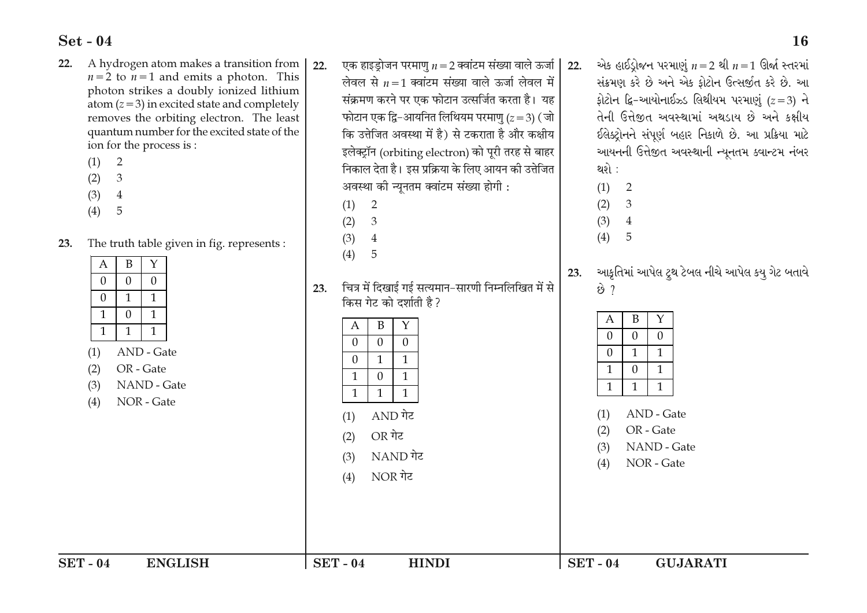- A hydrogen atom makes a transition from 22.  $n=2$  to  $n=1$  and emits a photon. This photon strikes a doubly ionized lithium atom  $(z=3)$  in excited state and completely removes the orbiting electron. The least quantum number for the excited state of the ion for the process is:
	- $(1)$ 2
	- $\mathfrak{Z}$  $(2)$
	- $(3)$  $\overline{4}$
	- $(4)$ 5
- The truth table given in fig. represents:  $23$

| B<br>$\mathbf{Y}$<br>A<br>23.<br>$\overline{0}$<br>$\overline{0}$<br>$\theta$<br>चित्र में दिखाई गई सत्यमान-सारणी निम्नलिखित में से<br>$\dot{\vartheta}$ ?<br>23.<br>$\mathbf{1}$<br>$\overline{0}$<br>$\mathbf{1}$<br>किस गेट को दर्शाती है?<br>$\mathbf{1}$<br>$\overline{0}$<br>$\mathbf{1}$<br>B<br>Y<br>$\boldsymbol{A}$<br>B<br>Y<br>A<br>1<br>$\mathbf{1}$<br>1<br>$\theta$<br>$\Omega$<br>$\overline{0}$<br>$\overline{0}$<br>$\overline{0}$<br>$\overline{0}$<br>AND - Gate<br>$\theta$<br>$\mathbf{1}$<br>(1)<br>1<br>$\overline{0}$<br>$\mathbf{1}$<br>OR - Gate<br>(2)<br>$\mathbf{1}$<br>$\overline{0}$<br>1 | NAND - Gate<br>(3)<br>NOR - Gate<br>(4)<br><b>SET - 04</b><br><b>ENGLISH</b> | $\mathbf{1}$<br>$\mathbf{1}$<br>$\mathbf{1}$<br>AND गेट<br>(1)<br>OR गेट<br>(2)<br>NAND गेट<br>(3)<br>NOR गेट<br>(4)<br>$SET - 04$<br><b>HINDI</b> | $\mathbf{1}$<br>1<br>1<br>AND - Gate<br>(1)<br>OR - Gate<br>(2)<br>NAND - Gate<br>(3)<br>NOR - Gate<br>(4)<br>$SET - 04$<br><b>GUJARATI</b> |
|---------------------------------------------------------------------------------------------------------------------------------------------------------------------------------------------------------------------------------------------------------------------------------------------------------------------------------------------------------------------------------------------------------------------------------------------------------------------------------------------------------------------------------------------------------------------------------------------------------------------------|------------------------------------------------------------------------------|----------------------------------------------------------------------------------------------------------------------------------------------------|---------------------------------------------------------------------------------------------------------------------------------------------|
|                                                                                                                                                                                                                                                                                                                                                                                                                                                                                                                                                                                                                           |                                                                              | (4)<br>5<br>$\mathbf{1}$<br>$\Omega$<br>$\mathbf{1}$                                                                                               | આકૃતિમાં આપેલ ટ્ર્થ ટેબલ નીચે આપેલ                                                                                                          |

22. एक हाइड्रोजन परमाणु  $n = 2$  क्वांटम संख्या वाले ऊर्जा | लेवल से  $n=1$  क्वांटम संख्या वाले ऊर्जा लेवल में संक्रमण करने पर एक फोटान उत्सर्जित करता है। यह फोटान एक द्वि-आयनित लिथियम परमाणु ( $z = 3$ ) (जो कि उत्तेजित अवस्था में है) से टकराता है और कक्षीय इलेक्ट्रॉन (orbiting electron) को पूरी तरह से बाहर निकाल देता है। इस प्रक्रिया के लिए आयन की उत्तेजित अवस्था की न्यूनतम क्वांटम संख्या होगी :

- $(1)$ 2
- $(2)$ 3
- $(3)$  $\overline{4}$

એક હાઈડ્રોજન પરમાણું  $n=2$  થી  $n=1$  ઊર્જા સ્તરમાં  $22.$ સંક્રમણ કરે છે અને એક ફોટોન ઉત્સર્જીત કરે છે. આ ફોટોન દ્વિ-આયોનાઈઝ્ડ લિથીયમ પરમાણું  $(z=3)$  ને તેની ઉત્તેજીત અવસ્થામાં અથડાય છે અને કક્ષીય ઈલેક્ટ્રોનને સંપૂર્ણ બહાર નિકાળે છે. આ પ્રક્રિયા માટે આયનની ઉત્તેજીત અવસ્થાની ન્યૂનતમ ક્વાન્ટમ નંબર થશે :

- $(1)$ 2
- $(2)$ 3
- $\overline{4}$  $(3)$  $(4)$ 5

કય ગેટ બતાવે

**16**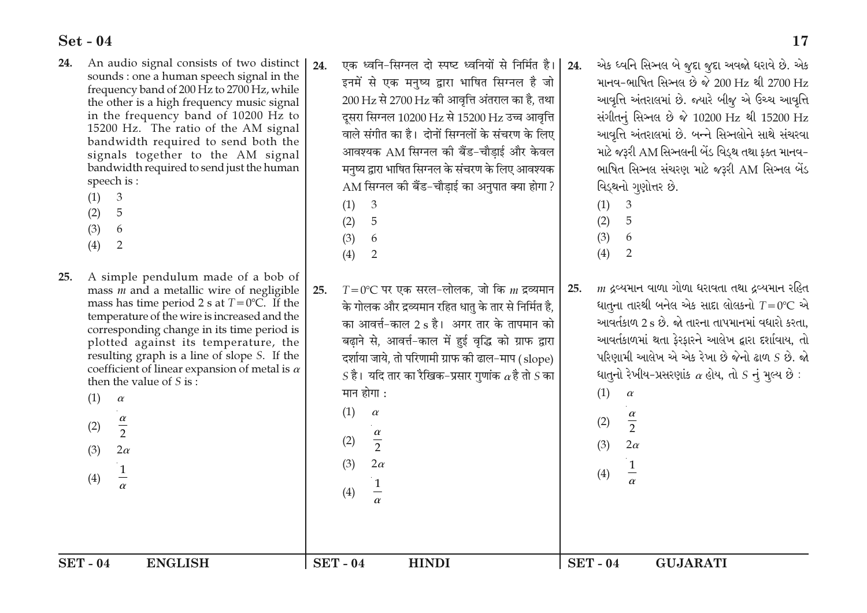- An audio signal consists of two distinct 24. sounds : one a human speech signal in the frequency band of 200 Hz to 2700 Hz, while the other is a high frequency music signal in the frequency band of 10200 Hz to 15200 Hz. The ratio of the AM signal bandwidth required to send both the signals together to the AM signal bandwidth required to send just the human speech is:
	- $(1)$ 3
	- 5  $(2)$
	- $(3)$ 6
	- $(4)$ 2
- 25. A simple pendulum made of a bob of mass  *and a metallic wire of negligible* mass has time period 2 s at  $T=0$ °C. If the temperature of the wire is increased and the corresponding change in its time period is plotted against its temperature, the resulting graph is a line of slope S. If the coefficient of linear expansion of metal is  $\alpha$ then the value of S is  $\cdot$ 
	- $(1)$  $\alpha$  $\frac{\alpha}{2}$  $(2)$
	- $2\alpha$  $(3)$  $\frac{1}{1}$  $(4)$

एक ध्वनि-सिग्नल दो स्पष्ट ध्वनियों से निर्मित है।  $24$ इनमें से एक मनुष्य द्वारा भाषित सिग्नल है जो 200 Hz से 2700 Hz की आवृत्ति अंतराल का है, तथा दूसरा सिग्नल 10200 Hz से 15200 Hz उच्च आवृत्ति वाले संगीत का है। दोनों सिग्नलों के संचरण के लिए आवश्यक AM सिग्नल की बैंड-चौडाई और केवल मनृष्य द्वारा भाषित सिग्नल के संचरण के लिए आवश्यक AM सिग्नल की बैंड-चौडाई का अनुपात क्या होगा ?

- $(1)$ 3
- 5  $(2)$
- $(3)$ 6
- $(4)$ 2

 $T = 0$ °C पर एक सरल−लोलक, जो कि  $m$  द्रव्यमान 25. के गोलक और द्रव्यमान रहित धातु के तार से निर्मित है. का आवर्त्त-काल 2 s है। अगर तार के तापमान को बढाने से, आवर्त्त-काल में हुई वृद्धि को ग्राफ द्वारा दर्शाया जाये, तो परिणामी ग्राफ की ढाल-माप (slope)  $S$  है। यदि तार का रैखिक–प्रसार गुणांक  $\alpha$  है तो  $S$  का मान होगा :

> $(1)$  $\alpha$

 $(3)$ 

 $(4)$ 

- $\frac{\alpha}{2}$  $(2)$ 
	- $2\alpha$

 $\mathbf{1}$ 

- $\frac{\alpha}{2}$  $2\alpha$
- $\frac{1}{1}$  $(4)$

 $(3)$ 

એક ધ્વનિ સિગ્નલ બે જુદા જુદા અવજો ધરાવે છે. એક માનવ-ભાષિત સિઅલ છે જે 200 Hz થી 2700 Hz આવૃત્તિ અંતરાલમાં છે. જ્યારે બીજુ એ ઉચ્ચ આવૃત્તિ સંગીતનું સિગ્નલ છે જે 10200 Hz થી 15200 Hz આવૃત્તિ અંતરાલમાં છે. બન્ને સિઞ્નલોને સાથે સંચરવા માટે જરૂરી AM સિગ્નલની બેંડ વિડ્થ તથા ફક્ત માનવ-ભાષિત સિગ્નલ સંચરણ માટે જરૂરી AM સિગ્નલ બેંડ વિડ્થનો ગુણોત્તર છે.

 $(1)$ 3  $(2)$ 5  $(3)$ 6

24.

 $25.$ 

- $(4)$ 2
- $m$  ઢવ્યમાન વાળા ગોળા ધરાવતા તથા દ્રવ્યમાન રહિત ધાતના તારથી બનેલ એક સાદા લોલકનો  $T=0^{\circ}\text{C}$  એ આવર્તકાળ 2 s છે. જો તારના તાપમાનમાં વધારો કરતા, આવર્તકાળમાં થતા ફેરફારને આલેખ દ્વારા દર્શાવાય, તો પરિણામી આલેખ એ એક રેખા છે જેનો ઢાળ  $S$  છે. જો ધાતૃનો રેખીય-પ્રસરણાંક  $\alpha$  હોય, તો  $S$  નું મૂલ્ય છે :
- $(1)$  $\alpha$  $(2)$

**HINDI** 

 $SET - 04$ **GUJARATI**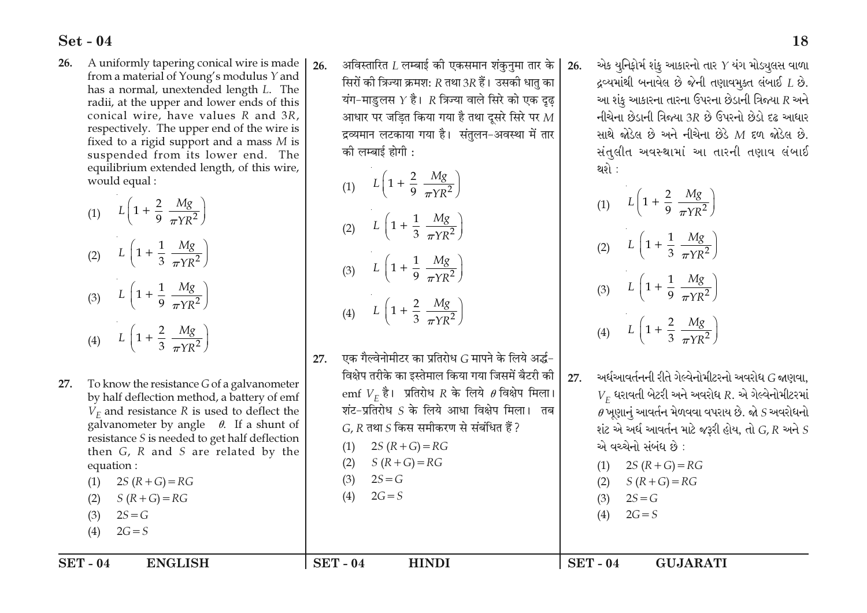A uniformly tapering conical wire is made 26. from a material of Young's modulus Y and has a normal, unextended length L. The radii, at the upper and lower ends of this conical wire, have values R and 3R, respectively. The upper end of the wire is fixed to a rigid support and a mass  $M$  is suspended from its lower end. The equilibrium extended length, of this wire, would equal:

(1) 
$$
L\left(1 + \frac{2}{9} \frac{Mg}{\pi Y R^2}\right)
$$
  
\n(2)  $L\left(1 + \frac{1}{3} \frac{Mg}{\pi Y R^2}\right)$   
\n(3)  $L\left(1 + \frac{1}{9} \frac{Mg}{\pi Y R^2}\right)$   
\n(4)  $L\left(1 + \frac{2}{3} \frac{Mg}{\pi Y R^2}\right)$ 

(4)  $L\left(1+\frac{2}{3}\frac{Mg}{-VP^2}\right)$ (4)  $L\left(1+\frac{2}{3}\frac{Mg}{-M^2}\right)$ एक गैल्वेनोमीटर का प्रतिरोध G मापने के लिये अर्द्ध- $27.$ विक्षेप तरीके का इस्तेमाल किया गया जिसमें बैटरी की ્અર્ધઆવર્તનની રીતે ગેલ્વેનોમીટરનો અવરોધ *G* જાણવા. 27. 27. To know the resistance G of a galvanometer emf  $V_F$  है। प्रतिरोध R के लिये  $\theta$  विक्षेप मिला।  $V_F$  ધરાવતી બેટરી અને અવરોધ  $R$ . એ ગેલ્વેનોમીટરમાં by half deflection method, a battery of emf शंट-प्रतिरोध S के लिये आधा विक्षेप मिला। तब  $\theta$  ખુણાનું આવર્તન મેળવવા વપરાય છે. જો  $S$  અવરોધનો  $V<sub>F</sub>$  and resistance R is used to deflect the galvanometer by angle  $\theta$ . If a shunt of  $G, R$  तथा  $S$  किस समीकरण से संबंधित हैं ? શંટ એ અર્ધ આવર્તન માટે જરૂરી હોય, તો  $G,R$  અને  $S$ resistance S is needed to get half deflection એ વચ્ચેનો સંબંધ છે:  $2S(R+G) = RG$  $(1)$ then  $G$ ,  $R$  and  $S$  are related by the  $S(R+G)=RG$  $(2)$ (1)  $2S(R+G) = RG$ equation:  $2S = G$  $(3)$ (1)  $2S(R+G) = RG$  $S(R+G) = RG$  $(2)$  $2G = S$  $(4)$  $2S = G$  $S(R+G) = RG$  $(3)$  $(2)$  $2S = G$  $2G = S$  $(3)$  $(4)$  $2G = S$  $(4)$ 

अविस्तारित  $L$  लम्बाई की एकसमान शंकनमा तार के

सिरों की त्रिज्या क्रमश: R तथा 3R हैं। उसकी धात का

यंग-माडुलस  $Y$  है।  $R$  त्रिज्या वाले सिरे को एक दुढ

आधार पर जडित किया गया है तथा दूसरे सिरे पर  $M$ 

द्रव्यमान लटकाया गया है। संतुलन-अवस्था में तार

को लम्बाई होगी :

(1)  $L\left(1 + \frac{2}{9}\frac{Mg}{\pi VR^2}\right)$ 

(2)  $L\left(1+\frac{1}{3}\frac{Mg}{\pi YR^2}\right)$ 

(3)  $L\left(1+\frac{1}{9}\frac{Mg}{\pi YR^2}\right)$ 

 $26.$ 

થશે :

(1)  $L\left(1+\frac{2}{9}\frac{Mg}{\pi YR^2}\right)$ 

(2)  $L\left(1+\frac{1}{3}\frac{Mg}{\pi VR^2}\right)$ 

(3)  $L\left(1+\frac{1}{9}\frac{Mg}{\pi YR^2}\right)$ 

દ્રવ્યમાંથી બનાવેલ છે જેની તણાવમૂક્ત લંબાઈ  $L$  છે.

આ શંકુ આકારના તારના ઉપરના છેડાની ત્રિજ્યા  $R$  અને

નીચેના છેડાની ત્રિજ્યા 3R છે ઉપરનો છેડો દઢ આધાર

સાથે જોડેલ છે અને નીચેના છેડે  $M$  દળ જોડેલ છે.

સંતુલીત અવસ્થામાં આ તારની તણાવ લંબાઈ

18

 $26.$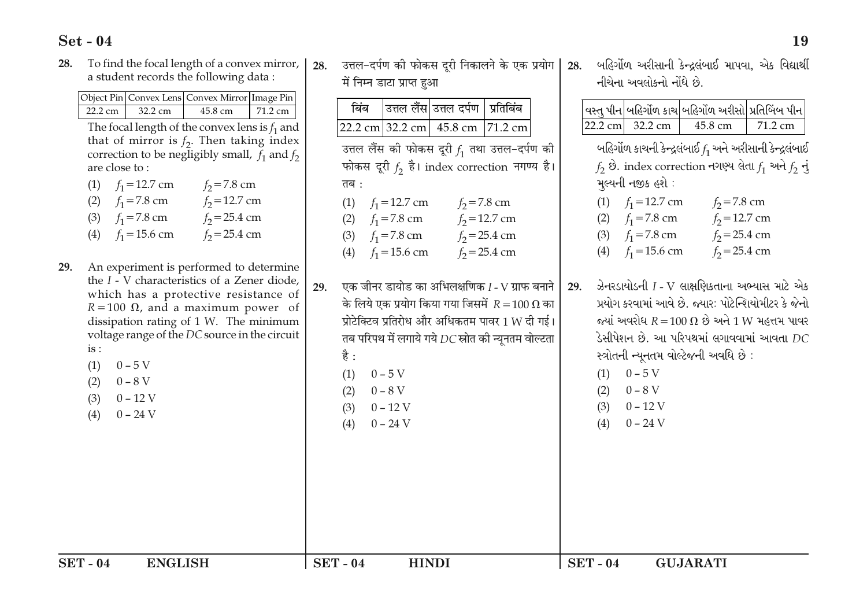To find the focal length of a convex mirror, 28. a student records the following data:

|                   |         | Object Pin Convex Lens Convex Mirror Image Pin |                   |
|-------------------|---------|------------------------------------------------|-------------------|
| $22.2 \text{ cm}$ | 32.2 cm | 45.8 cm                                        | $71.2 \text{ cm}$ |

The focal length of the convex lens is  $f_1$  as that of mirror is  $f_2$ . Then taking ind correction to be negligibly small,  $f_1$  and are close to:

| (1) $f_1 = 12.7$ cm | $f_2 = 7.8$ cm  |
|---------------------|-----------------|
| (2) $f_1 = 7.8$ cm  | $f_2$ =12.7 cm  |
| (3) $f_1 = 7.8$ cm  | $f_2 = 25.4$ cm |
| (4) $f_1 = 15.6$ cm | $f_2 = 25.4$ cm |

- 29. An experiment is performed to determined. the  $I - V$  characteristics of a Zener dioc which has a protective resistance  $R = 100 \Omega$ , and a maximum power dissipation rating of 1 W. The minimu voltage range of the DC source in the circ  $is:$ 
	- $0 5$  V  $(1)$
	- $0 8$  V  $(2)$
	- $0 12$  V  $(3)$
	- $0 24$  V  $(4)$

28. उत्तल-दर्पण की फोकस दूरी निकालने के एक प्रयोग 28. में निम्न डाटा प्राप्त हुआ

|                                                               |     | बिंब                                           |                                                                            |                                                                                                                                                                                                                                                                                                                                                                                                                                                                                   | प्रतिबिंब       |     |                                             |                                                   |                                                                                                                                                                                                                                                                                                                                                                                                                                                                                                                                                             |         |  |
|---------------------------------------------------------------|-----|------------------------------------------------|----------------------------------------------------------------------------|-----------------------------------------------------------------------------------------------------------------------------------------------------------------------------------------------------------------------------------------------------------------------------------------------------------------------------------------------------------------------------------------------------------------------------------------------------------------------------------|-----------------|-----|---------------------------------------------|---------------------------------------------------|-------------------------------------------------------------------------------------------------------------------------------------------------------------------------------------------------------------------------------------------------------------------------------------------------------------------------------------------------------------------------------------------------------------------------------------------------------------------------------------------------------------------------------------------------------------|---------|--|
| nd                                                            |     |                                                |                                                                            | 22.2 cm 32.2 cm 45.8 cm 71.2 cm                                                                                                                                                                                                                                                                                                                                                                                                                                                   |                 |     |                                             | 22.2 cm 32.2 cm                                   | 45.8 cm                                                                                                                                                                                                                                                                                                                                                                                                                                                                                                                                                     | 71.2 cm |  |
| in<br>า<br>ex<br>$1f_2$<br>ne<br>de,<br>of<br>of<br>ım<br>uit | 29. | तब :                                           | (3) $f_1 = 7.8$ cm                                                         | उत्तल लैंस उत्तल दर्पण  <br>उत्तल लैंस की फोकस दूरी $f_1$ तथा उत्तल-दर्पण की<br>फोकस दूरी $f_2$ है। index correction नगण्य है।<br>(1) $f_1 = 12.7$ cm $f_2 = 7.8$ cm<br>(2) $f_1 = 7.8$ cm $f_2 = 12.7$ cm<br>(4) $f_1 = 15.6$ cm $f_2 = 25.4$ cm<br>एक जीनर डायोड का अभिलक्षणिक I - V ग्राफ बनाने<br>के लिये एक प्रयोग किया गया जिसमें $R = 100 \Omega$ का<br>प्रोटेक्टिव प्रतिरोध और अधिकतम पावर $1\,\mathrm{W}$ दी गई।<br>तब परिपथ में लगाये गये $DC$ स्रोत की न्यूनतम वोल्टता | $f_2 = 25.4$ cm | 29. |                                             | મુલ્યની નજીક હશે :                                | વસ્તુ પીન બહિર્ગોળ કાચ બહિર્ગોળ અરીસો પ્રતિબિંબ પીન <br>બહિર્ગોળ કાચની કેન્દ્રલંબાઈ $f_1$ અને અરીસાની કેન્દ્રલંબાઈ<br>$f_2$ છે. index correction નગણ્ય લેતા $f_1$ અને $f_2$ નું<br>(1) $f_1 = 12.7$ cm $f_2 = 7.8$ cm<br>(2) $f_1 = 7.8$ cm $f_2 = 12.7$ cm<br>(3) $f_1 = 7.8$ cm $f_2 = 25.4$ cm<br>(4) $f_1 = 15.6$ cm $f_2 = 25.4$ cm<br>ઝેનરડાયોડની $I$ - $V$ લાક્ષણિકતાના અભ્યાસ માટે એક<br>પ્રયોગ કરવામાં આવે છે. જ્યાર: પોટેન્શિયોમીટર કે જેનો<br>જ્યાં અવરોધ $R = 100 \Omega$ છે અને 1 W મહત્તમ પાવર<br>ડેસીપેશન છે. આ પરિપથમાં લગાવવામાં આવતા $DC$ |         |  |
|                                                               |     | है :<br>(1)<br>(2)<br>(3)<br>(4)<br>$SET - 04$ | $0 - 5$ V<br>$0-8\,\mathrm{V}$<br>$0 - 12$ V<br>$0 - 24$ V<br><b>HINDI</b> |                                                                                                                                                                                                                                                                                                                                                                                                                                                                                   |                 |     | (1)<br>(2)<br>(3)<br>(4)<br><b>SET - 04</b> | $0 - 5V$<br>$0 - 8$ V<br>$0 - 12$ V<br>$0 - 24$ V | સ્ત્રોતની ન્યૂનતમ વોલ્ટેજની અવધિ છે:<br><b>GUJARATI</b>                                                                                                                                                                                                                                                                                                                                                                                                                                                                                                     |         |  |

બહિર્ગોળ અરીસાની કેન્દ્રલંબાઈ માપવા. એક વિદ્યાર્થી

નીચેના અવલોકનો નોંધે છે.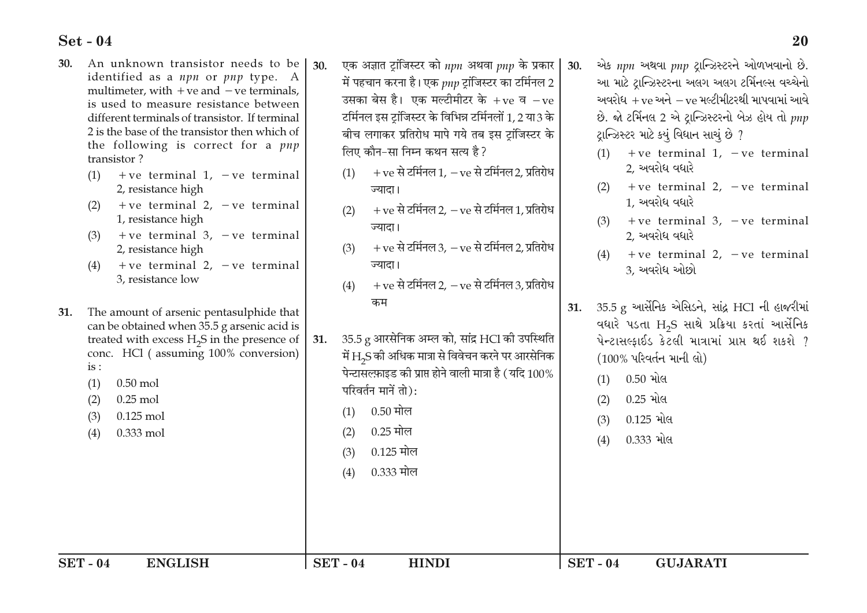- An unknown transistor needs to be 30. identified as a *npn* or *pnp* type. A multimeter, with  $+ve$  and  $-ve$  terminals. is used to measure resistance between different terminals of transistor. If terminal 2 is the base of the transistor then which of the following is correct for a pnp transistor?
	- +ve terminal 1,  $-ve$  terminal  $(1)$ 2, resistance high
	- $+ve$  terminal 2,  $-ve$  terminal  $(2)$ 1, resistance high
	- $+ve$  terminal 3,  $-ve$  terminal  $(3)$ 2, resistance high
	- +ve terminal  $2, -ve$  terminal  $(4)$ 3. resistance low
- 31. The amount of arsenic pentasulphide that can be obtained when 35.5 g arsenic acid is treated with excess H<sub>2</sub>S in the presence of conc. HCl (assuming 100% conversion)  $is:$ 
	- $0.50$  mol  $(1)$
	- $0.25$  mol  $(2)$

 $(3)$  $0.125$  mol

0.333 mol  $(4)$ 

- 30. एक अज्ञात ट्रांजिस्टर को  $npn$  अथवा  $pnp$  के प्रकार में पहचान करना है। एक  $_{\textit{PID}}$  ट़ांजिस्टर का टर्मिनल 2 उसका बेस है। एक मल्टीमीटर के +ve व $-$ ve टर्मिनल इस टॉजिस्टर के विभिन्न टर्मिनलों 1,2 या3 के बीच लगाकर प्रतिरोध मापे गये तब इस टांजिस्टर के लिए कौन-सा निम्न कथन सत्य है ?
	- $+$  ve से टर्मिनल 1,  $-$  ve से टर्मिनल 2, प्रतिरोध  $(1)$ ज्यादा।
	- $+$  ve से टर्मिनल 2,  $-$  ve से टर्मिनल 1, प्रतिरोध  $(2)$ ज्यादा।
	- $+$  ve से टर्मिनल 3.  $-$  ve से टर्मिनल 2. प्रतिरोध  $(3)$ ज्यादा।
	- + ve से टर्मिनल 2, ve से टर्मिनल 3, प्रतिरोध  $(4)$ कम
- 35.5 g आरसेनिक अम्ल को, सांद्र HCl की उपस्थिति 31. में  $\rm H_2$ S की अधिक मात्रा से विवेचन करने पर आरसेनिक पेन्टासल्फ़ाइड की प्राप्त होने वाली मात्रा है (यदि  $100\%$ परिवर्तन मानें तो):
	- $0.50$  मोल  $(1)$
	- $0.25$  मोल  $(2)$
	- $0.125$  मोल  $(3)$
	- 0.333 मोल  $(4)$
	-
- એક npn અથવા pnp ટાન્ઝિસ્ટરને ઓળખવાનો છે.  $30<sub>1</sub>$ આ માટે ટાન્ઝિસ્ટરના અલગ અલગ ટર્મિનલ્સ વચ્ચેનો અવરોધ $+$ ve અને  $-$ ve મલ્ટીમીટરથી માપવામાં આવે છે. જો ટર્મિનલ 2 એ ટ્રાન્ઝિસ્ટરનો બેઝ હોય તો pnp ટાન્ઝિસ્ટર માટે કયું વિધાન સાચું છે ?
	- +ve terminal 1,  $-ve$  terminal 2. અવરોધ વધારે
	- (2) + ve terminal 2,  $-ve$  terminal 1. અવરોધ વધારે
	- $+ve$  terminal 3,  $-ve$  terminal  $(3)$ 2. અવરોધ વધારે
	- $+ve$  terminal 2,  $-ve$  terminal  $(4)$ 3. અવરોધ ઓછો
- 35.5 g આર્સેનિક એસિડને, સાંદ્ર HCl ની હાજરીમાં  $31.$ વધારે પડતા H<sub>2</sub>S સાથે પ્રક્રિયા કરતાં આર્સેનિક  $\mu$ -ટાસલ્ફાઈડ કેટલી માત્રામાં પ્રાપ્ત થઈ શકશે ? (100% પરિવર્તન માની લો)
	- 0.50 મોલ  $(1)$
	- 0.25 મોલ  $(2)$
	- $0.125$  મોલ  $(3)$
	- 0.333 મોલ  $(4)$

**HINDI**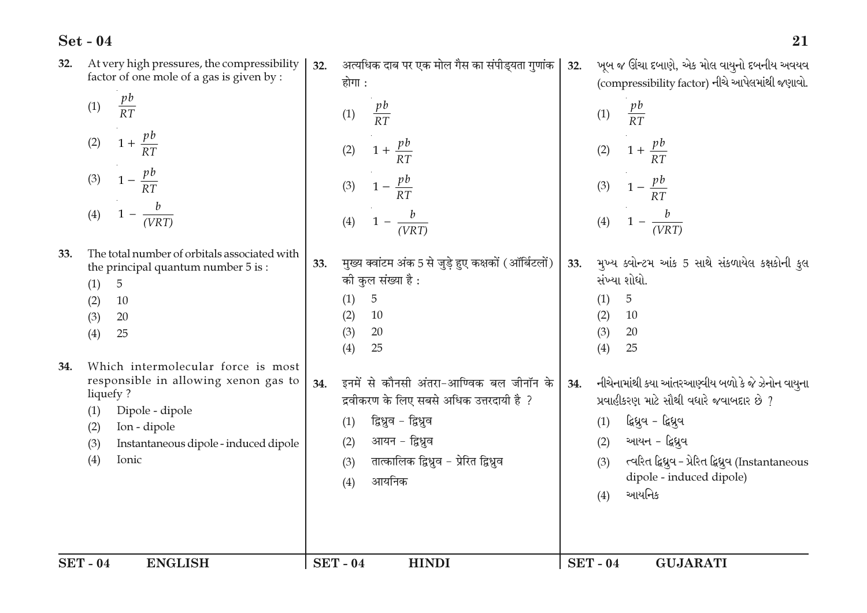|     | <b>SET - 04</b><br><b>ENGLISH</b>                                                                                                                                 |     | <b>SET-04</b><br><b>HINDI</b>                                                                                                                                                                                   |     | <b>SET-04</b><br><b>GUJARATI</b>                                                                                                                                                                                                                             |
|-----|-------------------------------------------------------------------------------------------------------------------------------------------------------------------|-----|-----------------------------------------------------------------------------------------------------------------------------------------------------------------------------------------------------------------|-----|--------------------------------------------------------------------------------------------------------------------------------------------------------------------------------------------------------------------------------------------------------------|
|     | responsible in allowing xenon gas to<br>liquefy?<br>Dipole - dipole<br>(1)<br>Ion - dipole<br>(2)<br>Instantaneous dipole - induced dipole<br>(3)<br>(4)<br>Ionic | 34. | इनमें से कौनसी अंतरा-आण्विक बल जीनॉन के<br>द्रवीकरण के लिए सबसे अधिक उत्तरदायी है ?<br>द्विध्रुव - द्विध्रुव<br>(1)<br>आयन - द्विध्नुव<br>(2)<br>तात्कालिक द्विध्नुव – प्रेरित द्विध्नुव<br>(3)<br>आयनिक<br>(4) | 34. | નીચેનામાંથી કયા આંતરઆણ્વીય બળો કે જે ઝેનોન વાયુના<br>પ્રવાહીકરણ માટે સૌથી વધારે જવાબદાર છે ?<br>દ્વિઘ્રુવ - દ્વિઘ્રુવ<br>(1)<br>આયન - દ્વિધ્રુવ<br>(2)<br>ત્વરિત દ્વિધુવ – પ્રેરિત દ્વિધુવ (Instantaneous<br>(3)<br>dipole - induced dipole)<br>આયનિક<br>(4) |
| 34. | Which intermolecular force is most                                                                                                                                |     | 25<br>(4)                                                                                                                                                                                                       |     | (4)<br>25                                                                                                                                                                                                                                                    |
|     | 5<br>(1)<br>(2)<br>10<br>(3)<br>20<br>(4)<br>25                                                                                                                   |     | 5<br>(1)<br>(2)<br>10<br>(3)<br>20                                                                                                                                                                              |     | $\overline{5}$<br>(1)<br>(2)<br>10<br>(3)<br>20                                                                                                                                                                                                              |
| 33. | The total number of orbitals associated with<br>the principal quantum number 5 is:                                                                                | 33. | मुख्य क्वांटम अंक 5 से जुड़े हुए कक्षकों (ऑर्बिटलों)<br>की कुल संख्या है :                                                                                                                                      | 33. | મુખ્ય ક્વોન્ટમ આંક 5 સાથે સંકળાયેલ કક્ષકોની કુલ<br>સંખ્યા શોધો.                                                                                                                                                                                              |
|     | (3) $1 - \frac{pb}{RT}$<br>$1 - \frac{b}{(VRT)}$<br>(4)                                                                                                           |     | (3) $1 - \frac{pb}{RT}$<br>(4) $1 - \frac{b}{(VRT)}$                                                                                                                                                            |     | (3) $1 - \frac{pb}{RT}$<br>(4) $1 - \frac{b}{(VRT)}$                                                                                                                                                                                                         |
|     | $1 + \frac{pb}{RT}$<br>(2)                                                                                                                                        |     | (2) $1 + \frac{pb}{RT}$                                                                                                                                                                                         |     | (2) $1 + \frac{pb}{RT}$                                                                                                                                                                                                                                      |
|     | $\frac{pb}{RT}$<br>(1)                                                                                                                                            |     | $rac{pb}{RT}$<br>(1)                                                                                                                                                                                            |     | (1) $\frac{pb}{RT}$                                                                                                                                                                                                                                          |
| 32. | At very high pressures, the compressibility<br>factor of one mole of a gas is given by :                                                                          | 32. | अत्यधिक दाब पर एक मोल गैस का संपीड्यता गुणांक $\mid$<br>होगा :                                                                                                                                                  | 32. | ખૂબ જ ઊંચા દબાણે, એક મોલ વાયુનો દબનીય અવયવ<br>(compressibility factor) નીચે આપેલમાંથી જણાવો.                                                                                                                                                                 |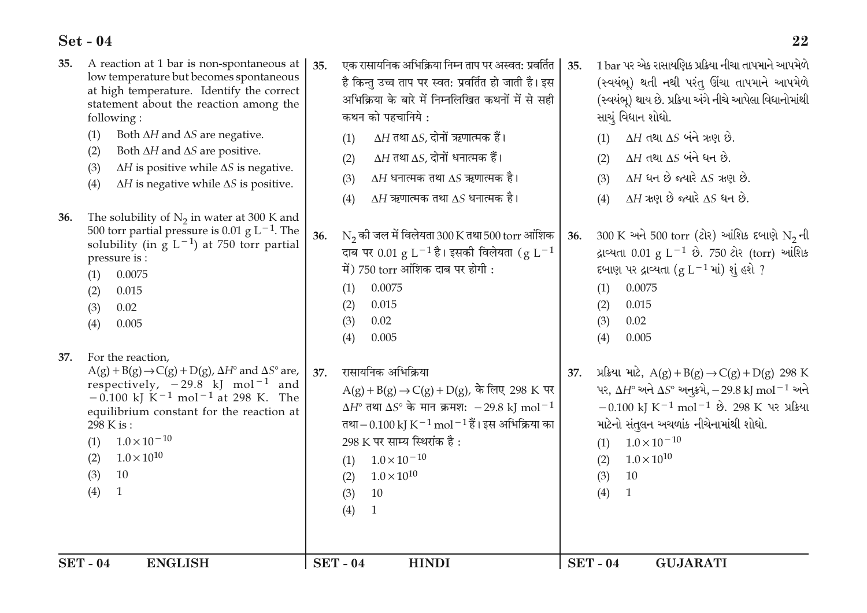| A reaction at 1 bar is non-spontaneous at<br>35.<br>low temperature but becomes spontaneous<br>at high temperature. Identify the correct<br>statement about the reaction among the<br>following:<br>(1)<br>Both $\Delta H$ and $\Delta S$ are negative.                                                                                                                              | एक रासायनिक अभिक्रिया निम्न ताप पर अस्वत: प्रवर्तित  <br>35.<br>है किन्तु उच्च ताप पर स्वत: प्रवर्तित हो जाती है। इस<br>अभिक्रिया के बारे में निम्नलिखित कथनों में से सही<br>कथन को पहचानिये :<br>$\Delta H$ तथा $\Delta S$ , दोनों ऋणात्मक हैं।<br>(1)                                                                                                          | 1 bar પર એક રાસાયણિક પ્રક્રિયા નીચા તાપમાને આપમેળે<br>35.<br>(સ્વયંભૂ) થતી નથી પરંતુ ઊંચા તાપમાને આપમેળે<br>(સ્વયંભૂ) થાય છે. પ્રક્રિયા અંગે નીચે આપેલા વિધાનોમાંથી<br>સાચું વિધાન શોધો.<br>$\Delta H$ તથા $\Delta S$ બંને ઋણ છે.<br>(1)                                                                                                                                          |
|--------------------------------------------------------------------------------------------------------------------------------------------------------------------------------------------------------------------------------------------------------------------------------------------------------------------------------------------------------------------------------------|------------------------------------------------------------------------------------------------------------------------------------------------------------------------------------------------------------------------------------------------------------------------------------------------------------------------------------------------------------------|-----------------------------------------------------------------------------------------------------------------------------------------------------------------------------------------------------------------------------------------------------------------------------------------------------------------------------------------------------------------------------------|
| Both $\Delta H$ and $\Delta S$ are positive.<br>(2)<br>$\Delta H$ is positive while $\Delta S$ is negative.<br>(3)<br>$\Delta H$ is negative while $\Delta S$ is positive.<br>(4)                                                                                                                                                                                                    | $\Delta H$ तथा $\Delta S$ , दोनों धनात्मक हैं।<br>(2)<br>$\Delta H$ धनात्मक तथा $\Delta S$ ऋणात्मक है।<br>(3)<br>$\Delta H$ ऋणात्मक तथा $\Delta S$ धनात्मक है।<br>(4)                                                                                                                                                                                            | $\Delta H$ તથા $\Delta S$ બંને ધન છે.<br>(2)<br>$\Delta H$ ધન છે જ્યારે $\Delta S$ ઋણ છે.<br>(3)<br>$\Delta H$ ઋણ છે જ્યારે $\Delta S$ ધન છે.<br>(4)                                                                                                                                                                                                                              |
| The solubility of $N_2$ in water at 300 K and<br>36.<br>500 torr partial pressure is 0.01 g $L^{-1}$ . The<br>solubility (in $g L^{-1}$ ) at 750 torr partial<br>pressure is:<br>0.0075<br>(1)<br>(2)<br>0.015<br>0.02<br>(3)<br>(4)<br>0.005                                                                                                                                        | $N_2$ की जल में विलेयता 300 K तथा 500 torr आंशिक<br>36.<br>दाब पर 0.01 $g L^{-1}$ है। इसकी विलेयता ( $g L^{-1}$<br>में) 750 torr आंशिक दाब पर होगी:<br>0.0075<br>(1)<br>0.015<br>(2)<br>0.02<br>(3)<br>0.005<br>(4)                                                                                                                                              | $300 \text{ K}$ અને 500 torr (ટોર) આંશિક દબાણે N <sub>2</sub> ની<br>36.<br>દ્રાવ્યતા 0.01 g L <sup>-1</sup> છે. 750 ટોર (torr) આંશિક<br>દબાણ પર દ્રાવ્યતા $(g L^{-1}$ માં) શું હશે ?<br>0.0075<br>(1)<br>(2)<br>0.015<br>0.02<br>(3)<br>(4)<br>0.005                                                                                                                              |
| For the reaction,<br>37.<br>$A(g) + B(g) \rightarrow C(g) + D(g)$ , $\Delta H^{\circ}$ and $\Delta S^{\circ}$ are,<br>respectively, $-29.8$ kJ mol <sup>-1</sup> and<br>$-0.100$ kJ K <sup>-1</sup> mol <sup>-1</sup> at 298 K. The<br>equilibrium constant for the reaction at<br>298 K is:<br>$1.0 \times 10^{-10}$<br>(1)<br>$1.0 \times 10^{10}$<br>(2)<br>10<br>(3)<br>(4)<br>1 | रासायनिक अभिक्रिया<br>37.<br>$A(g) + B(g) \rightarrow C(g) + D(g)$ , के लिए 298 K पर  <br>$\Delta H^{\circ}$ तथा $\Delta S^{\circ}$ के मान क्रमश: -29.8 kJ mol <sup>-1</sup><br>तथा – 0.100 kJ K $^{-1}$ mol $^{-1}$ हैं। इस अभिक्रिया का<br>298 K पर साम्य स्थिरांक है:<br>$1.0 \times 10^{-10}$<br>(1)<br>$1.0 \times 10^{10}$<br>(2)<br>10<br>(3)<br>(4)<br>1 | પ્રક્રિયા માટે, A(g) + B(g) $\rightarrow C(g) + D(g)$ 298 K<br>37.<br>પર, $\Delta H^{\circ}$ અને $\Delta S^{\circ}$ અનુક્રમે, -29.8 kJ mol <sup>-1</sup> અને<br>$-0.100$ kJ K <sup>-1</sup> mol <sup>-1</sup> છે. 298 K પર પ્રક્રિયા<br>માટેનો સંતુલન અચળાંક નીચેનામાંથી શોધો.<br>$1.0 \times 10^{-10}$<br>(1)<br>$1.0 \times 10^{10}$<br>(2)<br>10<br>(3)<br>(4)<br>$\mathbf{1}$ |
| <b>SET-04</b><br><b>ENGLISH</b>                                                                                                                                                                                                                                                                                                                                                      | <b>SET-04</b><br><b>HINDI</b>                                                                                                                                                                                                                                                                                                                                    | <b>SET-04</b><br><b>GUJARATI</b>                                                                                                                                                                                                                                                                                                                                                  |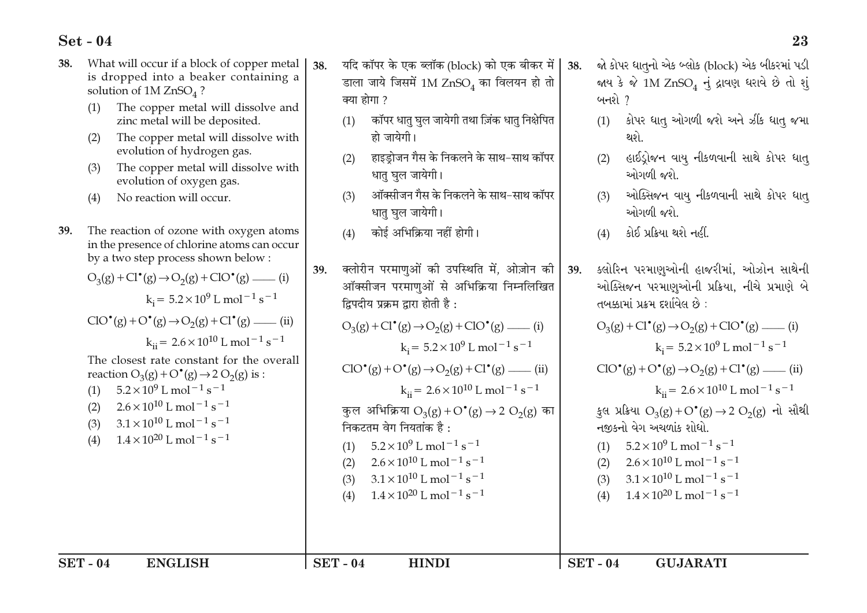What will occur if a block of copper metal यदि कॉपर के एक ब्लॉक (block) को एक बीकर में જો કોપર ધાતનો એક બ્લોક (block) એક બીકરમાં પડી 38. 38 38 is dropped into a beaker containing a डाला जाये जिसमें 1M  $ZnSO<sub>4</sub>$  का विलयन हो तो જાય કે જે 1M ZnSO, નું દ્રાવણ ધરાવે છે તો શું solution of  $1M ZnSO<sub>4</sub>$ ? क्या होगा ? બનશે $<sup>2</sup>$ </sup> The copper metal will dissolve and  $(1)$ कॉपर धात घल जायेगी तथा ज़िंक धात निक्षेपित કોપર ધાતુ ઓગળી જશે અને ઝીંક ધાતુ જમા zinc metal will be deposited.  $(1)$  $(1)$ हो जायेगी। થશે. The copper metal will dissolve with  $(2)$ evolution of hydrogen gas. हाइडोजन गैस के निकलने के साथ-साथ कॉपर હાઈડોજન વાય નીકળવાની સાથે કોપર ધાત  $(2)$  $(2)$ The copper metal will dissolve with  $(3)$ धातु घुल जायेगी। ઓગળી જશે. evolution of oxygen gas. ऑक्सीजन गैस के निकलने के साथ-साथ कॉपर ઓક્સિજન વાયુ નીકળવાની સાથે કોપર ધાત્ No reaction will occur.  $(3)$  $(3)$  $(4)$ धात घल जायेगी। ઓગળી જશે 39. The reaction of ozone with oxygen atoms कोई अभिक्रिया नहीं होगी। કોઈ પ્રક્રિયા થશે નહીં.  $(4)$  $(4)$ in the presence of chlorine atoms can occur by a two step process shown below: क्लोरीन परमाणओं की उपस्थिति में. ओज़ोन की ક્લોરિન પરમાણઓની હાજરીમાં, ઓઝોન સાથેની 39. 39.  $O_3(g) + Cl^{\bullet}(g) \rightarrow O_2(g) + ClO^{\bullet}(g)$  \_\_\_\_\_ (i) ऑक्सीजन परमाणओं से अभिक्रिया निम्नलिखित ઓક્સિજન પરમાણઓની પ્રક્રિયા, નીચે પ્રમાણે બે  $k = 5.2 \times 10^9$  L mol<sup>-1</sup> s<sup>-1</sup> द्विपदीय प्रक्रम द्वारा होती है: તબક્કામાં પ્રક્રમ દર્શાવેલ છે:  $ClO^{\bullet}(g) + O^{\bullet}(g) \rightarrow O_{2}(g) + Cl^{\bullet}(g)$  (ii)  $O_3(g) + Cl^{\bullet}(g) \rightarrow O_2(g) + ClO^{\bullet}(g)$  \_\_\_\_\_ (i)  $O_3(g) + Cl^{\bullet}(g) \rightarrow O_2(g) + ClO^{\bullet}(g)$  \_\_\_\_\_ (i)  $k_{ii} = 2.6 \times 10^{10}$  L mol<sup>-1</sup> s<sup>-1</sup>  $k = 5.2 \times 10^9$  L mol<sup>-1</sup> s<sup>-1</sup>  $k_i = 5.2 \times 10^9$  L mol<sup>-1</sup> s<sup>-1</sup> The closest rate constant for the overall  $ClO^{\bullet}(g) + O^{\bullet}(g) \rightarrow O_{2}(g) + Cl^{\bullet}(g)$  (ii)  $ClO^{\bullet}(g) + O^{\bullet}(g) \rightarrow O_{2}(g) + Cl^{\bullet}(g)$  (ii) reaction  $O_3(g) + O^{\bullet}(g) \rightarrow 2 O_2(g)$  is :  $k_{ii} = 2.6 \times 10^{10}$  L mol<sup>-1</sup> s<sup>-1</sup>  $5.2 \times 10^9$  L mol<sup>-1</sup> s<sup>-1</sup>  $k_{ii} = 2.6 \times 10^{10}$  L mol<sup>-1</sup> s<sup>-1</sup>  $(1)$  $2.6 \times 10^{10}$  J, mol<sup>-1</sup> s<sup>-1</sup>  $(2)$ कुल अभिक्रिया  $O_3(g) + O^{\bullet}(g) \rightarrow 2 O_2(g)$  का  $\frac{1}{2}$ લ પ્રક્રિયા O<sub>2</sub>(g) + O<sup>°</sup>(g) → 2 O<sub>2</sub>(g) નો સૌથી  $3.1 \times 10^{10}$  L mol<sup>-1</sup> s<sup>-1</sup>  $(3)$ निकटतम वेग नियतांक है : નજીકનો વેગ અચળાંક શોધો.  $1.4 \times 10^{20}$  L mol<sup>-1</sup> s<sup>-1</sup>  $(4)$  $5.2 \times 10^9$  L mol<sup>-1</sup> s<sup>-1</sup>  $5.2 \times 10^9$  L mol<sup>-1</sup> s<sup>-1</sup>  $(1)$  $(1)$  $2.6 \times 10^{10}$  L mol<sup>-1</sup> s<sup>-1</sup>  $2.6 \times 10^{10}$  L mol<sup>-1</sup> s<sup>-1</sup>  $(2)$  $(2)$  $3.1 \times 10^{10}$  L mol<sup>-1</sup> s<sup>-1</sup>  $3.1 \times 10^{10}$  L mol<sup>-1</sup> s<sup>-1</sup>  $(3)$  $(3)$  $1.4 \times 10^{20}$  L mol<sup>-1</sup> s<sup>-1</sup>  $1.4 \times 10^{20}$  L mol<sup>-1</sup> s<sup>-1</sup>  $(4)$  $(4)$ **SET - 04 ENGLISH**  $SET - 04$ **HINDI**  $SET - 04$ **GUJARATI**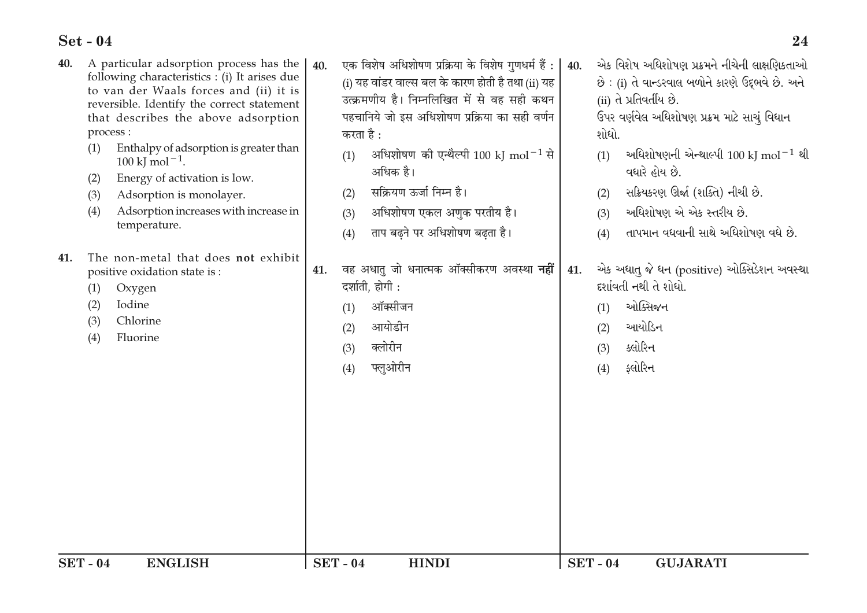| 40.           | process :<br>(1)<br>(2)<br>(3)<br>(4) | A particular adsorption process has the<br>following characteristics : (i) It arises due<br>to van der Waals forces and (ii) it is<br>reversible. Identify the correct statement<br>that describes the above adsorption<br>Enthalpy of adsorption is greater than<br>$100 \text{ kJ} \text{ mol}^{-1}$ .<br>Energy of activation is low.<br>Adsorption is monolayer.<br>Adsorption increases with increase in<br>temperature. | 40. | एक विशेष अधिशोषण प्रक्रिया के विशेष गुणधर्म हैं :  <br>(i) यह वांडर वाल्स बल के कारण होती है तथा (ii) यह<br>उत्क्रमणीय है। निम्नलिखित में से वह सही कथन<br>पहचानिये जो इस अधिशोषण प्रक्रिया का सही वर्णन<br>करता है :<br>अधिशोषण की एन्थैल्पी 100 kJ mol <sup>-1</sup> से<br>(1)<br>अधिक है।<br>सक्रियण ऊर्जा निम्न है।<br>(2)<br>अधिशोषण एकल अणुक परतीय है।<br>(3)<br>ताप बढ़ने पर अधिशोषण बढ़ता है।<br>(4) | 40. | એક વિશેષ અધિશોષણ પ્રક્રમને નીચેની લાક્ષણિકતાઓ<br>છે : (i) તે વાન્ડરવાલ બળોને કારણે ઉદ્દભવે છે. અને<br>(ii) તે પ્રતિવર્તીય છે.<br>ઉપર વર્ણવેલ અધિશોષણ પ્રક્રમ માટે સાચું વિધાન<br>શોધો.<br>અધિશોષણની એન્થાલ્પી 100 kJ mol $^{-1}$ થી<br>(1)<br>વધારે હોય છે.<br>સક્રિયકરણ ઊર્જા (શક્તિ) નીચી છે.<br>(2)<br>અધિશોષણ એ એક સ્તરીય છે.<br>(3)<br>તાપમાન વધવાની સાથે અધિશોષણ વધે છે.<br>(4) |
|---------------|---------------------------------------|-------------------------------------------------------------------------------------------------------------------------------------------------------------------------------------------------------------------------------------------------------------------------------------------------------------------------------------------------------------------------------------------------------------------------------|-----|--------------------------------------------------------------------------------------------------------------------------------------------------------------------------------------------------------------------------------------------------------------------------------------------------------------------------------------------------------------------------------------------------------------|-----|---------------------------------------------------------------------------------------------------------------------------------------------------------------------------------------------------------------------------------------------------------------------------------------------------------------------------------------------------------------------------------------|
| 41.           | (1)<br>(2)<br>(3)<br>(4)              | The non-metal that does not exhibit<br>positive oxidation state is :<br>Oxygen<br>Iodine<br>Chlorine<br>Fluorine                                                                                                                                                                                                                                                                                                              | 41. | वह अधातु जो धनात्मक ऑक्सीकरण अवस्था <b>नहीं</b><br>दर्शाती, होगी :<br>ऑक्सीजन<br>(1)<br>आयोडीन<br>(2)<br>क्लोरीन<br>(3)<br>फ्लुओरीन<br>(4)                                                                                                                                                                                                                                                                   | 41. | એક અધાતુ જે ધન (positive) ઓક્સિડેશન અવસ્થા<br>દર્શાવતી નથી તે શોધો.<br>ઓક્સિજન<br>(1)<br>આયોડિન<br>(2)<br>ક્લોરિન<br>(3)<br>ફ્લોરિન<br>(4)                                                                                                                                                                                                                                            |
| <b>SET-04</b> |                                       | <b>ENGLISH</b>                                                                                                                                                                                                                                                                                                                                                                                                                |     | <b>SET-04</b><br><b>HINDI</b>                                                                                                                                                                                                                                                                                                                                                                                |     | <b>SET - 04</b><br><b>GUJARATI</b>                                                                                                                                                                                                                                                                                                                                                    |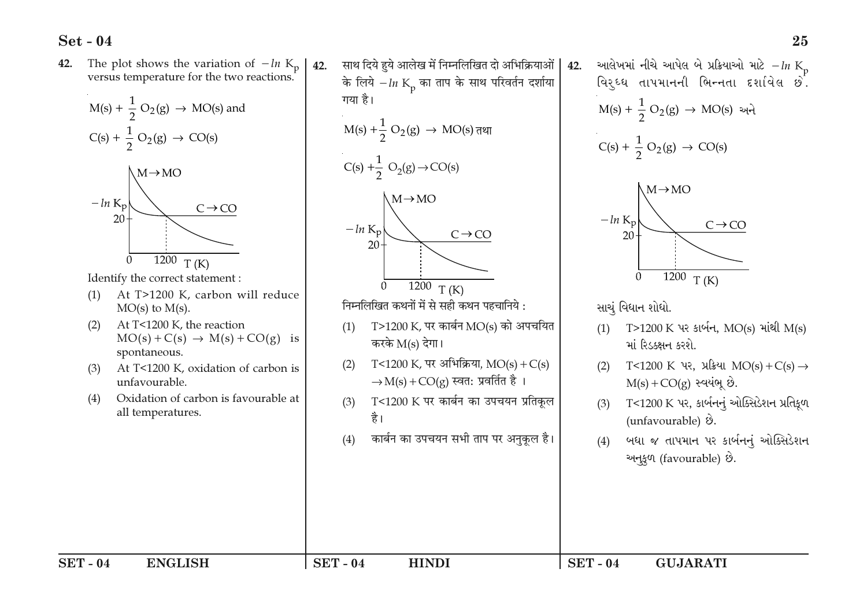The plot shows the variation of  $-ln K_p$ <br>versus temperature for the two reactions. 42.



Identify the correct statement:

- At T>1200 K, carbon will reduce  $(1)$  $MO(s)$  to  $M(s)$ .
- At T<1200 K, the reaction  $(2)$  $MO(s) + C(s) \rightarrow M(s) + CO(g)$  is spontaneous.
- At T<1200 K, oxidation of carbon is  $(3)$ unfavourable.
- Oxidation of carbon is favourable at  $(4)$ all temperatures.

साथ दिये हये आलेख में निम्नलिखित दो अभिक्रियाओं  $42<sub>1</sub>$ के लिये  $-ln K_p$  का ताप के साथ परिवर्तन दर्शाया गया है।  $M(s) + \frac{1}{2} O_2(g) \rightarrow MO(s)$  तथा  $C(s) + \frac{1}{2} O_2(g) \rightarrow CO(s)$  $\Lambda M \rightarrow MO$  $-\ln K_p$  $C \rightarrow CO$ 20  $\frac{1200}{T(K)}$  $\Omega$ निम्नलिखित कथनों में से सही कथन पहचानिये :  $T > 1200$  K, पर कार्बन MO(s) को अपचयित  $(1)$ करके  $M(s)$  देगा। T<1200 K, पर अभिक्रिया,  $MO(s) + C(s)$  $(2)$  $\rightarrow$ M(s) + CO(g) स्वत: प्रवर्तित है। T<1200 K पर कार्बन का उपचयन प्रतिकूल  $(3)$ है। कार्बन का उपचयन सभी ताप पर अनुकल है।  $(4)$ 

આલેખમાં નીચે આપેલ બે પ્રક્રિયાઓ માટે  $-ln K_n$ 42. વિર્ઘ્ધ તાપમાનની ભિન્નતા દર્શાવેલ છે.  $M(s) + \frac{1}{2} O_2(g) \to MO(s)$  અને  $C(s) + \frac{1}{2} O_2(g) \rightarrow CO(s)$  $\Lambda M \rightarrow MO$  $-\ln K_n$  $C \rightarrow CO$  $20<sup>1</sup>$ 1200  $\overline{0}$  $T(K)$ સાચું વિધાન શોધો. T>1200 K પર કાર્બન, MO(s) માંથી M(s)  $(1)$ માં રિડક્ક્ષન કરશે. T<1200 K પર, પ્રક્રિયા MO(s) + C(s)  $\rightarrow$  $(2)$  $M(s) + CO(g)$  સ્વયંભૂ છે. T<1200 K પર, કાર્બનનું ઓક્સિડેશન પ્રતિકૂળ  $(3)$ (unfavourable)  $\hat{v}$ . બધા જ તાપમાન પર કાર્બનનું ઓક્સિડેશન  $(4)$ અનુકૂળ (favourable) છે.

**HINDI** 

 $SET - 04$ **GUJARATI**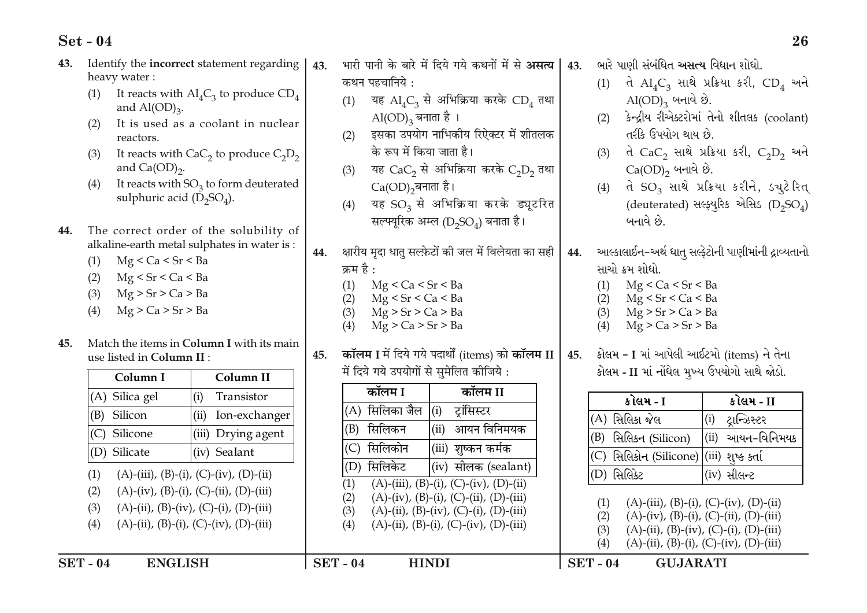| 43. | Identify the incorrect statement regarding<br>heavy water:                                                                                              | 43.<br>कथन पहचानिये :                                                                   | भारी पानी के बारे में दिये गये कथनों में से <b>असत्य</b>                                                                           | 43.<br>(1)               | ભારે પાણી સંબંધિત <b>અસત્ય</b> વિધાન શોધો.                                                                                                  | તે $AI_4C_3$ સાથે પ્રક્રિયા કરી, $CD_4$ અને                                                                          |
|-----|---------------------------------------------------------------------------------------------------------------------------------------------------------|-----------------------------------------------------------------------------------------|------------------------------------------------------------------------------------------------------------------------------------|--------------------------|---------------------------------------------------------------------------------------------------------------------------------------------|----------------------------------------------------------------------------------------------------------------------|
|     | It reacts with $\mathrm{Al}_4\mathrm{C}_3$ to produce $\mathrm{CD}_4$<br>(1)<br>and $\text{Al}(\text{OD})_3$ .                                          | (1)                                                                                     | यह $AI_4C_3$ से अभिक्रिया करके CD <sub>4</sub> तथा                                                                                 |                          | $\mathrm{Al}(\mathrm{OD})_3$ બનાવે છે.                                                                                                      |                                                                                                                      |
|     | It is used as a coolant in nuclear<br>(2)<br>reactors.                                                                                                  | $\mathrm{Al(OD)}_{3}$ बनाता है ।<br>(2)                                                 | इसका उपयोग नाभिकीय रिऐक्टर में शीतलक                                                                                               | (2)                      | તરીકે ઉપયોગ થાય છે.                                                                                                                         | કેન્દ્રીય રીએક્ટરોમાં તેનો શીતલક (coolant)                                                                           |
|     | It reacts with $CaC2$ to produce $C2D2$<br>(3)<br>and $Ca(OD)_{2}$ .                                                                                    | के रूप में किया जाता है।<br>(3)                                                         | यह $CaC2$ से अभिक्रिया करके $C2D2$ तथा                                                                                             | (3)                      | $Ca(OD)$ <sub>2</sub> બનાવે છે.                                                                                                             | તે $CaC2$ સાથે પ્રક્રિયા કરી, $C2D2$ અને                                                                             |
|     | It reacts with $SO_3$ to form deuterated<br>(4)<br>sulphuric acid $(D_2SO_4)$ .                                                                         | $Ca(OD)$ <sub>2</sub> बनाता है।<br>(4)                                                  | यह $SO_3$ से अभिक्रिया करके ड्यूटरित                                                                                               | (4)                      |                                                                                                                                             | તે SO <sub>3</sub> સાથે પ્રક્રિયા કરીને, ડચુટેરિત્<br>(deuterated) સલ્ફ્યુરિક એસિડ (D <sub>2</sub> SO <sub>4</sub> ) |
| 44. | The correct order of the solubility of<br>alkaline-earth metal sulphates in water is:<br>Mg < Ca < Sr < Ba<br>(1)<br>Mg < Sr < Ca < Ba<br>(2)           | 44.<br>क्रम है :<br>Mg < Ca < Sr < Ba                                                   | सल्फ्यूरिक अम्ल (D <sub>2</sub> SO <sub>4</sub> ) बनाता है।<br>क्षारीय मृदा धातु सल्फ़ेटों की जल में विलेयता का सही                | 44.                      | બનાવે છે.<br>સાચો ક્રમ શોધો.<br>Mg < Ca < Sr < Ba                                                                                           | આલ્કાલાઈન-અર્થ ધાતુ સલ્ફેટોની પાણીમાંની દ્રાવ્યતાનો                                                                  |
| 45. | Mg > Sr > Ca > Ba<br>(3)<br>Mg > Ca > Sr > Ba<br>(4)<br>Match the items in Column I with its main                                                       | (1)<br>Mg < Sr < Ca < Ba<br>(2)<br>Mg > Sr > Ca > Ba<br>(3)<br>Mg > Ca > Sr > Ba<br>(4) |                                                                                                                                    | (1)<br>(2)<br>(3)<br>(4) | Mg < Sr < Ca < Ba<br>Mg > Sr > Ca > Ba<br>Mg > Ca > Sr > Ba                                                                                 |                                                                                                                      |
|     | use listed in Column II :                                                                                                                               | 45.                                                                                     | कॉलम I में दिये गये पदार्थों (items) को कॉलम II                                                                                    | 45.                      |                                                                                                                                             | કોલમ - I માં આપેલી આઈટમો (items) ને તેના                                                                             |
|     | Column II<br>Column I                                                                                                                                   | में दिये गये उपयोगों से सुमेलित कीजिये:<br>कॉलम I                                       | कॉलम II                                                                                                                            |                          |                                                                                                                                             | કોલમ - II માં નોંધેલ મુખ્ય ઉપયોગો સાથે જોડો.                                                                         |
|     | Transistor<br>(A) Silica gel<br>(i)                                                                                                                     | $(A)$ सिलिका जैल $(i)$                                                                  | ट्रांसिस्टर                                                                                                                        |                          | કોલમ - I                                                                                                                                    | કોલમ - II                                                                                                            |
|     | (ii)<br>Silicon<br>Ion-exchanger<br>(B)                                                                                                                 | (B) सिलिकन                                                                              | आयन विनिमयक<br>(ii)                                                                                                                |                          | (A) સિલિકા જેલ                                                                                                                              | ટ્રાન્ઝિસ્ટર<br>(i)                                                                                                  |
|     | Drying agent<br>Silicone<br>(iii)<br>(C)                                                                                                                | सिलिकोन<br>(C)                                                                          | (iii)<br>शूष्कन कर्मक                                                                                                              | (B)                      | સિલિકન (Silicon)                                                                                                                            | આયન-વિનિમયક<br>(ii)                                                                                                  |
|     | (iv) Sealant<br>(D) Silicate                                                                                                                            | (D) सिलिकेट                                                                             | (iv) सीलक (sealant)                                                                                                                |                          | (C) સિલિકોન (Silicone)                                                                                                                      | (iii) શુષ્ક કર્તા                                                                                                    |
|     | (A)-(iii), (B)-(i), (C)-(iv), (D)-(ii)<br>(1)                                                                                                           | (1)                                                                                     | $(A)$ -(iii), (B)-(i), (C)-(iv), (D)-(ii)                                                                                          | (D) સિલિકેટ              |                                                                                                                                             | (iv) સીલ <b>ન્</b> ટ                                                                                                 |
|     | $(A)-(iv), (B)-(i), (C)-(ii), (D)-(iii)$<br>(2)<br>(3)<br>$(A)$ -(ii), (B)-(iv), (C)-(i), (D)-(iii)<br>(4)<br>$(A)$ -(ii), (B)-(i), (C)-(iv), (D)-(iii) | (2)<br>(3)<br>(4)                                                                       | $(A)-(iv), (B)-(i), (C)-(ii), (D)-(iii)$<br>$(A)$ -(ii), (B)-(iv), (C)-(i), (D)-(iii)<br>$(A)$ -(ii), (B)-(i), (C)-(iv), (D)-(iii) | (1)<br>(2)<br>(3)        | $(A)$ -(iii), (B)-(i), (C)-(iv), (D)-(ii)<br>$(A)-(iv)$ , $(B)-(i)$ , $(C)-(ii)$ , $(D)-(iii)$<br>$(A)$ -(ii), (B)-(iv), (C)-(i), (D)-(iii) |                                                                                                                      |
|     | <b>ENGLISH</b><br><b>SET-04</b>                                                                                                                         | <b>SET - 04</b>                                                                         | <b>HINDI</b>                                                                                                                       | (4)<br>$SET - 04$        | $(A)$ -(ii), (B)-(i), (C)-(iv), (D)-(iii)<br><b>GUJARATI</b>                                                                                |                                                                                                                      |
|     |                                                                                                                                                         |                                                                                         |                                                                                                                                    |                          |                                                                                                                                             |                                                                                                                      |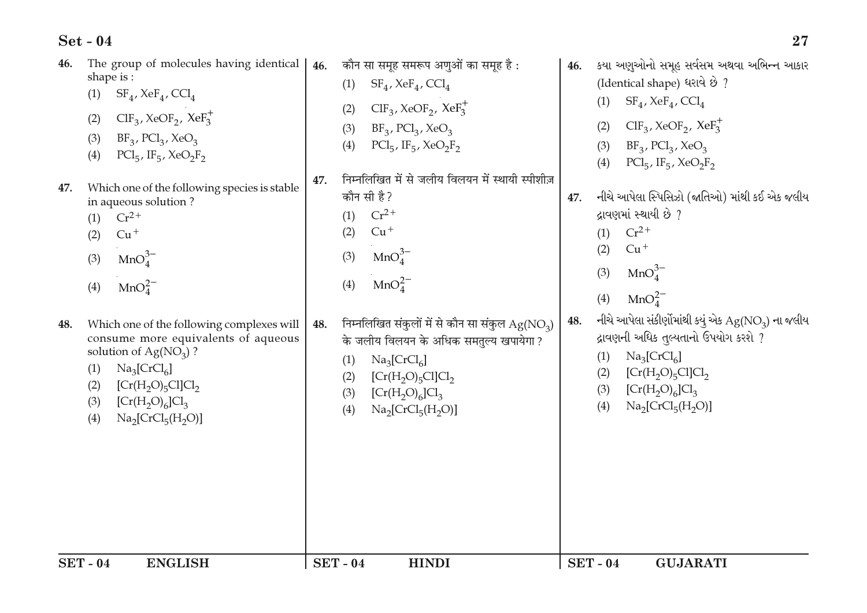| 48. | Which one of the following complexes will<br>consume more equivalents of aqueous | 48. |               | निम्नलिखित संकुलों में से कौन सा संकुल $Ag(NO3)$                        | 48. | MnO <sub>4</sub> <sup>2</sup><br>(4)<br>નીચે આપેલા સંકીર્ણોમાંથી કયું એક $\rm{Ag}(\rm{NO}_3)$ ના જલીય<br>દ્રાવણની અધિક તુલ્યતાનો ઉપયોગ કરશે ? |
|-----|----------------------------------------------------------------------------------|-----|---------------|-------------------------------------------------------------------------|-----|-----------------------------------------------------------------------------------------------------------------------------------------------|
|     | solution of $Ag(NO3)$ ?<br>$\text{Na}_3[\text{CrCl}_6]$<br>(1)                   |     | (1)           | के जलीय विलयन के अधिक समतुल्य खपायेगा ?<br>$\text{Na}_3[\text{CrCl}_6]$ |     | $\text{Na}_3[\text{CrCl}_6]$<br>(1)                                                                                                           |
|     | $[Cr(H, O)5Cl]Cl2$<br>(2)<br>[Cr(H, O) <sub>6</sub> ]Cl <sub>3</sub><br>(3)      |     | (2)<br>(3)    | $[Cr(H, O)_{5}Cl]Cl_{2}$<br>$[Cr(H2O)6]Cl3$                             |     | (2)<br>$[Cr(H2O)5Cl]Cl2$<br>$[Cr(H2O)6]Cl3$<br>(3)                                                                                            |
|     | $\text{Na}_2[\text{CrCl}_5(\text{H}_2\text{O})]$<br>(4)                          |     | (4)           | $\text{Na}_2[\text{CrCl}_5(\text{H}_2\text{O})]$                        |     | $\text{Na}_2[\text{CrCl}_5(\text{H}_2\text{O})]$<br>(4)                                                                                       |
|     |                                                                                  |     |               |                                                                         |     |                                                                                                                                               |
|     |                                                                                  |     |               |                                                                         |     |                                                                                                                                               |
|     |                                                                                  |     |               |                                                                         |     |                                                                                                                                               |
|     |                                                                                  |     |               |                                                                         |     |                                                                                                                                               |
|     | <b>SET-04</b><br><b>ENGLISH</b>                                                  |     | <b>SET-04</b> | <b>HINDI</b>                                                            |     | <b>SET - 04</b><br><b>GUJARATI</b>                                                                                                            |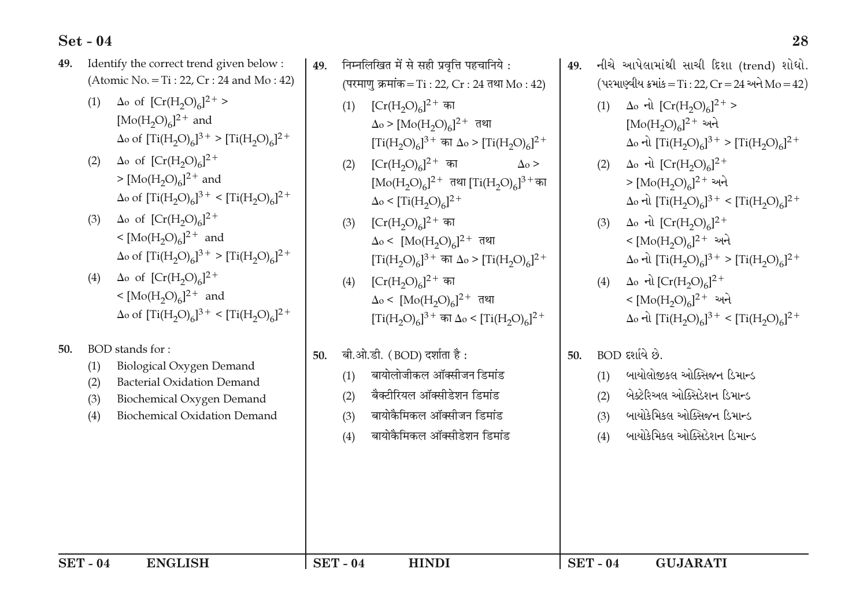Identify the correct trend given below: निम्नलिखित में से सही प्रवत्ति पहचानिये : 49. 49 (Atomic No. = Ti: 22,  $Cr: 24$  and Mo: 42) (परमाण क्रमांक = Ti : 22, Cr : 24 तथा Mo : 42)  $\Delta$ o of  $[Cr(H_2O)_6]^2$ <sup>+</sup> >  $(1)$  $[Cr(H<sub>2</sub>O)<sub>6</sub>]^{2+}$  का  $(1)$  $[Mo(H<sub>2</sub>O)<sub>6</sub>]$ <sup>2+</sup> and  $\Delta$ o of  $[Ti(H_2O)_6]^3$ <sup>+</sup> >  $[Ti(H_2O)_6]^2$ <sup>+</sup>

28

નીચે આપેલામાંથી સાચી દિશા (trend) શોધો.

(પરમાણ્વીય ક્રમાંક = Ti: 22, Cr = 24 અને Mo = 42)

 $\Delta_0$  d)  $[Ti(H_2O)_6]^3$ <sup>+</sup> >  $[Ti(H_2O)_6]^2$ <sup>+</sup>

 $\Delta$ o નો  $\text{[Ti(H, O)]}^3$ <sup>+</sup> <  $\text{[Ti(H, O)]}^2$ <sup>+</sup>

 $\Delta$ o નો  $\text{[Ti(H<sub>2</sub>O)<sub>6</sub>]}^{3+} > \text{[Ti(H<sub>2</sub>O)<sub>6</sub>]}^{2+}$ 

 $\Delta$ o નો  $\text{[Ti(H, O)]}_6$  $]^{3+}$  <  $\text{[Ti(H, O)]}_6$  $]^{2+}$ 

(1)  $\Delta_0$  નો  $[Cr(H_2O)_6]^2$ <sup>+</sup> >

 $[Mo(H<sub>2</sub>O)<sub>6</sub>]$ <sup>2+</sup> અને

 $\Delta$ <sub>0</sub> નો  $[Cr(H, O)<sub>6</sub>]$ <sup>2+</sup>

 $> [\text{Mo(H<sub>2</sub>O)<sub>6</sub>}]<sup>2+</sup>$  અને

 $\Delta$ <sub>0</sub> નો  $[Cr(H, O)<sub>6</sub>]$ <sup>2+</sup>

 $\rm < [Mo(H<sub>2</sub>O)<sub>6</sub>]^{2+}$  અને

 $<$  [Mo(H<sub>2</sub>O)<sub>6</sub>]<sup>2+</sup> અને

ં બાયોલોજીકલ ઓક્સિજન ડિમાન્ડ

બેક્ટેરિઅલ ઓક્સિડેશન ડિમાન્ડ

ંબાયોકેમિકલ ઓક્સિજન ડિમાન્ડ

ંબાયોકેમિકલ ઓક્સિડેશન ડિમાન્ડ

**GUJARATI** 

(4)  $\Delta_0$  નો  $[Cr(H_2O)_6]^2$ <sup>+</sup>

BOD દર્શાવે છે.

 $(1)$ 

 $(2)$ 

 $(3)$ 

 $(4)$ 

 $SET - 04$ 

50.

49

 $(2)$ 

 $(3)$ 

 $\Delta$ <sub>o</sub> >

 $\Delta$ o >  $[{\rm Mo(H_2O)_6}]^{2+}$  तथा

 $\Delta$ o < [Mo(H<sub>2</sub>O)<sub>6</sub>]<sup>2+</sup> तथा

 $\Delta$ o <  $\rm [Mo(H<sub>2</sub>O)<sub>6</sub>]$ <sup>2+</sup> तथा

बायोलोजीकल ऑक्सीजन डिमांड

बैक्टीरियल ऑक्सीडेशन डिमांड

बायोकैमिकल ऑक्सीजन डिमांड

**HINDI** 

बायोकैमिकल ऑक्सीडेशन डिमांड

 $[Cr(H<sub>2</sub>O)<sub>6</sub>]^{2+}$  का

 $\Delta_0 <$   $\text{Ti}(H_2O)_{c}$ <sup>2+</sup>

 $[Cr(H<sub>2</sub>O)<sub>6</sub>]^{2+}$  का

 $[Cr(H, O)<sub>6</sub>]<sup>2+</sup>$  का

बी.ओ.डी. (BOD) दर्शाता है:

 $(2)$ 

 $(3)$ 

 $(4)$ 

 $(1)$ 

 $(2)$ 

 $(3)$ 

 $(4)$ 

 $SET - 04$ 

50.

 $[Ti(H, O)<sub>6</sub>]$ <sup>3+</sup> का  $\Delta$ o >  $[Ti(H, O)<sub>6</sub>]$ <sup>2+</sup>

 $[Mo(H<sub>2</sub>O)<sub>6</sub>]$ <sup>2+</sup> तथा  $[Ti(H<sub>2</sub>O)<sub>6</sub>]$ <sup>3+</sup> का

 $[Ti(H_2O)_6]^3$ <sup>+</sup> का  $\Delta_0$  >  $[Ti(H_2O)_6]^2$ <sup>+</sup>

 $[Ti(H_2O)_c]^3$ <sup>+</sup> का  $\Delta_0$  <  $[Ti(H_2O)_c]^2$ <sup>+</sup>

- $\Delta$ o of  $[Cr(H_2O)_6]^2$ <sup>+</sup>  $(2)$  $> [Mo(H<sub>2</sub>O)<sub>6</sub>]^{2+}$  and  $\Delta$ o of  $[\text{Ti}(H_2O)_6]^3$ <sup>+</sup> <  $[\text{Ti}(H_2O)_6]^2$ <sup>+</sup>
- (3)  $\Delta$ o of  $[Cr(H, O)<sub>6</sub>]^{2+}$  $\langle [Mo(H<sub>2</sub>O)<sub>6</sub>]^{2+}$  and  $\Delta$ o of  $[Ti(H_2O)_6]^3$ <sup>+</sup> >  $[Ti(H_2O)_6]^2$ <sup>+</sup>
- $\Delta$ o of  $[Cr(H<sub>2</sub>O)<sub>6</sub>]$ <sup>2+</sup>  $(4)$  $< [Mo(H<sub>2</sub>O)<sub>6</sub>]^{2+}$  and  $\Delta$ o of  $[Ti(H_2O)_6]^3$ <sup>+</sup> <  $[Ti(H_2O)_6]^2$ <sup>+</sup>
- 50. BOD stands for:

 $(3)$ 

 $(4)$ 

 $SET - 04$ 

- $(1)$
- $(2)$
- **Bacterial Oxidation Demand**
- 
- 
- 
- 
- 
- 
- 
- 
- 
- 
- 
- 
- 
- 

**ENGLISH** 

- 
- 
- 
- 
- 
- 
- 
- 
- 
- 
- 
- 
- **Biological Oxygen Demand**
- 
- 
- 
- 
- 
- 
- 
- 
- 
- 
- 
- 
- 
- 
- 
- 
- 
- 
- 
- 
- 
- 
- 
- 
- 
- 
- 
- 
- 
- 
- 
- 
- 
- 
- 
- 

Biochemical Oxygen Demand

**Biochemical Oxidation Demand** 

- 
- 
- 
- 
- 
- 
- 
- 
-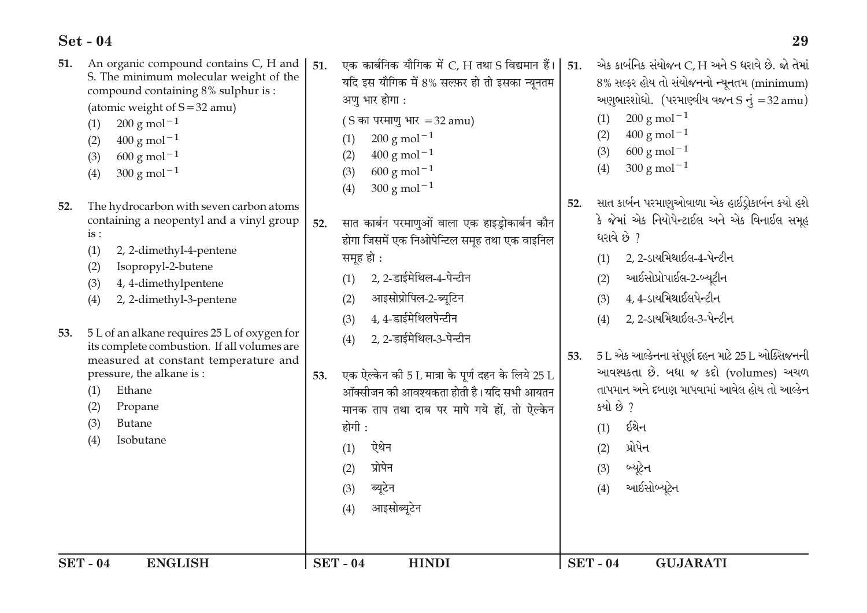| <b>SET - 04</b> | <b>ENGLISH</b>                                                                                                                                                                                                                                                                   |     | <b>SET-04</b><br><b>HINDI</b>                                                                                                                                                                                                                                                                                                     |     | <b>SET-04</b><br><b>GUJARATI</b>                                                                                                                                                                                                                                                                    |
|-----------------|----------------------------------------------------------------------------------------------------------------------------------------------------------------------------------------------------------------------------------------------------------------------------------|-----|-----------------------------------------------------------------------------------------------------------------------------------------------------------------------------------------------------------------------------------------------------------------------------------------------------------------------------------|-----|-----------------------------------------------------------------------------------------------------------------------------------------------------------------------------------------------------------------------------------------------------------------------------------------------------|
| 53.             | 2, 2-dimethyl-3-pentene<br>(4)<br>5 L of an alkane requires 25 L of oxygen for<br>its complete combustion. If all volumes are<br>measured at constant temperature and<br>pressure, the alkane is:<br>Ethane<br>(1)<br>(2)<br>Propane<br>(3)<br><b>Butane</b><br>(4)<br>Isobutane | 53. | आइसोप्रोपिल-2-ब्यूटिन<br>(2)<br>4, 4-डाईमेथिलपेन्टीन<br>(3)<br>2, 2-डाईमेथिल-3-पेन्टीन<br>(4)<br>एक ऐल्केन की 5 L मात्रा के पूर्ण दहन के लिये 25 L<br>ऑक्सीजन की आवश्यकता होती है। यदि सभी आयतन<br>मानक ताप तथा दाब पर मापे गये हों, तो ऐल्केन<br>होगी :<br>ऐथेन<br>(1)<br>प्रोपेन<br>(2)<br>ब्यूटेन<br>(3)<br>आइसोब्यूटेन<br>(4) | 53. | $4, 4$ -ડાયમિથાઈલપેન્ટીન<br>(3)<br>2, 2-ડાયમિથાઈલ-3-પેન્ટીન<br>(4)<br>$5$ L એક આલ્કેનના સંપૂર્ણ દહન માટે 25 L ઓક્સિજનની<br>આવશ્યકતા છે. બધા જ કદો (volumes) અચળ<br>તાપમાન અને દબાણ માપવામાં આવેલ હોય તો આલ્કેન<br>કયો છે ?<br>ઈથેન<br>(1)<br>પ્રોપેન<br>(2)<br>બ્યૂટેન<br>(3)<br>આઈસોબ્યૂટેન<br>(4) |
| 52.             | $600 \text{ g mol}^{-1}$<br>(3)<br>$300 g$ mol <sup>-1</sup><br>(4)<br>The hydrocarbon with seven carbon atoms<br>containing a neopentyl and a vinyl group<br>is:<br>(1)<br>2, 2-dimethyl-4-pentene<br>Isopropyl-2-butene<br>(2)<br>4, 4-dimethylpentene<br>(3)                  | 52. | $400 g$ mol <sup>-1</sup><br>(2)<br>$600 \text{ g mol}^{-1}$<br>(3)<br>$300 \text{ g} \text{ mol}^{-1}$<br>(4)<br>सात कार्बन परमाणुओं वाला एक हाइड्रोकार्बन कौन<br>होगा जिसमें एक निओपेन्टिल समूह तथा एक वाइनिल<br>समूह हो :<br>2, 2-डाईमेथिल-4-पेन्टीन<br>(1)                                                                    | 52. | $300 \text{ g mol}^{-1}$<br>(4)<br>સાત કાર્બન પરમાણુઓવાળા એક હાઈડ્રોકાર્બન કયો હશે<br>કે જેમાં એક નિયોપેન્ટાઈલ અને એક વિનાઈલ સમૂહ<br><u>ધરાવે છે ?</u><br>2, 2-ડાયમિથાઈલ-4-પેન્ટીન<br>(1)<br>આઈસોપ્રોપાઈલ-2-બ્યૂટીન<br>(2)                                                                          |
| 51.             | An organic compound contains C, H and<br>S. The minimum molecular weight of the<br>compound containing 8% sulphur is :<br>(atomic weight of $S = 32$ amu)<br>$200 \text{ g mol}^{-1}$<br>(1)<br>$400$ g mol <sup><math>-1</math></sup><br>(2)                                    | 51. | एक कार्बनिक यौगिक में C, H तथा S विद्यमान हैं।<br>यदि इस यौगिक में 8% सल्फ़र हो तो इसका न्यूनतम<br>अणु भार होगा :<br>(S का परमाणु भार = 32 amu)<br>$200 \text{ g mol}^{-1}$<br>(1)                                                                                                                                                | 51. | એક કાર્બનિક સંયોજન C, H અને S ધરાવે છે. જો તેમાં<br>8% સલ્ફર હોય તો સંયોજનનો ન્યૂનતમ (minimum)<br>અણુભારશોધો. (પરમાણ્વીય વજન $S \frac{1}{3} = 32$ amu)<br>$200 g$ mol <sup>-1</sup><br>(1)<br>$400 \text{ g mol}^{-1}$<br>(2)<br>$600 \text{ g mol}^{-1}$<br>(3)                                    |

**29**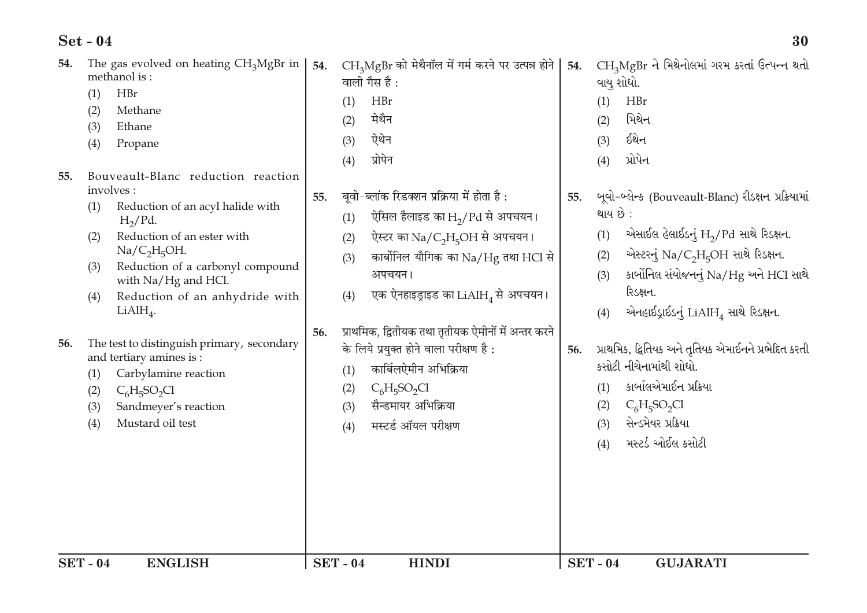| 54. | The gas evolved on heating $CH3MgBr$ in<br>methanol is:<br>HBr<br>(1)<br>Methane<br>(2)<br>(3)<br>Ethane<br>(4)<br>Propane                                                                                                                                                                                      | 54.           | $CH3MgBr$ को मेथैनॉल में गर्म करने पर उत्पन्न होने  <br>वाली गैस है:<br>HBr<br>(1)<br>मेथैन<br>(2)<br>ऐथेन<br>(3)<br>प्रोपेन<br>(4)                                                                                                                              | 54.<br>(1)<br>(2)<br>(3)<br>(4) | CH3MgBr ને મિથેનોલમાં ગરમ કરતાં ઉત્પન્ન થતો<br>વાયુ શોધો.<br>HBr<br>મિથેન<br>ઈથેન<br>પ્રોપેન                                                                                                                                                                            |
|-----|-----------------------------------------------------------------------------------------------------------------------------------------------------------------------------------------------------------------------------------------------------------------------------------------------------------------|---------------|------------------------------------------------------------------------------------------------------------------------------------------------------------------------------------------------------------------------------------------------------------------|---------------------------------|-------------------------------------------------------------------------------------------------------------------------------------------------------------------------------------------------------------------------------------------------------------------------|
| 55. | Bouveault-Blanc reduction reaction<br>involves:<br>Reduction of an acyl halide with<br>(1)<br>$H_2$ /Pd.<br>Reduction of an ester with<br>(2)<br>Na/C <sub>2</sub> H <sub>5</sub> OH.<br>Reduction of a carbonyl compound<br>(3)<br>with Na/Hg and HCl.<br>Reduction of an anhydride with<br>(4)<br>$LiAlH_4$ . | 55.           | बूवो-ब्लांक रिडक्शन प्रक्रिया में होता है :<br>ऐसिल हैलाइड का $H_2/Pd$ से अपचयन।<br>(1)<br>ऐस्टर का Na/C <sub>2</sub> H <sub>5</sub> OH से अपचयन।<br>(2)<br>कार्बोनिल यौगिक का Na/Hg तथा HCl से<br>(3)<br>अपचयन।<br>एक ऐनहाइड्राइड का $LiAlH_4$ से अपचयन।<br>(4) | 55.<br>(1)<br>(2)<br>(3)<br>(4) | બૂવો-બ્લેન્ક (Bouveault-Blanc) રીડક્ષન પ્રક્રિયામાં<br>થાય છે :<br>એસાઈલ હેલાઈડનું $H_2$ /Pd સાથે રિડક્ષન.<br>એસ્ટરનું $\text{Na/C}_2\text{H}_5\text{OH}$ સાથે રિડક્ષન.<br>કાર્બોનિલ સંયોજનનું Na/Hg અને HCl સાથે<br>રિડક્ષન.<br>એનહાઈડ્રાઈડનું $LiAlH_4$ સાથે રિડક્ષન. |
| 56. | The test to distinguish primary, secondary<br>and tertiary amines is:<br>Carbylamine reaction<br>(1)<br>$C_6H_5SO_2Cl$<br>(2)<br>Sandmeyer's reaction<br>(3)<br>Mustard oil test<br>(4)                                                                                                                         | 56.           | प्राथमिक, द्वितीयक तथा तृतीयक ऐमीनों में अन्तर करने<br>के लिये प्रयुक्त होने वाला परीक्षण है:<br>कार्बिलऐमीन अभिक्रिया<br>(1)<br>$C_6H_5SO_2Cl$<br>(2)<br>सैन्डमायर अभिक्रिया<br>(3)<br>मस्टर्ड ऑयल परीक्षण<br>(4)                                               | 56.<br>(1)<br>(2)<br>(3)<br>(4) | પ્રાથમિક, દ્વિતિયક અને તૃતિયક એમાઈનને પ્રભેદિત કરતી<br>કસોટી નીચેનામાંથી શોધો.<br>કાર્બાલએમાઈન પ્રક્રિયા<br>$C_6H_5SO_2Cl$<br>સેન્ડમેયર પ્રક્રિયા<br>મસ્ટર્ડ ઓઈલ કસોટી                                                                                                  |
|     | <b>SET-04</b><br><b>ENGLISH</b>                                                                                                                                                                                                                                                                                 | <b>SET-04</b> | <b>HINDI</b>                                                                                                                                                                                                                                                     | <b>SET-04</b>                   | <b>GUJARATI</b>                                                                                                                                                                                                                                                         |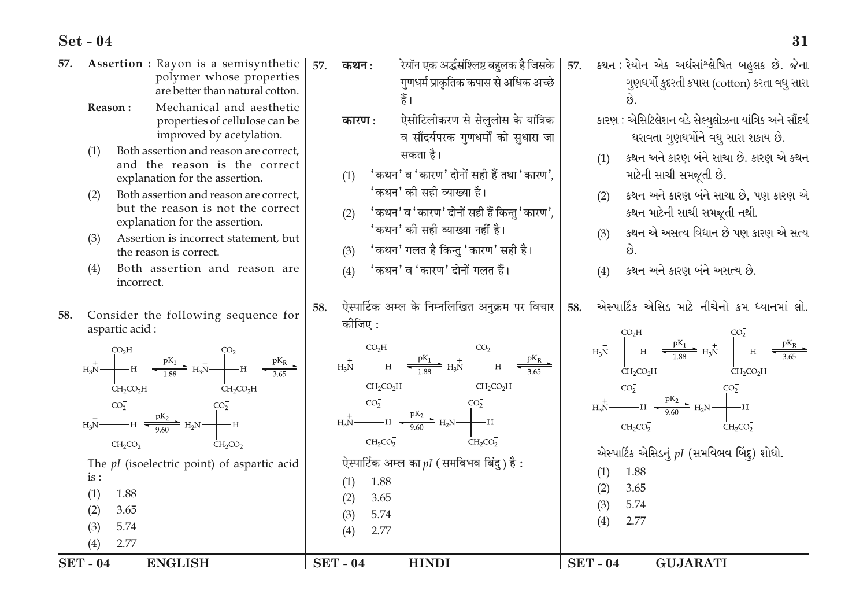| 57.           | Assertion : Rayon is a semisynthetic<br>polymer whose properties<br>are better than natural cotton.                                                                                                                                                                                                                                                                                                                     | 57.           | कथन :                             | गुणधर्म प्राकृतिक कपास से अधिक अच्छे<br>हैं।                                                                                                                                                                                                                                                                                                                                          |               |                   | रेयॉन एक अर्द्धसंश्लिष्ट बहुलक है जिसके   57.    કથન : રેયોન  એક  અર્ધસાંશ્લેષિત  બહુલક  છે.  જેના<br>ગુણધર્મો કુદરતી કપાસ (cotton) કરતા વધુ સારા                                                                                                                                    |
|---------------|-------------------------------------------------------------------------------------------------------------------------------------------------------------------------------------------------------------------------------------------------------------------------------------------------------------------------------------------------------------------------------------------------------------------------|---------------|-----------------------------------|---------------------------------------------------------------------------------------------------------------------------------------------------------------------------------------------------------------------------------------------------------------------------------------------------------------------------------------------------------------------------------------|---------------|-------------------|--------------------------------------------------------------------------------------------------------------------------------------------------------------------------------------------------------------------------------------------------------------------------------------|
|               | Mechanical and aesthetic<br>Reason:<br>properties of cellulose can be<br>improved by acetylation.<br>Both assertion and reason are correct,<br>(1)<br>and the reason is the correct<br>explanation for the assertion.<br>Both assertion and reason are correct,<br>(2)<br>but the reason is not the correct<br>explanation for the assertion.<br>Assertion is incorrect statement, but<br>(3)<br>the reason is correct. |               | कारण $:$<br>(1)<br>(2)            | ऐसीटिलीकरण से सेलुलोस के यांत्रिक<br>व सौंदर्यपरक गुणधर्मों को सुधारा जा<br>सकता है।<br>'कथन' व 'कारण' दोनों सही हैं तथा 'कारण'.<br>'कथन' की सही व्याख्या है।<br>' कथन' व ' कारण' दोनों सही हैं किन्तु ' कारण',<br>'कथन' की सही व्याख्या नहीं है।<br>(3) 'कथन' गलत है किन्तु 'कारण' सही है।                                                                                           |               | (1)<br>(2)<br>(3) | કારણ : એસિટિલેશન વડે સેલ્યુલોઝના યાંત્રિક અને સૌંદર્ય<br>ધરાવતા ગુણધર્મોને વધુ સારા શકાય છે.<br>કથન અને કારણ બંને સાચા છે. કારણ એ કથન<br>માટેની સાચી સમજૂતી છે.<br>કથન અને કારણ બંને સાચા છે. પણ કારણ એ<br>કથન માટેની સાચી સમજૂતી નથી.<br>કથન એ અસત્ય વિધાન છે પણ કારણ એ સત્ય<br>છે. |
|               | (4)<br>Both assertion and reason are<br>incorrect.                                                                                                                                                                                                                                                                                                                                                                      | 58.           | (4)                               | 'कथन' व 'कारण' दोनों गलत हैं।<br>ऐस्पार्टिक अम्ल के निम्नलिखित अनुक्रम पर विचार                                                                                                                                                                                                                                                                                                       | 58.           | (4)               | કથન અને કારણ બંને અસત્ય છે.<br>એસ્પાર્ટિક એસિડ માટે નીચેનો ક્રમ ધ્યાનમાં લો.                                                                                                                                                                                                         |
| 58.           | Consider the following sequence for<br>aspartic acid:                                                                                                                                                                                                                                                                                                                                                                   |               | कोजिए :                           |                                                                                                                                                                                                                                                                                                                                                                                       |               |                   | $H_3N$ $H_3N$ $H_3N$ $H_3N$ $H_3N$ $H_3N$ $H_3N$ $H_3N$ $H_3N$ $H_3N$ $H_3N$ $H_3N$ $H_3N$ $H_3N$ $H_3N$ $H_3N$ $H_3N$ $H_3N$ $H_3N$ $H_3N$ $H_3N$ $H_3N$ $H_3N$ $H_3N$ $H_3N$ $H_3N$ $H_3N$ $H_3N$ $H_3N$ $H_3N$ $H_3N$ $H_3$                                                       |
|               | $\begin{picture}(120,140)(-10,0) \put(0,0){\line(1,0){15}} \put(10,0){\line(1,0){15}} \put(10,0){\line(1,0){15}} \put(10,0){\line(1,0){15}} \put(10,0){\line(1,0){15}} \put(10,0){\line(1,0){15}} \put(10,0){\line(1,0){15}} \put(10,0){\line(1,0){15}} \put(10,0){\line(1,0){15}} \put(10,0){\line(1,0){15}} \put(10,0){\line(1,0){15}} \put(1$<br>CH <sub>2</sub> CO <sub>2</sub> H<br>$CH_2CO_2H$                    |               | CH <sub>2</sub> CO <sub>2</sub> H | $\begin{picture}(120,140)(-10,0) \put(0,0){\line(1,0){15}} \put(10,0){\line(1,0){15}} \put(10,0){\line(1,0){15}} \put(10,0){\line(1,0){15}} \put(10,0){\line(1,0){15}} \put(10,0){\line(1,0){15}} \put(10,0){\line(1,0){15}} \put(10,0){\line(1,0){15}} \put(10,0){\line(1,0){15}} \put(10,0){\line(1,0){15}} \put(10,0){\line(1,0){15}} \put(1$<br>CH <sub>2</sub> CO <sub>2</sub> H |               |                   | $CH_2CO_2H$<br>$CH_2CO_2H$<br>$H_3N$ $H_3N$ $H_4N$ $H_2N$ $H_2N$                                                                                                                                                                                                                     |
|               | $\begin{picture}(120,140)(-10,140)(-10,140)(-10,140)(-10,140)(-10,140)(-10,140)(-10,140)(-10,140)(-10,140)(-10,140)(-10,140)(-10,140)(-10,140)(-10,140)(-10,140)(-10,140)(-10,140)(-10,140)(-10,140)(-10,140)(-10,140)(-10,140)(-10,140)(-10,140)(-10,140)(-10,140$<br>CH <sub>2</sub> CO <sub>2</sub><br>$CH_2CO_2$                                                                                                    |               | CH <sub>2</sub> CO <sub>2</sub>   | $H_3N$ $H_3N$ $H_4N$ $H_5N$ $H_2N$ $H_1$<br>$CH_2CO_2$                                                                                                                                                                                                                                                                                                                                |               |                   | $CH_2CO_2^-$<br>$CH_2CO_2^-$<br>એસ્પાર્ટિક એસિડનું $pI$ (સમવિભવ બિંદુ) શોધો.                                                                                                                                                                                                         |
|               | The $pI$ (isoelectric point) of aspartic acid<br>is:<br>1.88<br>(1)                                                                                                                                                                                                                                                                                                                                                     |               | 1.88<br>(1)<br>3.65<br>(2)        | ऐस्पार्टिक अम्ल का $pI$ (समविभव बिंदु) है :                                                                                                                                                                                                                                                                                                                                           |               | (1)<br>(2)<br>(3) | 1.88<br>3.65<br>5.74                                                                                                                                                                                                                                                                 |
|               | (2)<br>3.65<br>5.74<br>(3)<br>(4)<br>2.77                                                                                                                                                                                                                                                                                                                                                                               |               | 5.74<br>(3)<br>2.77<br>(4)        |                                                                                                                                                                                                                                                                                                                                                                                       |               | (4)               | 2.77                                                                                                                                                                                                                                                                                 |
| <b>SET-04</b> | <b>ENGLISH</b>                                                                                                                                                                                                                                                                                                                                                                                                          | <b>SET-04</b> |                                   | <b>HINDI</b>                                                                                                                                                                                                                                                                                                                                                                          | <b>SET-04</b> |                   | <b>GUJARATI</b>                                                                                                                                                                                                                                                                      |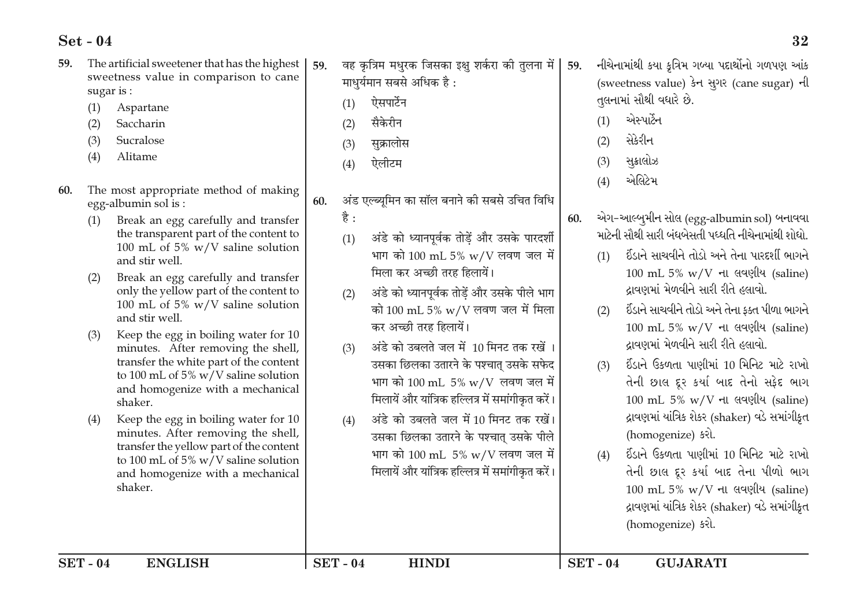- The artificial sweetener that has the highest 59. sweetness value in comparison to cane sugar is:
	- Aspartane  $(1)$
	- $(2)$ Saccharin
	- Sucralose  $(3)$
	- $(4)$ Alitame
- 60. The most appropriate method of making egg-albumin sol is:
	- Break an egg carefully and transfer  $(1)$ the transparent part of the content to 100 mL of 5%  $w/V$  saline solution and stir well.
	- Break an egg carefully and transfer  $(2)$ only the yellow part of the content to 100 mL of 5%  $w/V$  saline solution and stir well.
	- Keep the egg in boiling water for 10  $(3)$ minutes. After removing the shell, transfer the white part of the content to 100 mL of 5% w/V saline solution and homogenize with a mechanical shaker.
	- Keep the egg in boiling water for 10  $(4)$ minutes. After removing the shell, transfer the yellow part of the content to 100 mL of 5% w/V saline solution and homogenize with a mechanical shaker.
- वह कत्रिम मधरक जिसका इक्ष शर्करा की तलना में 59. माधर्यमान सबसे अधिक है: ऐसपार्टेन  $(1)$ 
	- सैकेरीन  $(2)$
	- $(3)$ सक्रालोस
	- ऐलीटम  $(4)$
- अंड एल्ब्युमिन का सॉल बनाने की सबसे उचित विधि 60.
	- है:
	- अंडे को ध्यानपूर्वक तोडें और उसके पारदर्शी  $(1)$ भाग को 100 mL 5% w/V लवण जल में मिला कर अच्छी तरह हिलायें।
	- अंडे को ध्यानपूर्वक तोडें और उसके पीले भाग  $(2)$ को  $100 \text{ mL } 5\% \text{ w/V}$  लवण जल में मिला कर अच्छी तरह हिलायें।
	- अंडे को उबलते जल में 10 मिनट तक रखें।  $(3)$ उसका छिलका उतारने के पश्चात उसके सफेद भाग को 100 mL 5% w/V लवण जल में मिलायें और यांत्रिक हल्लित्र में समांगीकृत करें।
	- अंडे को उबलते जल में 10 मिनट तक रखें।  $(4)$ उसका छिलका उतारने के पश्चात् उसके पीले भाग को 100 mL 5% w/V लवण जल में मिलायें और यांत्रिक हल्लित्र में समांगीकत करें।
- નીચેનામાંથી કયા કત્રિમ ગબ્યા પદાર્થોનો ગળપણ આંક (sweetness value) डेन स्थर (cane sugar) नी તલનામાં સૌથી વધારે છે.
- એસ્પાર્ટન  $(1)$
- સેકેરીન  $(2)$

59.

- સક્રાલોઝ  $(3)$
- એલિટેમ  $(4)$
- એગ-આલ્બર્મીન સોલ (egg-albumin sol) બનાવવા 60. માટેની સૌથી સારી બંધબેસતી પધ્ધતિ નીચેનામાંથી શોધો
	- ઈંડાને સાચવીને તોડો અને તેના પારદર્શી ભાગને  $(1)$  $100$  mL 5% w/V ના લવણીય (saline) ઢાવણમાં મેળવીને સારી રીતે હલાવો.
	- ઈંડાને સાચવીને તોડો અને તેના કક્ત પીળા ભાગને  $(2)$  $100$  mL 5% w/V ના લવણીય (saline) ઢાવણમાં મેળવીને સારી રીતે હલાવો.
	- ઈંડાને ઉકળતા પાણીમાં 10 મિનિટ માટે રાખો  $(3)$ તેની છાલ દૂર કર્યા બાદ તેનો સફેદ ભાગ 100 mL 5% w/V ના લવણીય (saline) દ્રાવણમાં યાંત્રિક શેકર (shaker) વડે સમાંગીકૃત (homogenize) કરો.
	- ઈંડાને ઉકળતા પાણીમાં 10 મિનિટ માટે રાખો  $(4)$ તેની છાલ દૂર કર્યા બાદ તેના પીળો ભાગ 100 mL 5% w/V ના લવણીય (saline) દ્રાવણમાં યાંત્રિક શેકર (shaker) વડે સમાંગીકૃત (homogenize) કરો.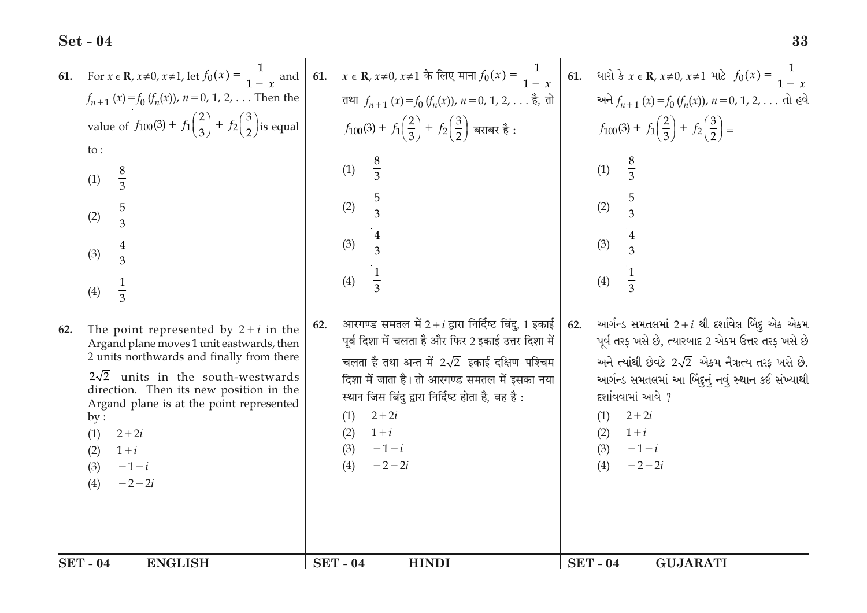| 61. For $x \in \mathbb{R}$ , $x \ne 0$ , $x \ne 1$ , let $f_0(x) = \frac{1}{1-x}$ and 61.<br>$f_{n+1}(x) = f_0(f_n(x))$ , $n = 0, 1, 2, $ Then the<br>value of $f_{100}(3) + f_1(\frac{2}{3}) + f_2(\frac{3}{2})$ is equal<br>$\mathsf{to}$ :<br>$rac{8}{3}$<br>(1)<br>$rac{5}{3}$<br>(2)<br>$rac{4}{3}$<br>(3)<br>$\frac{1}{3}$<br>(4)<br>The point represented by $2 + i$ in the<br>62.<br>Argand plane moves 1 unit eastwards, then<br>2 units northwards and finally from there<br>$2\sqrt{2}$ units in the south-westwards<br>direction. Then its new position in the<br>Argand plane is at the point represented<br>by:<br>(1)<br>$2 + 2i$<br>(2)<br>$1+i$<br>$-1-i$<br>(3)<br>$-2-2i$<br>(4) | x ∈ R, x≠0, x≠1 के लिए माना $f_0(x) = \frac{1}{1-x}$<br>तथा $f_{n+1}(x) = f_0(f_n(x))$ , $n = 0, 1, 2, $ है, तो<br>$f_{100}(3) + f_1\left(\frac{2}{3}\right) + f_2\left(\frac{3}{2}\right)$ बराबर है :<br>$\frac{8}{3}$<br>(1)<br>$rac{5}{3}$<br>(2)<br>$\frac{4}{3}$<br>(3)<br>$\frac{1}{3}$<br>(4)<br>आरगण्ड समतल में 2+ $i$ द्वारा निर्दिष्ट बिंदु, 1 इकाई<br>62.<br>पूर्व दिशा में चलता है और फिर 2 इकाई उत्तर दिशा में<br>चलता है तथा अन्त में $2\sqrt{2}$ इकाई दक्षिण-पश्चिम<br>दिशा में जाता है। तो आरगण्ड समतल में इसका नया<br>स्थान जिस बिंदु द्वारा निर्दिष्ट होता है, वह है :<br>$2 + 2i$<br>(1)<br>$1+i$<br>(2)<br>(3)<br>$-1-i$<br>$-2 - 2i$<br>(4) | 61. ધારો કે $x \in \mathbb{R}$ , $x \ne 0$ , $x \ne 1$ માટે $f_0(x) = \frac{1}{1-x}$<br>અને $f_{n+1}(x) = f_0(f_n(x))$ , $n = 0, 1, 2, $ તો હવે<br>$f_{100}(3) + f_1\left(\frac{2}{3}\right) + f_2\left(\frac{3}{2}\right) =$<br>$\frac{8}{3}$<br>(1)<br>$rac{5}{3}$<br>(2)<br>$rac{4}{3}$<br>(3)<br>(4)<br>આર્ગન્ડ સમતલમાં 2+i થી દર્શાવેલ બિંદુ એક એકમ<br>62.<br>પૂર્વ તરફ ખસે છે, ત્યારબાદ 2 એકમ ઉત્તર તરફ ખસે છે<br>અને ત્યાંથી છેવટે $2\sqrt{2}$ એકમ નૈઋત્ય તરફ ખસે છે.<br>આર્ગન્ડ સમતલમાં આ બિંદુનું નવું સ્થાન કઈ સંખ્યાથી<br>દર્શાવવામાં આવે ?<br>$2 + 2i$<br>(1)<br>$1+i$<br>(2)<br>$-1-i$<br>(3)<br>(4)<br>$-2-2i$ |
|-----------------------------------------------------------------------------------------------------------------------------------------------------------------------------------------------------------------------------------------------------------------------------------------------------------------------------------------------------------------------------------------------------------------------------------------------------------------------------------------------------------------------------------------------------------------------------------------------------------------------------------------------------------------------------------------------------|------------------------------------------------------------------------------------------------------------------------------------------------------------------------------------------------------------------------------------------------------------------------------------------------------------------------------------------------------------------------------------------------------------------------------------------------------------------------------------------------------------------------------------------------------------------------------------------------------------------------------------------------------------------|------------------------------------------------------------------------------------------------------------------------------------------------------------------------------------------------------------------------------------------------------------------------------------------------------------------------------------------------------------------------------------------------------------------------------------------------------------------------------------------------------------------------------------------------------------------------------------------------------------------------------|
| <b>SET - 04</b>                                                                                                                                                                                                                                                                                                                                                                                                                                                                                                                                                                                                                                                                                     | <b>SET-04</b>                                                                                                                                                                                                                                                                                                                                                                                                                                                                                                                                                                                                                                                    | <b>SET - 04</b>                                                                                                                                                                                                                                                                                                                                                                                                                                                                                                                                                                                                              |
| <b>ENGLISH</b>                                                                                                                                                                                                                                                                                                                                                                                                                                                                                                                                                                                                                                                                                      | <b>HINDI</b>                                                                                                                                                                                                                                                                                                                                                                                                                                                                                                                                                                                                                                                     | <b>GUJARATI</b>                                                                                                                                                                                                                                                                                                                                                                                                                                                                                                                                                                                                              |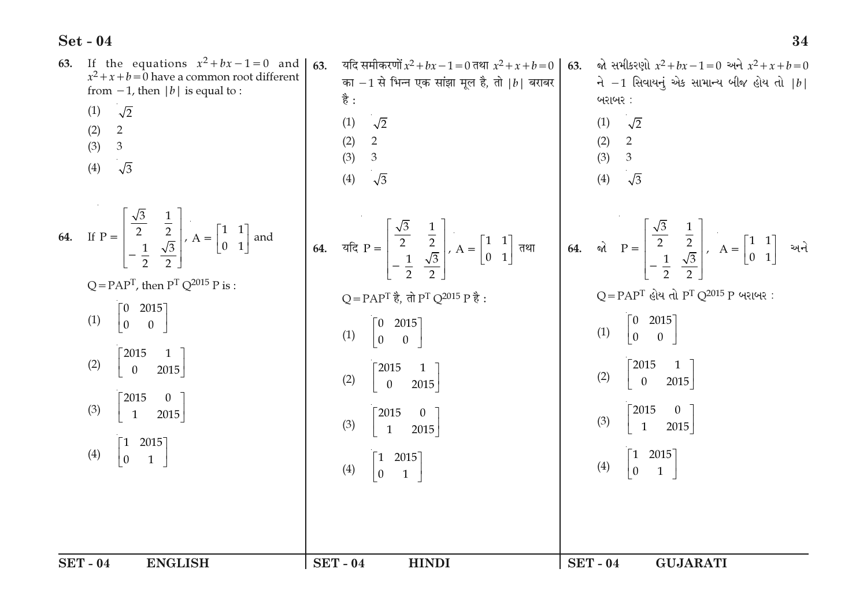| If the equations $x^2 + bx - 1 = 0$ and<br>63.<br>$x^2 + x + b = 0$ have a common root different<br>from $-1$ , then  b  is equal to :<br>$\sqrt{2}$<br>(1)<br>$\overline{2}$<br>(2)<br>(3)<br>$\mathfrak{Z}$<br>$\sqrt{3}$<br>(4)                                                                                                                                                                                                                      | 63.<br>यदि समीकरणों $x^2 + bx - 1 = 0$ तथा $x^2 + x + b = 0$<br>का $-1$ से भिन्न एक सांझा मूल है, तो $ b $ बराबर<br>है :<br>$\sqrt{2}$<br>(1)<br>(2) 2<br>$\mathfrak{Z}$<br>(3)<br>$\sqrt{3}$<br>(4)                                                                                                                                                                                                                                                                                                                                                                                                                                                                                                                                                                                     | જો સમીકરણો $x^2 + bx - 1 = 0$ અને $x^2 + x + b = 0$<br>63.<br>ને $-1$ સિવાયનું એક સામાન્ય બીજ હોય તો $ b $<br>બરાબર:<br>(1)<br>$\sqrt{2}$<br>(2) 2<br>(3) 3<br>(4)<br>$\sqrt{3}$                                                                |
|---------------------------------------------------------------------------------------------------------------------------------------------------------------------------------------------------------------------------------------------------------------------------------------------------------------------------------------------------------------------------------------------------------------------------------------------------------|------------------------------------------------------------------------------------------------------------------------------------------------------------------------------------------------------------------------------------------------------------------------------------------------------------------------------------------------------------------------------------------------------------------------------------------------------------------------------------------------------------------------------------------------------------------------------------------------------------------------------------------------------------------------------------------------------------------------------------------------------------------------------------------|-------------------------------------------------------------------------------------------------------------------------------------------------------------------------------------------------------------------------------------------------|
| 64. If $P = \begin{bmatrix} \frac{\sqrt{3}}{2} & \frac{1}{2} \\ -\frac{1}{2} & \frac{\sqrt{3}}{2} \end{bmatrix}$ , $A = \begin{bmatrix} 1 & 1 \\ 0 & 1 \end{bmatrix}$ and<br>$Q = PAPT$ , then $PT Q2015 P$ is :<br>$\begin{bmatrix} 0 & 2015 \\ 0 & 0 \end{bmatrix}$<br>(1)<br>2015<br>$\overline{1}$<br>(2)<br>$\overline{0}$<br>2015<br>2015<br>(3)<br>$\mathbf{1}$<br>2015<br>$\begin{bmatrix} 1 & 2015 \\ 0 & 1 \end{bmatrix}$<br>$\vert_0$<br>(4) | <b>64.</b> $\vec{a} = \begin{bmatrix} \frac{\sqrt{3}}{2} & \frac{1}{2} \\ -\frac{1}{2} & \frac{\sqrt{3}}{2} \end{bmatrix}$ , $A = \begin{bmatrix} 1 & 1 \\ 0 & 1 \end{bmatrix}$ $\vec{a}$ and $\vec{a} = \begin{bmatrix} \frac{\sqrt{3}}{2} & \frac{1}{2} \\ -\frac{1}{2} & \frac{\sqrt{3}}{2} \end{bmatrix}$ , $A = \begin{bmatrix} 1 & 1 \\ 0 & 1 \end{bmatrix}$ $\vec{a}$ and $\vec{b} = \begin{bmatrix} 1$<br>Q = PAP <sup>T</sup> है, तो P <sup>T</sup> Q <sup>2015</sup> P है:<br>$\begin{bmatrix} 2015 \\ 0 \end{bmatrix}$<br>$\begin{bmatrix} 0 \ 0 \end{bmatrix}$<br>(1)<br>2015<br>(2)<br>$\overline{0}$<br>2015<br>$\lceil 2015 \rceil$<br>$\begin{bmatrix} 0 & 1 \end{bmatrix}$<br>(3)<br>$\overline{1}$<br>2015<br>$\begin{bmatrix} 1 & 2015 \\ 0 & 1 \end{bmatrix}$<br>(4) | $Q = PAPT$ હોય તો $PT Q2015 P$ બરાબર:<br>$\begin{bmatrix} 0 & 2015 \\ 0 & 0 \end{bmatrix}$<br>(1)<br>2015<br>(2)<br>2015<br>$\mathbf{0}$<br>$2015$<br>(3)<br>2015<br>$\overline{1}$<br>$\begin{bmatrix} 1 & 2015 \\ 0 & 1 \end{bmatrix}$<br>(4) |
| <b>SET - 04</b><br><b>ENGLISH</b>                                                                                                                                                                                                                                                                                                                                                                                                                       | <b>SET - 04</b><br><b>HINDI</b>                                                                                                                                                                                                                                                                                                                                                                                                                                                                                                                                                                                                                                                                                                                                                          | <b>SET - 04</b><br><b>GUJARATI</b>                                                                                                                                                                                                              |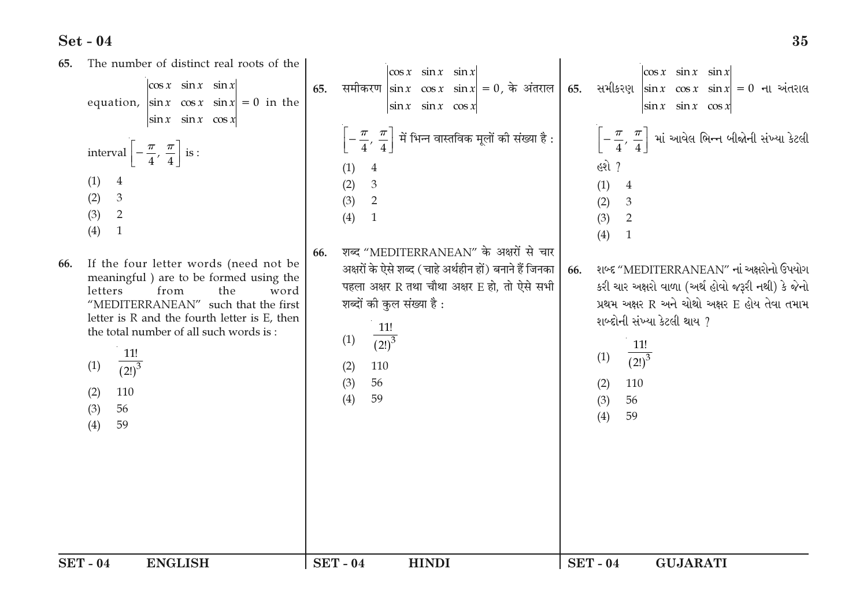The number of distinct real roots of the 65.  $|\cos x \sin x \sin x|$  $\cos x$  sin x sin x  $\cos x$   $\sin x$   $\sin x$ 65. समीकरण  $|\sin x| \cos x$   $\sin x| = 0$ , के अंतराल 65. सभी अशु  $|\sin x| \cos x$   $\sin x| = 0$  ना અंतरास equation,  $|\sin x| \cos x \sin x = 0$  in the  $\begin{vmatrix} \sin x & \sin x & \cos x \end{vmatrix}$  $\left|\sin x \right| \sin x \cos x$  $\left|\sin x \right| \sin x \cos x$  $\left[-\frac{\pi}{4},\,\frac{\pi}{4}\right]$  में भिन्न वास्तविक मूलों की संख्या है :  $\Bigg|$  $\left\lceil -\frac{\pi}{4},\, \frac{\pi}{4} \right\rceil$  માં આવેલ ભિન્ન બીજોની સંખ્યા કેટલી interval  $\left[-\frac{\pi}{4},\frac{\pi}{4}\right]$  is :  $69$  ?  $(1)$  $\overline{4}$  $(1)$  $\overline{4}$  $(2)$ 3  $(1)$  $\overline{4}$  $(2)$  $\mathcal{E}$  $(3)$ 2  $(2)$  $\overline{3}$  $(3)$ 2  $(4)$  $\overline{1}$  $(3)$ 2  $(4)$  $\overline{1}$  $(4)$  $\overline{1}$ शब्द "MEDITERRANEAN" के अक्षरों से चार 66. If the four letter words (need not be 66. अक्षरों के ऐसे शब्द (चाहे अर्थहीन हों) बनाने हैं जिनका શબ્દ "MEDITERRANEAN" નાં અક્ષરોનો ઉપયોગ 66. meaningful) are to be formed using the पहला अक्षर R तथा चौथा अक्षर E हो, तो ऐसे सभी કરી ચાર અક્ષરો વાળા (અર્થ હોવો જરૂરી નથી) કે જેનો letters from the word शब्दों की कुल संख्या है: પ્રથમ અક્ષર R અને ચોથો અક્ષર E હોય તેવા તમામ "MEDITERRANEAN" such that the first letter is R and the fourth letter is E, then શબ્દોની સંખ્યા કેટલી થાય ? 11! the total number of all such words is:  $(1)$  $(2!)^3$  $11!$  $11!$  $\overline{(2!)^3}$  $(1)$  $(2!)^3$  $(1)$  $(2)$ 110  $(3)$ 56 110  $(2)$ 110  $(2)$ 56  $(4)$ 59  $(3)$ 56  $(3)$  $(4)$ 59  $(4)$ 59  $SET - 04$ **ENGLISH**  $SET - 04$ **HINDI**  $SET - 04$ **GUJARATI**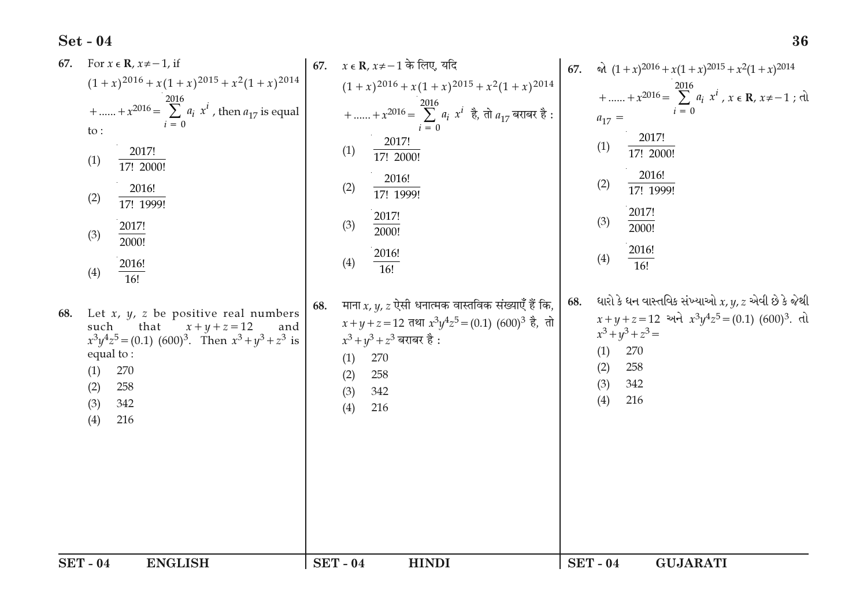| $SET - 04$<br><b>ENGLISH</b>                                                                                                                                            | <b>SET - 04</b><br><b>HINDI</b>                                                                                                           | <b>SET - 04</b><br><b>GUJARATI</b>                                                                                          |
|-------------------------------------------------------------------------------------------------------------------------------------------------------------------------|-------------------------------------------------------------------------------------------------------------------------------------------|-----------------------------------------------------------------------------------------------------------------------------|
| that<br>$x + y + z = 12$<br>such<br>and<br>$x^3y^4z^5 = (0.1) (600)^3$ . Then $x^3 + y^3 + z^3$ is<br>equal to:<br>270<br>(1)<br>(2)<br>258<br>(3)<br>342<br>(4)<br>216 | $x+y+z=12$ तथा $x^3y^4z^5 = (0.1) (600)^3$ है, तो<br>$x^3 + y^3 + z^3$ बराबर है :<br>270<br>(1)<br>(2)<br>258<br>342<br>(3)<br>(4)<br>216 | $x+y+z=12$ અને $x^3y^4z^5=(0.1)(600)^3$ . તો<br>$x^3 + y^3 + z^3 =$<br>270<br>(1)<br>(2)<br>258<br>342<br>(3)<br>(4)<br>216 |
| (4)<br>16!<br>Let $x$ , $y$ , $z$ be positive real numbers<br>68.                                                                                                       | माना x, y, z ऐसी धनात्मक वास्तविक संख्याएँ हैं कि,<br>68.                                                                                 | ધારો કે ધન વાસ્તવિક સંખ્યાઓ $x, y, z$ એવી છે કે જેથી<br>68.                                                                 |
| 2000!<br>2016!                                                                                                                                                          | 2016!<br>(4)<br>16!                                                                                                                       | 2016!<br>(4)<br>$\overline{16!}$                                                                                            |
| 2017!<br>(3)                                                                                                                                                            | 2017!<br>(3)<br>2000!                                                                                                                     | 2017!<br>(3)<br>2000!                                                                                                       |
| 2016!<br>(2)<br>17! 1999!                                                                                                                                               | 2016!<br>(2)<br>17! 1999!                                                                                                                 | (2)<br>17! 1999!                                                                                                            |
| 2017!<br>(1)<br>17! 2000!                                                                                                                                               | (1)<br>17! 2000!                                                                                                                          | (1)<br>17! 2000!<br>2016!                                                                                                   |
| to:                                                                                                                                                                     | 2017!                                                                                                                                     | $a_{17} =$<br>2017!                                                                                                         |
| +  + $x^{2016} = \sum_{i=1}^{2016} a_i x^i$ , then $a_{17}$ is equal                                                                                                    | $(1+x)^{2016} + x(1+x)^{2015} + x^2(1+x)^{2014}$<br>+  + $x^{2016} = \sum a_i x^i$ $\frac{1}{6}$ , तो $a_{17}$ बराबर है:                  | +  + $x^{2016} = \sum_{i=0}^{2016} a_i x^i$ , $x \in \mathbb{R}, x \neq -1$ ; dl                                            |
| $(1+x)^{2016}$ + $x(1+x)^{2015}$ + $x^2(1+x)^{2014}$                                                                                                                    |                                                                                                                                           | $\alpha$ $(1+x)^{2016} + x(1+x)^{2015} + x^2(1+x)^{2014}$<br>67.                                                            |
| For $x \in \mathbb{R}$ , $x \neq -1$ , if<br>67.                                                                                                                        | $x \in \mathbf{R}$ , $x \neq -1$ के लिए, यदि<br>67.                                                                                       |                                                                                                                             |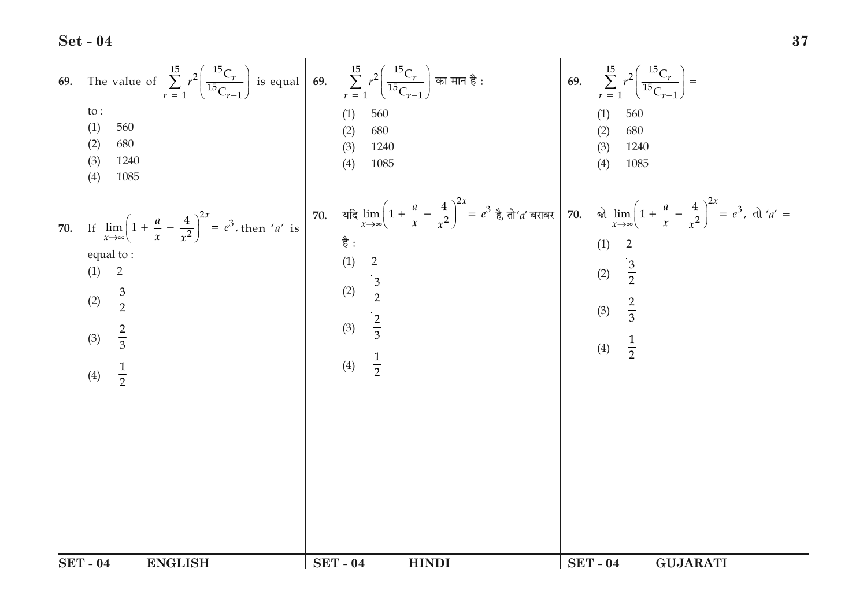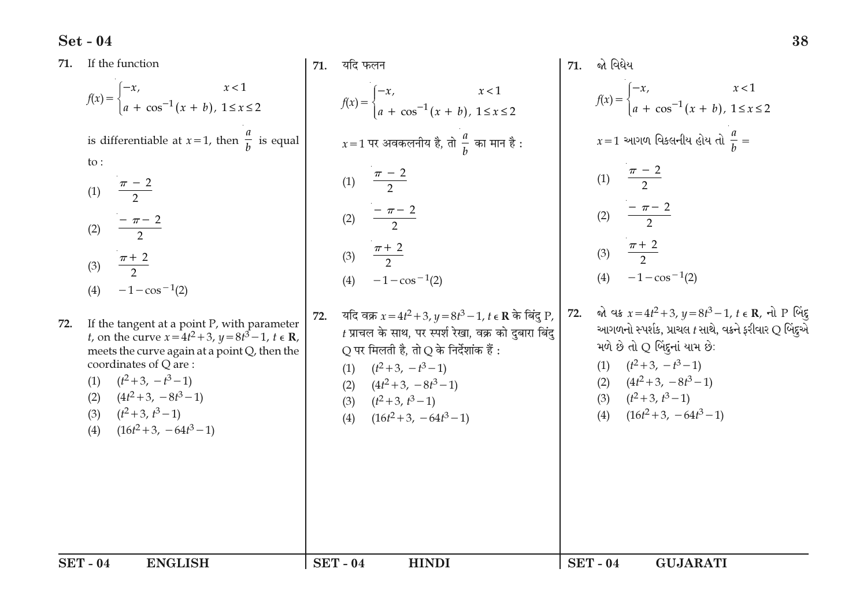| 71. | If the function                                                                                                                                                                                                                                                                                                             | 71. | यदि फलन                                                                                                                                                                                                                                                                                  | 71. | જો વિધેય                                                                                                                                                                                                                                                                   |
|-----|-----------------------------------------------------------------------------------------------------------------------------------------------------------------------------------------------------------------------------------------------------------------------------------------------------------------------------|-----|------------------------------------------------------------------------------------------------------------------------------------------------------------------------------------------------------------------------------------------------------------------------------------------|-----|----------------------------------------------------------------------------------------------------------------------------------------------------------------------------------------------------------------------------------------------------------------------------|
|     | $f(x) = \begin{cases} -x, & x < 1 \\ a + \cos^{-1}(x + b), & 1 \le x \le 2 \end{cases}$                                                                                                                                                                                                                                     |     | $f(x) = \begin{cases} -x, & x < 1 \\ a + \cos^{-1}(x + b), & 1 \le x \le 2 \end{cases}$                                                                                                                                                                                                  |     | $f(x) = \begin{cases} -x, & x < 1 \\ a + \cos^{-1}(x + b), & 1 \le x \le 2 \end{cases}$                                                                                                                                                                                    |
|     | is differentiable at $x=1$ , then $\frac{a}{h}$ is equal                                                                                                                                                                                                                                                                    |     | $x=1$ पर अवकलनीय है, तो $\frac{a}{b}$ का मान है :                                                                                                                                                                                                                                        |     | $x=1$ આગળ વિકલનીય હોય તો $\frac{a}{b} =$                                                                                                                                                                                                                                   |
|     | $\mathsf{to}$ :<br>(1) $\frac{\pi - 2}{2}$                                                                                                                                                                                                                                                                                  |     | (1) $\frac{\pi - 2}{2}$                                                                                                                                                                                                                                                                  |     | (1) $\frac{\pi - 2}{2}$                                                                                                                                                                                                                                                    |
|     | $\frac{-\pi-2}{2}$<br>(2)                                                                                                                                                                                                                                                                                                   |     | $\frac{-\pi-2}{2}$<br>(2)                                                                                                                                                                                                                                                                |     | (2) $\frac{-\pi-2}{2}$                                                                                                                                                                                                                                                     |
|     | $\frac{\pi+2}{2}$<br>(3)<br>$-1-\cos^{-1}(2)$<br>(4)                                                                                                                                                                                                                                                                        |     | (3) $\frac{\pi+2}{2}$<br>(4) $-1-\cos^{-1}(2)$                                                                                                                                                                                                                                           |     | (3) $\frac{\pi+2}{2}$<br>(4) $-1-\cos^{-1}(2)$                                                                                                                                                                                                                             |
| 72. | If the tangent at a point P, with parameter<br><i>t</i> , on the curve $x = 4t^2 + 3$ , $y = 8t^3 - 1$ , $t \in \mathbb{R}$ ,<br>meets the curve again at a point Q, then the<br>coordinates of Q are:<br>$(t^2+3, -t^3-1)$<br>(1)<br>$(4t^2+3, -8t^3-1)$<br>(2)<br>$(t^2+3, t^3-1)$<br>(3)<br>$(16t^2+3, -64t^3-1)$<br>(4) | 72. | यदि वक्र $x = 4t^2 + 3$ , $y = 8t^3 - 1$ , $t \in \mathbb{R}$ के बिंदु P,<br>$t$ प्राचल के साथ, पर स्पर्श रेखा, वक्र को दुबारा बिंदु<br>Q पर मिलती है, तो Q के निर्देशांक हैं :<br>(1) $(t^2+3, -t^3-1)$<br>(2) $(4t^2+3, -8t^3-1)$<br>(3) $(t^2+3, t^3-1)$<br>(4) $(16t^2+3, -64t^3-1)$ | 72. | જો વક્ર $x = 4t^2 + 3$ , $y = 8t^3 - 1$ , $t \in \mathbb{R}$ , નો P બિંદ્<br>આગળનો સ્પર્શક, પ્રાચલ t સાથે, વક્રને ફરીવાર Q બિંદુએ<br>મળે છે તો Q બિંદૂનાં યામ છે:<br>(1) $(t^2+3, -t^3-1)$<br>(2) $(4t^2+3, -8t^3-1)$<br>(3) $(t^2+3, t^3-1)$<br>(4) $(16t^2+3, -64t^3-1)$ |
|     | <b>SET - 04</b><br><b>ENGLISH</b>                                                                                                                                                                                                                                                                                           |     | <b>SET - 04</b><br><b>HINDI</b>                                                                                                                                                                                                                                                          |     | <b>SET - 04</b><br><b>GUJARATI</b>                                                                                                                                                                                                                                         |

38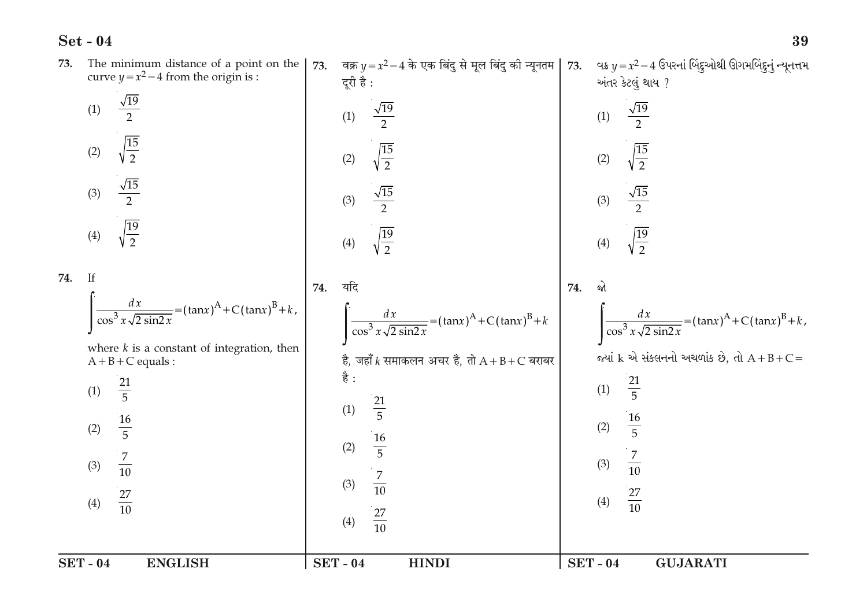|     | <b>SET - 04</b><br><b>ENGLISH</b>                                                                                                                                         |     | <b>SET-04</b><br><b>HINDI</b>                                                                                                                                 | <b>SET-04</b> | <b>GUJARATI</b>                                                                                                                                      |
|-----|---------------------------------------------------------------------------------------------------------------------------------------------------------------------------|-----|---------------------------------------------------------------------------------------------------------------------------------------------------------------|---------------|------------------------------------------------------------------------------------------------------------------------------------------------------|
|     | where $k$ is a constant of integration, then<br>$A + B + C$ equals :<br>$\frac{21}{5}$<br>(1)<br>$\frac{16}{5}$<br>(2)<br>$\frac{7}{10}$<br>(3)<br>$\frac{27}{10}$<br>(4) |     | है, जहाँ $k$ समाकलन अचर है, तो $A + B + C$ बराबर<br>है :<br>$\frac{21}{5}$<br>(1)<br>$\frac{16}{5}$<br>(2)<br>$\frac{7}{10}$<br>(3)<br>$\frac{27}{10}$<br>(4) |               | જ્યાં $k$ એ સંકલનનો અચળાંક છે, તો $A + B + C =$<br>$\frac{21}{5}$<br>(1)<br>$\frac{16}{5}$<br>(2)<br>$\frac{7}{10}$<br>(3)<br>$\frac{27}{10}$<br>(4) |
| 74. | If<br>$\frac{dx}{\cos^3 x \sqrt{2 \sin^2 x}} = (\tan x)^A + C(\tan x)^B + k,$                                                                                             | 74. | यदि<br>$\frac{dx}{\cos^3 x \sqrt{2 \sin^2 x}} = (\tan x)^A + C(\tan x)^B + k$                                                                                 | 74.           | જો<br>$\int \frac{dx}{\cos^3 x \sqrt{2 \sin^2 x}} = (\tan x)^A + C(\tan x)^B + k,$                                                                   |
|     | $\sqrt{15}$<br>(3)<br>$\sqrt{\frac{19}{2}}$<br>(4)                                                                                                                        |     | $\frac{\sqrt{15}}{2}$<br>(3)<br>$\frac{19}{2}$<br>(4)                                                                                                         |               | $\frac{\sqrt{15}}{2}$<br>(3)<br>$\sqrt{\frac{19}{2}}$<br>(4)                                                                                         |
|     | $\frac{15}{2}$<br>(2)                                                                                                                                                     |     | $\frac{15}{2}$<br>(2)                                                                                                                                         |               | $\sqrt{\frac{15}{2}}$<br>(2)                                                                                                                         |
|     | $\sqrt{19}$<br>(1)                                                                                                                                                        |     | $\sqrt{19}$<br>(1)                                                                                                                                            |               | $\sqrt{19}$<br>(1)                                                                                                                                   |
| 73. | The minimum distance of a point on the<br>curve $y = x^2 - 4$ from the origin is :                                                                                        | 73. | वक्र $y = x^2 - 4$ के एक बिंदु से मूल बिंदु की न्यूनतम<br>दूरी है:                                                                                            | 73.           | વક્ર $y = x^2 - 4$ ઉપરનાં બિંદુઓથી ઊગમબિંદુનું ન્યૂનત્તમ<br>અંતર કેટલું થાય ?                                                                        |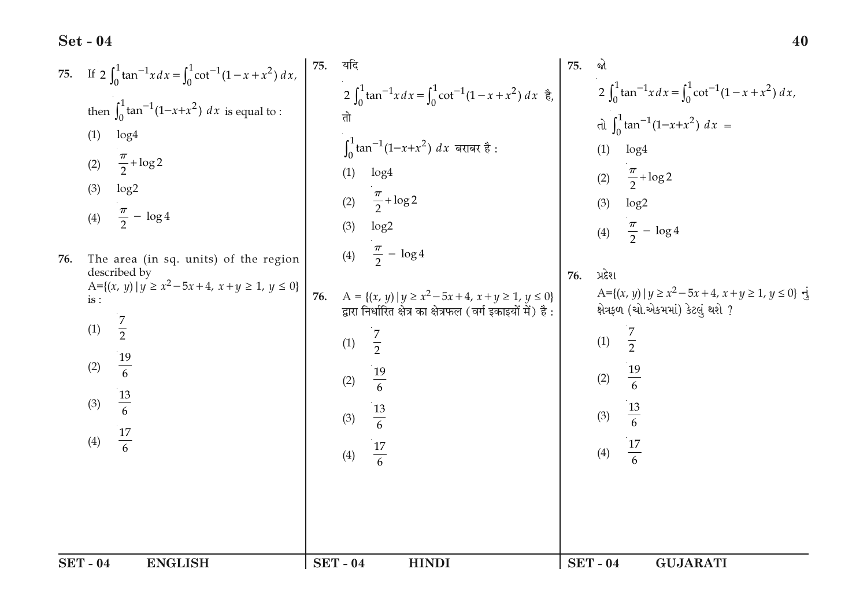75. If 
$$
2 \int_{0}^{1} \tan^{-1} x dx = \int_{0}^{1} \cot^{-1} (1 - x + x^{2}) dx
$$
  
\nthen  $\int_{0}^{1} \tan^{-1} (1 - x + x^{2}) dx$  is equal to:  
\n(1)  $\log 4$   
\n(2)  $\frac{\pi}{2} + \log 2$   
\n(3)  $\log 2$   
\n(4)  $\frac{\pi}{2} - \log 4$   
\n(5)  $\frac{\pi}{4} - \log 4$   
\n(6)  $\frac{\pi}{2} - \log 4$   
\n(7)  $\log 4$   
\n(8)  $\log 2$   
\n(9)  $\log 2$   
\n(10)  $\log 4$   
\n(21)  $\frac{\pi}{2} + \log 2$   
\n(3)  $\log 2$   
\n(4)  $\frac{\pi}{2} - \log 4$   
\n(5)  $\frac{\pi}{4} + \log 2$   
\n(6)  $\frac{\pi}{4} + \log 2$   
\n(7)  $\frac{\pi}{2}$   
\n(8)  $\log 2$   
\n(9)  $\log 2$   
\n(10)  $\log 4$   
\n(21)  $\frac{\pi}{2} + \log 2$   
\n(3)  $\log 2$   
\n(4)  $\frac{\pi}{2} - \log 4$   
\n(5)  $\frac{\pi}{4} + \log 2$   
\n(6)  $\frac{\pi}{4} + \log 2$   
\n(7)  $\frac{\pi}{2}$   
\n(8)  $\log 2$   
\n(9)  $\frac{\pi}{2}$   
\n(10)  $\frac{\pi}{2}$   
\n(21)  $\frac{\pi}{2}$   
\n(3)  $\log 2$   
\n(4)  $\frac{\pi}{2} - \log 4$   
\n(5)  $\frac{\pi}{4} + \log 2$   
\n(6)  $\frac{12}{\pi} - \log 4$   
\n(7)  $\frac{19}{\pi}$   
\n(8)  $\frac{13}{6}$   
\n(9)  $\$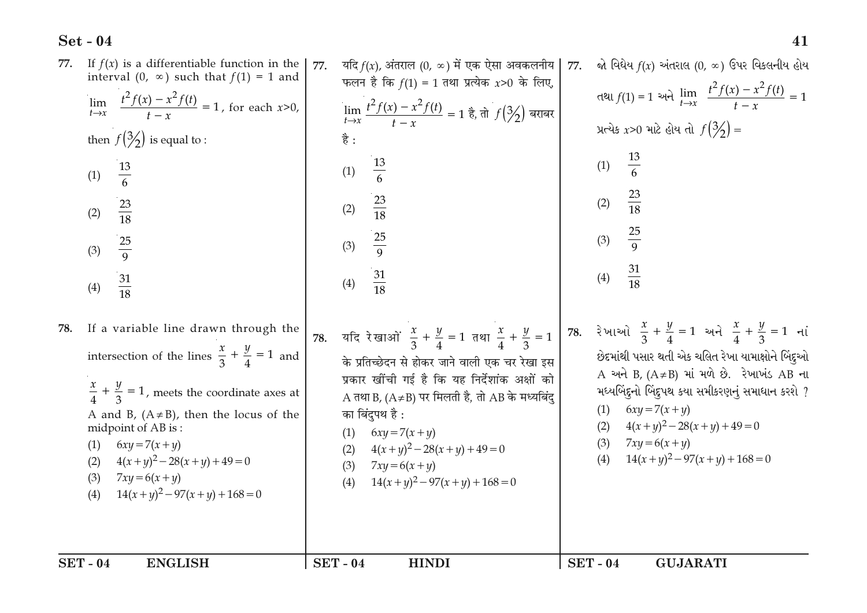| <b>SET - 04</b><br><b>ENGLISH</b>                                                                                                                                                                                                                                                                                                                                                 | <b>SET - 04</b><br><b>HINDI</b>                                                                                                                                                                                                                                                                                                                                                        | <b>SET - 04</b><br><b>GUJARATI</b>                                                                                                                                                                                                                                                                                                                                      |
|-----------------------------------------------------------------------------------------------------------------------------------------------------------------------------------------------------------------------------------------------------------------------------------------------------------------------------------------------------------------------------------|----------------------------------------------------------------------------------------------------------------------------------------------------------------------------------------------------------------------------------------------------------------------------------------------------------------------------------------------------------------------------------------|-------------------------------------------------------------------------------------------------------------------------------------------------------------------------------------------------------------------------------------------------------------------------------------------------------------------------------------------------------------------------|
| If a variable line drawn through the<br>78.<br>intersection of the lines $\frac{x}{3} + \frac{y}{4} = 1$ and<br>$\frac{x}{4} + \frac{y}{3} = 1$ , meets the coordinate axes at<br>A and B, $(A \neq B)$ , then the locus of the<br>midpoint of AB is:<br>$6xy = 7(x + y)$<br>(1)<br>$4(x+y)^2-28(x+y)+49=0$<br>(2)<br>(3)<br>$7xy = 6(x + y)$<br>$14(x+y)^2-97(x+y)+168=0$<br>(4) | यदि रेखाओं $\frac{x}{3} + \frac{y}{4} = 1$ तथा $\frac{x}{4} + \frac{y}{3} = 1$<br>78.<br>के प्रतिच्छेदन से होकर जाने वाली एक चर रेखा इस<br>प्रकार खींची गई है कि यह निर्देशांक अक्षों को<br>A तथा B, (A≠B) पर मिलती है, तो AB के मध्यबिंदु<br>का बिंदुपथ है :<br>(1) $6xy = 7(x + y)$<br>(2) $4(x+y)^2-28(x+y)+49=0$<br>(3) $7xy = 6(x + y)$<br>$14(x+y)^2 - 97(x+y) + 168 = 0$<br>(4) | 78. રેખાઓ $\frac{x}{3} + \frac{y}{4} = 1$ અને $\frac{x}{4} + \frac{y}{3} = 1$ નાં<br>છેદમાંથી પસાર થતી એક ચલિત રેખા યામાક્ષોને બિંદુઓ<br>A અને B, $(A \neq B)$ માં મળે છે. રેખાખંડ AB ના<br>મધ્યબિંદુનો બિંદુપથ કયા સમીકરણનું સમાધાન કરશે ?<br>$6xy = 7(x + y)$<br>(1)<br>$4(x+y)^2-28(x+y)+49=0$<br>(2)<br>$7xy = 6(x + y)$<br>(3)<br>$14(x+y)^2-97(x+y)+168=0$<br>(4) |
| then $f(\frac{3}{2})$ is equal to :<br>$\frac{13}{6}$<br>(1)<br>$\frac{23}{18}$<br>(2)<br>$\frac{25}{9}$<br>(3)<br>$\frac{31}{18}$<br>(4)                                                                                                                                                                                                                                         | $\lim_{t \to x} \frac{t^2 f(x) - x^2 f(t)}{t - x} = 1$ है, तो $f(\frac{3}{2})$ बराबर<br>है :<br>$\frac{13}{6}$<br>(1)<br>$\frac{23}{18}$<br>(2)<br>$\frac{25}{9}$<br>(3)<br>$\frac{31}{18}$<br>(4)                                                                                                                                                                                     | પ્રત્યેક x>0 માટે હોય તો $f(\frac{3}{2}) =$<br>$\frac{13}{6}$<br>(1)<br>$\frac{23}{18}$<br>(2)<br>$\frac{25}{9}$<br>(3)<br>$\frac{31}{18}$<br>(4)                                                                                                                                                                                                                       |
| If $f(x)$ is a differentiable function in the<br>77.<br>interval (0, $\infty$ ) such that $f(1) = 1$ and<br>$\lim_{t \to x} \frac{t^2 f(x) - x^2 f(t)}{t - x} = 1$ , for each $x > 0$ ,                                                                                                                                                                                           | यदि $f(x)$ , अंतराल (0, ∞) में एक ऐसा अवकलनीय<br>77.<br>फलन है कि $f(1) = 1$ तथा प्रत्येक x>0 के लिए,                                                                                                                                                                                                                                                                                  | જો વિઘેય $f(x)$ અંતરાલ (0, ∞) ઉપર વિકલનીય હોય<br>77.<br>તથા $f(1) = 1$ અને $\lim_{t \to x} \frac{t^2 f(x) - x^2 f(t)}{t - x} = 1$                                                                                                                                                                                                                                       |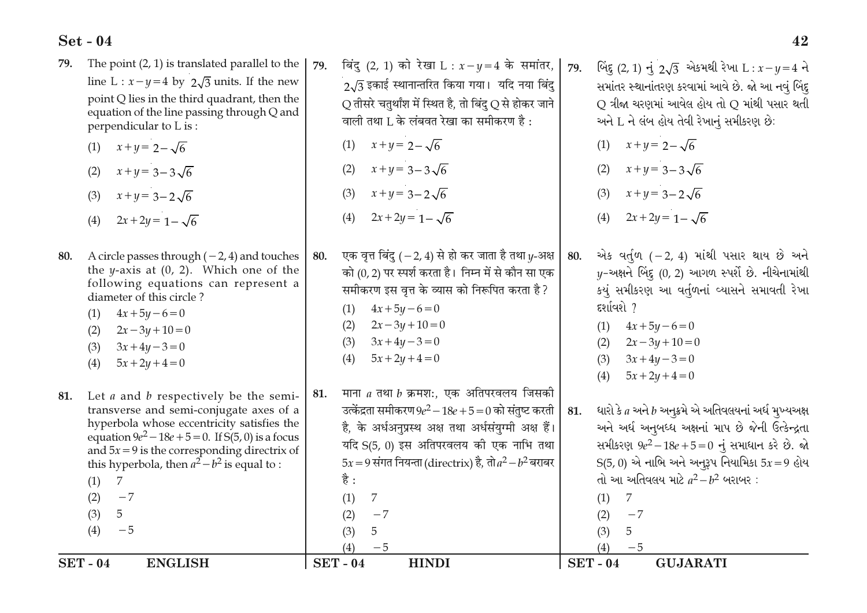| <b>SET - 04</b><br><b>ENGLISH</b>                                                                                                                                             | <b>SET - 04</b><br><b>HINDI</b>                                                                                                                                 | <b>SET - 04</b><br><b>GUJARATI</b>                                                                                                                |
|-------------------------------------------------------------------------------------------------------------------------------------------------------------------------------|-----------------------------------------------------------------------------------------------------------------------------------------------------------------|---------------------------------------------------------------------------------------------------------------------------------------------------|
|                                                                                                                                                                               | (4)<br>$-5$                                                                                                                                                     | (4)<br>$-5$                                                                                                                                       |
| (4)<br>$-5$                                                                                                                                                                   | 5<br>(3)                                                                                                                                                        | (3)<br>5                                                                                                                                          |
| (3)<br>5 <sup>5</sup>                                                                                                                                                         | (2)<br>$-7$                                                                                                                                                     | (2)<br>$-7$                                                                                                                                       |
| $-7$<br>(2)                                                                                                                                                                   | 7<br>(1)                                                                                                                                                        | (1)<br>7                                                                                                                                          |
| 7<br>(1)                                                                                                                                                                      | है :                                                                                                                                                            | તો આ અતિવલય માટે $a^2-b^2$ બરાબર:                                                                                                                 |
| this hyperbola, then $a^2-b^2$ is equal to :                                                                                                                                  | $5x = 9$ संगत नियन्ता (directrix) है, तो $a^2 - b^2$ बराबर                                                                                                      | $S(5, 0)$ એ નાભિ અને અનુરૂપ નિયામિકા $5x = 9$ હોય                                                                                                 |
| and $5x = 9$ is the corresponding directrix of                                                                                                                                | यदि S(5, 0) इस अतिपरवलय की एक नाभि तथा                                                                                                                          | સમીકરણ $9e^2 - 18e + 5 = 0$ નું સમાધાન કરે છે. જો                                                                                                 |
| hyperbola whose eccentricity satisfies the<br>equation $9e^2 - 18e + 5 = 0$ . If S(5, 0) is a focus                                                                           | है, के अर्धअनुप्रस्थ अक्ष तथा अर्धसंयुग्मी अक्ष हैं।                                                                                                            | અને અર્ધ અનુબધ્ધ અક્ષનાં માપ છે જેની ઉત્કેન્દ્રતા                                                                                                 |
| transverse and semi-conjugate axes of a                                                                                                                                       | उत्केंद्रता समीकरण $9e^2 - 18e + 5 = 0$ को संतुष्ट करती                                                                                                         | ધારો કે $a$ અને $b$ અનુક્રમે એ અતિવલયનાં અર્ધ મુખ્યઅક્ષ<br>81.                                                                                    |
| Let $a$ and $b$ respectively be the semi-<br>81.                                                                                                                              | माना $a$ तथा $b$ क्रमश:, एक अतिपरवलय जिसकी<br>81.                                                                                                               |                                                                                                                                                   |
| (4)                                                                                                                                                                           |                                                                                                                                                                 | $5x + 2y + 4 = 0$<br>(4)                                                                                                                          |
| $3x + 4y - 3 = 0$<br>(3)<br>$5x + 2y + 4 = 0$                                                                                                                                 | (4)<br>$5x + 2y + 4 = 0$                                                                                                                                        | $3x+4y-3=0$<br>(3)                                                                                                                                |
| $2x - 3y + 10 = 0$<br>(2)                                                                                                                                                     | $3x+4y-3=0$<br>(3)                                                                                                                                              | $2x - 3y + 10 = 0$<br>(2)                                                                                                                         |
| $4x + 5y - 6 = 0$<br>(1)                                                                                                                                                      | (1)<br>$2x-3y+10=0$<br>(2)                                                                                                                                      | $4x + 5y - 6 = 0$<br>(1)                                                                                                                          |
| diameter of this circle?                                                                                                                                                      | $4x + 5y - 6 = 0$                                                                                                                                               | દર્શાવશે ?                                                                                                                                        |
| following equations can represent a                                                                                                                                           | समीकरण इस वृत्त के व्यास को निरूपित करता है?                                                                                                                    | કયું સમીકરણ આ વર્તુળનાં વ્યાસને સમાવતી રેખા                                                                                                       |
| 80.<br>A circle passes through $(-2, 4)$ and touches<br>the <i>y</i> -axis at $(0, 2)$ . Which one of the                                                                     | एक वृत्त बिंदु ( $-2$ , 4) से हो कर जाता है तथा $y$ -अक्ष<br>80.<br>को (0, 2) पर स्पर्श करता है। निम्न में से कौन सा एक                                         | એક વર્તુળ $(-2, 4)$ માંથી પસાર થાય છે અને<br>80.<br>$y$ -અક્ષને બિંદુ (0, 2) આગળ સ્પર્શે છે. નીચેનામાંથી                                          |
| $2x + 2y = 1 - \sqrt{6}$<br>(4)                                                                                                                                               |                                                                                                                                                                 |                                                                                                                                                   |
|                                                                                                                                                                               | $2x + 2y = 1 - \sqrt{6}$<br>(4)                                                                                                                                 | $2x + 2y = 1 - \sqrt{6}$<br>(4)                                                                                                                   |
| $x+y=3-2\sqrt{6}$<br>(3)                                                                                                                                                      | $x+y=3-2\sqrt{6}$<br>(3)                                                                                                                                        | $x+y=3-2\sqrt{6}$<br>(3)                                                                                                                          |
| $x+y=3-3\sqrt{6}$<br>(2)                                                                                                                                                      | $x+y=3-3\sqrt{6}$<br>(2)                                                                                                                                        | $x+y=3-3\sqrt{6}$<br>(2)                                                                                                                          |
| $x + y = 2 - \sqrt{6}$<br>(1)                                                                                                                                                 | $x + y = 2 - \sqrt{6}$<br>(1)                                                                                                                                   | $x + y = 2 - \sqrt{6}$<br>(1)                                                                                                                     |
| line L : $x - y = 4$ by $2\sqrt{3}$ units. If the new<br>point Q lies in the third quadrant, then the<br>equation of the line passing through Q and<br>perpendicular to L is: | $2\sqrt{3}$ इकाई स्थानान्तरित किया गया। यदि नया बिंदु<br>$Q$ तीसरे चतुर्थांश में स्थित है, तो बिंदु $Q$ से होकर जाने<br>वाली तथा L के लंबवत रेखा का समीकरण है : | સમાંતર સ્થાનાંતરણ કરવામાં આવે છે. જો આ નવું બિંદુ<br>$Q$ ત્રીજા ચરણમાં આવેલ હોય તો $Q$ માંથી પસાર થતી<br>અને L ને લંબ હોય તેવી રેખાનું સમીકરણ છે: |
| The point $(2, 1)$ is translated parallel to the<br>79.                                                                                                                       | बिंदु (2, 1) को रेखा L : $x-y=4$ के समांतर,<br>79.                                                                                                              | બિંદુ (2, 1) નું $2\sqrt{3}$ એકમથી રેખા $L: x - y = 4$ ને<br>79.                                                                                  |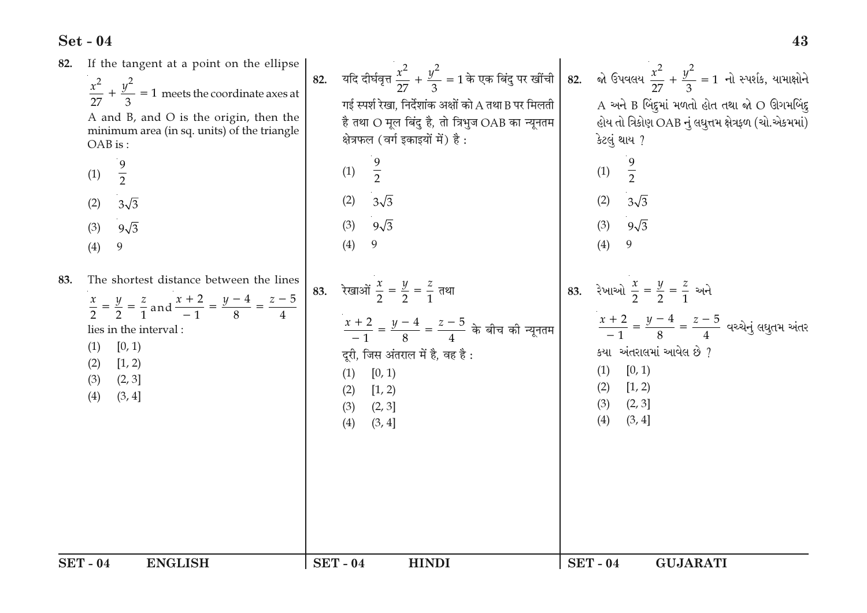| <b>SET-04</b>                                                                                                                                                                                                                                 | <b>SET-04</b>                                                                                                                                                                                                                         | <b>SET - 04</b>                                                                                                                                                                                                                                                   |
|-----------------------------------------------------------------------------------------------------------------------------------------------------------------------------------------------------------------------------------------------|---------------------------------------------------------------------------------------------------------------------------------------------------------------------------------------------------------------------------------------|-------------------------------------------------------------------------------------------------------------------------------------------------------------------------------------------------------------------------------------------------------------------|
| <b>ENGLISH</b>                                                                                                                                                                                                                                | <b>HINDI</b>                                                                                                                                                                                                                          | <b>GUJARATI</b>                                                                                                                                                                                                                                                   |
| The shortest distance between the lines<br>83.<br>$\frac{x}{2} = \frac{y}{2} = \frac{z}{1}$ and $\frac{x+2}{-1} = \frac{y-4}{8} = \frac{z-5}{4}$<br>lies in the interval:<br>[0, 1)<br>(1)<br>[1, 2)<br>(2)<br>(2, 3]<br>(3)<br>(3, 4]<br>(4) | 83. रेखाओं $\frac{x}{2} = \frac{y}{2} = \frac{z}{1}$ तथा<br>$\frac{x+2}{-1} = \frac{y-4}{8} = \frac{z-5}{4}$ के बीच की न्यूनतम<br>दूरी, जिस अंतराल में है, वह है:<br>[0, 1)<br>(1)<br>[1, 2)<br>(2)<br>(2, 3]<br>(3)<br>(4)<br>(3, 4] | 83. રેખાઓ $\frac{x}{2} = \frac{y}{2} = \frac{z}{1}$ અને<br>$\frac{x+2}{-1} = \frac{y-4}{8} = \frac{z-5}{4}$ વચ્ચેનું લઘુતમ અંતર<br>કયા અંતરાલમાં આવેલ છે ?<br>[0, 1)<br>(1)<br>[1, 2)<br>(2)<br>(2, 3]<br>(3)<br>(4)<br>(3, 4]                                    |
| $\frac{9}{2}$                                                                                                                                                                                                                                 | $\frac{9}{2}$                                                                                                                                                                                                                         | $\frac{9}{2}$                                                                                                                                                                                                                                                     |
| (1)                                                                                                                                                                                                                                           | (1)                                                                                                                                                                                                                                   | (1)                                                                                                                                                                                                                                                               |
| (2)                                                                                                                                                                                                                                           | (2)                                                                                                                                                                                                                                   | (2)                                                                                                                                                                                                                                                               |
| $3\sqrt{3}$                                                                                                                                                                                                                                   | $3\sqrt{3}$                                                                                                                                                                                                                           | $3\sqrt{3}$                                                                                                                                                                                                                                                       |
| $9\sqrt{3}$                                                                                                                                                                                                                                   | $9\sqrt{3}$                                                                                                                                                                                                                           | $9\sqrt{3}$                                                                                                                                                                                                                                                       |
| (3)                                                                                                                                                                                                                                           | (3)                                                                                                                                                                                                                                   | (3)                                                                                                                                                                                                                                                               |
| 9                                                                                                                                                                                                                                             | (4)                                                                                                                                                                                                                                   | (4)                                                                                                                                                                                                                                                               |
| (4)                                                                                                                                                                                                                                           | 9                                                                                                                                                                                                                                     | 9                                                                                                                                                                                                                                                                 |
| If the tangent at a point on the ellipse<br>82.<br>$\frac{x^2}{27} + \frac{y^2}{3} = 1$ meets the coordinate axes at<br>A and B, and O is the origin, then the<br>minimum area (in sq. units) of the triangle<br>OAB is:                      | 82.<br>गई स्पर्श रेखा, निर्देशांक अक्षों को A तथा B पर मिलती<br>है तथा O मूल बिंदु है, तो त्रिभुज OAB का न्यूनतम<br>क्षेत्रफल (वर्ग इकाइयों में) है:                                                                                  | यदि दीर्घवृत्त $\frac{x^2}{27}+\frac{y^2}{3}=1$ के एक बिंदु पर खींची 82.    ਐ ઉપવલય $\frac{x^2}{27}+\frac{y^2}{3}=1$ नो स्पर्शक थामाक्षोने<br>A અને B બિંદુમાં મળતો હોત તથા જો O ઊગમબિંદુ<br>હોય તો ત્રિકોણ OAB નું લઘુત્તમ ક્ષેત્રફળ (ચો.એકમમાં)<br>કેટલું થાય ? |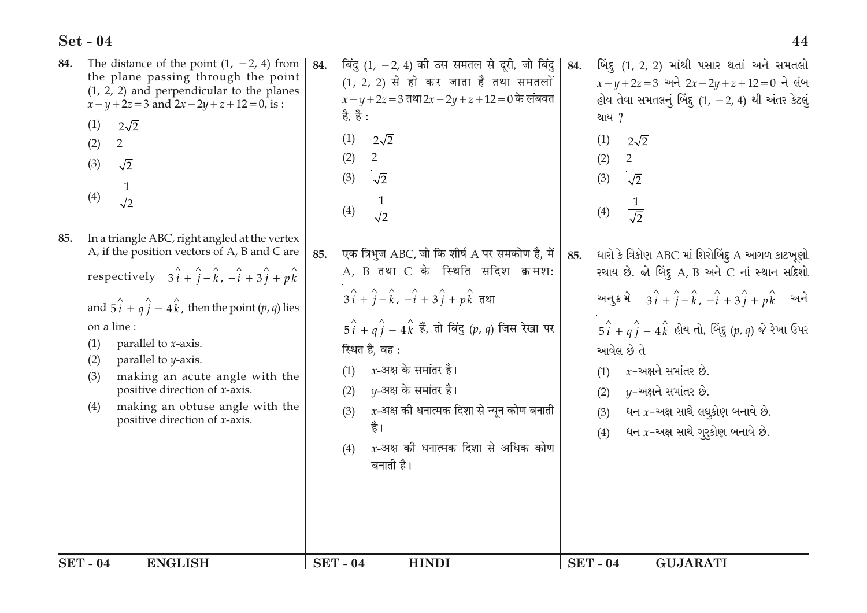| The distance of the point $(1, -2, 4)$ from<br>84.<br>the plane passing through the point<br>$(1, 2, 2)$ and perpendicular to the planes<br>$x-y+2z=3$ and $2x-2y+z+12=0$ , is :<br>$2\sqrt{2}$<br>(1)<br>(2)<br>$\overline{2}$<br>(3)<br>$\sqrt{2}$<br>$\mathbf{1}$<br>(4)<br>$\overline{\sqrt{2}}$                                                                                                                                                                                                                         | बिंदु (1, $-2$ , 4) की उस समतल से दूरी, जो बिंदु<br>84.<br>(1, 2, 2) से हो कर जाता है तथा समतलों<br>$x - y + 2z = 3$ तथा 2x - 2y + z + 12 = 0 के लंबवत<br>है, है :<br>$2\sqrt{2}$<br>(1)<br>$\overline{2}$<br>(2)<br>$\sqrt{2}$<br>(3)<br>$\frac{1}{\sqrt{2}}$<br>(4)                                                                                                                                                                                 | ર્બિંદુ (1, 2, 2) માંથી પસાર થતાં અને સમતલો<br>84.<br>$x-y+2z=3$ અને $2x-2y+z+12=0$ ને લંબ<br>હોય તેવા સમતલનું બિંદુ $(1, -2, 4)$ થી અંતર કેટલું<br>થાય ?<br>(1)<br>$2\sqrt{2}$<br>$\overline{2}$<br>(2)<br>(3)<br>$\sqrt{2}$<br>$\frac{1}{\sqrt{2}}$<br>(4)                                                                                                                                                                         |
|------------------------------------------------------------------------------------------------------------------------------------------------------------------------------------------------------------------------------------------------------------------------------------------------------------------------------------------------------------------------------------------------------------------------------------------------------------------------------------------------------------------------------|-------------------------------------------------------------------------------------------------------------------------------------------------------------------------------------------------------------------------------------------------------------------------------------------------------------------------------------------------------------------------------------------------------------------------------------------------------|--------------------------------------------------------------------------------------------------------------------------------------------------------------------------------------------------------------------------------------------------------------------------------------------------------------------------------------------------------------------------------------------------------------------------------------|
| In a triangle ABC, right angled at the vertex<br>85.<br>A, if the position vectors of A, B and C are<br>respectively $3\hat{i} + \hat{j} - \hat{k}$ , $-\hat{i} + 3\hat{j} + p\hat{k}$<br>and $5\hat{i} + q\hat{j} - 4\hat{k}$ , then the point $(p, q)$ lies<br>on a line:<br>parallel to <i>x</i> -axis.<br>(1)<br>(2)<br>parallel to <i>y</i> -axis.<br>making an acute angle with the<br>(3)<br>positive direction of <i>x</i> -axis.<br>making an obtuse angle with the<br>(4)<br>positive direction of <i>x</i> -axis. | एक त्रिभुज ABC, जो कि शीर्ष A पर समकोण है, में<br>85.<br>A, B तथा C के स्थिति सदिश क्रमश:<br>$3\hat{i} + \hat{j} - \hat{k}$ , $-\hat{i} + 3\hat{j} + p\hat{k}$ तथा<br>$5\hat{i} + q\hat{j} - 4\hat{k}$ हैं, तो बिंदु (p, q) जिस रेखा पर<br>स्थित है, वह :<br>$x$ -अक्ष के समांतर है।<br>(1)<br>v-अक्ष के समांतर है।<br>(2)<br>$x$ -अक्ष की धनात्मक दिशा से न्यून कोण बनाती<br>(3)<br>है।<br>$x$ -अक्ष की धनात्मक दिशा से अधिक कोण<br>(4)<br>बनाती है। | ધારો કે ત્રિકોણ ABC માં શિરોબિંદુ A આગળ કાટખૂણો<br>85.<br>રચાય છે. જો બિંદુ A, B અને C નાં સ્થાન સદિશો<br>અનુક્રમે $3i + \hat{j} - \hat{k}$ , $-\hat{i} + 3\hat{j} + p\hat{k}$ અને<br>$5\hat{i} + q\hat{j} - 4\hat{k}$ હોય તો, બિંદુ $(p, q)$ જે રેખા ઉપર<br>આવેલ છે તે<br>$x$ -અક્ષને સમાંતર છે.<br>(1)<br>$y$ -અક્ષને સમાંતર છે.<br>(2)<br>ધન $x$ -અક્ષ સાથે લઘુકોણ બનાવે છે.<br>(3)<br>ધન $x$ -અક્ષ સાથે ગુરૂકોણ બનાવે છે.<br>(4) |
| <b>SET - 04</b><br><b>ENGLISH</b>                                                                                                                                                                                                                                                                                                                                                                                                                                                                                            | <b>SET - 04</b><br><b>HINDI</b>                                                                                                                                                                                                                                                                                                                                                                                                                       | <b>SET - 04</b><br><b>GUJARATI</b>                                                                                                                                                                                                                                                                                                                                                                                                   |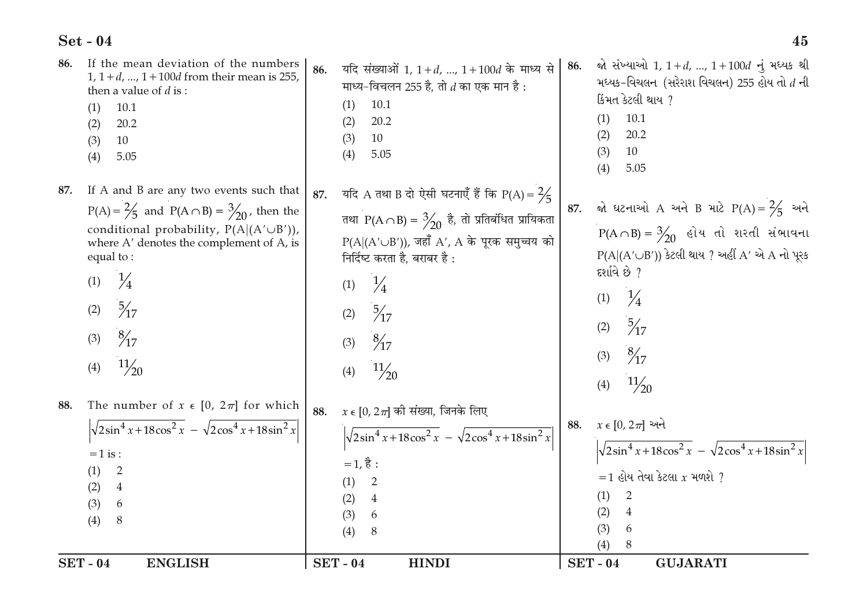| <b>SET - 04</b>                                                                                                                                                                                                               | <b>SET-04</b>                                                                                                                                                                                                          | <b>SET - 04</b>                                                                                                                                                                  |
|-------------------------------------------------------------------------------------------------------------------------------------------------------------------------------------------------------------------------------|------------------------------------------------------------------------------------------------------------------------------------------------------------------------------------------------------------------------|----------------------------------------------------------------------------------------------------------------------------------------------------------------------------------|
| <b>ENGLISH</b>                                                                                                                                                                                                                | <b>HINDI</b>                                                                                                                                                                                                           | <b>GUJARATI</b>                                                                                                                                                                  |
| The number of $x \in [0, 2\pi]$ for which                                                                                                                                                                                     | $x \in [0, 2\pi]$ की संख्या, जिनके लिए                                                                                                                                                                                 | $x \in [0, 2\pi]$ અને                                                                                                                                                            |
| 88.                                                                                                                                                                                                                           | 88.                                                                                                                                                                                                                    | 88.                                                                                                                                                                              |
| $\sqrt{2\sin^4 x + 18\cos^2 x - \sqrt{2\cos^4 x + 18\sin^2 x}}$                                                                                                                                                               | $\sqrt{2\sin^4 x + 18\cos^2 x} - \sqrt{2\cos^4 x + 18\sin^2 x}$                                                                                                                                                        | $\sqrt{2\sin^4 x + 18\cos^2 x} - \sqrt{2\cos^4 x + 18\sin^2 x}$                                                                                                                  |
| $=1$ is :                                                                                                                                                                                                                     | $=1, \xi$ :                                                                                                                                                                                                            | $=$ 1 હોય તેવા કેટલા $x$ મળશે ?                                                                                                                                                  |
| (1)                                                                                                                                                                                                                           | $\overline{2}$                                                                                                                                                                                                         | (1)                                                                                                                                                                              |
| 2                                                                                                                                                                                                                             | (1)                                                                                                                                                                                                                    | 2                                                                                                                                                                                |
| $\overline{4}$                                                                                                                                                                                                                | (2)                                                                                                                                                                                                                    | (2)                                                                                                                                                                              |
| (2)                                                                                                                                                                                                                           | 4                                                                                                                                                                                                                      | 4                                                                                                                                                                                |
| (3)                                                                                                                                                                                                                           | (3)                                                                                                                                                                                                                    | (3)                                                                                                                                                                              |
| 6                                                                                                                                                                                                                             | 6                                                                                                                                                                                                                      | 6                                                                                                                                                                                |
| (4)                                                                                                                                                                                                                           | (4)                                                                                                                                                                                                                    | (4)                                                                                                                                                                              |
| 8                                                                                                                                                                                                                             | 8                                                                                                                                                                                                                      | 8                                                                                                                                                                                |
| $\frac{1}{4}$                                                                                                                                                                                                                 | $\frac{1}{4}$                                                                                                                                                                                                          | $\frac{1}{4}$                                                                                                                                                                    |
| (1)                                                                                                                                                                                                                           | (1)                                                                                                                                                                                                                    | (1)                                                                                                                                                                              |
| $\frac{5}{7}$                                                                                                                                                                                                                 | $\frac{5}{7}$                                                                                                                                                                                                          | $\frac{5}{7}$                                                                                                                                                                    |
| (2)                                                                                                                                                                                                                           | (2)                                                                                                                                                                                                                    | (2)                                                                                                                                                                              |
| $\frac{8}{17}$                                                                                                                                                                                                                | $\frac{8}{17}$                                                                                                                                                                                                         | $\frac{8}{7}$                                                                                                                                                                    |
| (3)                                                                                                                                                                                                                           | (3)                                                                                                                                                                                                                    | (3)                                                                                                                                                                              |
| $\frac{11}{20}$                                                                                                                                                                                                               | $\frac{11}{20}$                                                                                                                                                                                                        | $\frac{11}{20}$                                                                                                                                                                  |
| (4)                                                                                                                                                                                                                           | (4)                                                                                                                                                                                                                    | (4)                                                                                                                                                                              |
| If A and B are any two events such that<br>87.<br>$P(A) = \frac{2}{5}$ and $P(A \cap B) = \frac{3}{20}$ , then the<br>conditional probability, $P(A (A' \cup B'))$ ,<br>where A' denotes the complement of A, is<br>equal to: | यदि A तथा B दो ऐसी घटनाएँ हैं कि P(A) = $\frac{2}{5}$<br>87.<br>तथा P(A $\cap$ B) = $\frac{3}{20}$ है, तो प्रतिबंधित प्रायिकता<br>$P(A (A' \cup B'))$ , जहाँ A', A के पूरक समुच्चय को<br>निर्दिष्ट करता है, बराबर है : | જો ઘટનાઓ A અને B માટે $P(A) = \frac{2}{5}$ અને<br>87.<br>$P(A \cap B) = \frac{3}{20}$ હોય તો શરતી સંભાવના<br>$P(A (A' \cup B'))$ કેટલી થાય ? અહીં A' એ A નો પૂરક<br>દર્શાવે છે ? |
| If the mean deviation of the numbers<br>86.<br>$1, 1+d, , 1+100d$ from their mean is 255,<br>then a value of $d$ is :<br>10.1<br>(1)<br>20.2<br>(2)<br>(3)<br>10<br>(4)<br>5.05                                               | यदि संख्याओं 1, $1 + d$ , , $1 + 100d$ के माध्य से<br>86.<br>माध्य-विचलन 255 है, तो $d$ का एक मान है :<br>10.1<br>(1)<br>20.2<br>(2)<br>10<br>(3)<br>(4)<br>5.05                                                       | જો સંખ્યાઓ 1, 1+d, , 1+100d નું મધ્યક થી<br>86.<br>મધ્યક-વિચલન (સરેરાશ વિચલન) 255 હોય તો $d$ ની<br>કિંમત કેટલી થાય?<br>10.1<br>(1)<br>20.2<br>(2)<br>10<br>(3)<br>5.05<br>(4)    |